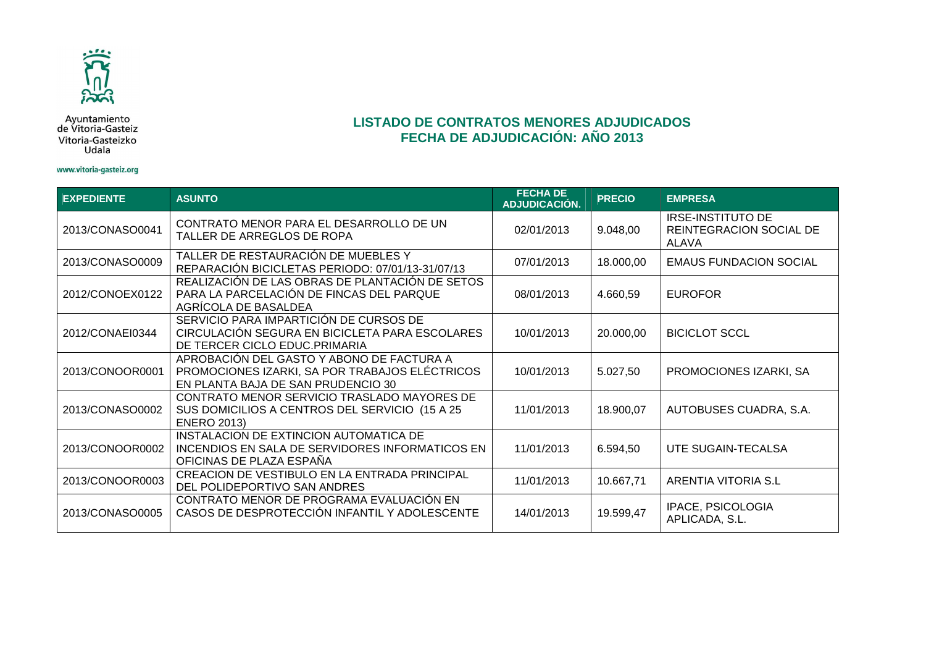

Ayuntamiento<br>de Vitoria-Gasteiz Vitoria-Gasteizko Udala

#### www.vitoria-gasteiz.org

| <b>EXPEDIENTE</b> | <b>ASUNTO</b>                                                                                                                     | <b>FECHA DE</b><br><b>ADJUDICACIÓN.</b> | <b>PRECIO</b> | <b>EMPRESA</b>                                                      |
|-------------------|-----------------------------------------------------------------------------------------------------------------------------------|-----------------------------------------|---------------|---------------------------------------------------------------------|
| 2013/CONASO0041   | CONTRATO MENOR PARA EL DESARROLLO DE UN<br>TALLER DE ARREGLOS DE ROPA                                                             | 02/01/2013                              | 9.048,00      | <b>IRSE-INSTITUTO DE</b><br>REINTEGRACION SOCIAL DE<br><b>ALAVA</b> |
| 2013/CONASO0009   | TALLER DE RESTAURACIÓN DE MUEBLES Y<br>REPARACIÓN BICICLETAS PERIODO: 07/01/13-31/07/13                                           | 07/01/2013                              | 18.000,00     | <b>EMAUS FUNDACION SOCIAL</b>                                       |
| 2012/CONOEX0122   | REALIZACIÓN DE LAS OBRAS DE PLANTACIÓN DE SETOS<br>PARA LA PARCELACIÓN DE FINCAS DEL PARQUE<br>AGRÍCOLA DE BASALDEA               | 08/01/2013                              | 4.660,59      | <b>EUROFOR</b>                                                      |
| 2012/CONAEI0344   | SERVICIO PARA IMPARTICIÓN DE CURSOS DE<br>CIRCULACIÓN SEGURA EN BICICLETA PARA ESCOLARES<br>DE TERCER CICLO EDUC.PRIMARIA         | 10/01/2013                              | 20.000,00     | <b>BICICLOT SCCL</b>                                                |
| 2013/CONOOR0001   | APROBACIÓN DEL GASTO Y ABONO DE FACTURA A<br>PROMOCIONES IZARKI, SA POR TRABAJOS ELÉCTRICOS<br>EN PLANTA BAJA DE SAN PRUDENCIO 30 | 10/01/2013                              | 5.027,50      | PROMOCIONES IZARKI, SA                                              |
| 2013/CONASO0002   | CONTRATO MENOR SERVICIO TRASLADO MAYORES DE<br>SUS DOMICILIOS A CENTROS DEL SERVICIO (15 A 25<br><b>ENERO 2013)</b>               | 11/01/2013                              | 18.900,07     | AUTOBUSES CUADRA, S.A.                                              |
| 2013/CONOOR0002   | INSTALACION DE EXTINCION AUTOMATICA DE<br>INCENDIOS EN SALA DE SERVIDORES INFORMATICOS EN<br>OFICINAS DE PLAZA ESPAÑA             | 11/01/2013                              | 6.594,50      | UTE SUGAIN-TECALSA                                                  |
| 2013/CONOOR0003   | CREACION DE VESTIBULO EN LA ENTRADA PRINCIPAL<br>DEL POLIDEPORTIVO SAN ANDRES                                                     | 11/01/2013                              | 10.667,71     | ARENTIA VITORIA S.L                                                 |
| 2013/CONASO0005   | CONTRATO MENOR DE PROGRAMA EVALUACIÓN EN<br>CASOS DE DESPROTECCIÓN INFANTIL Y ADOLESCENTE                                         | 14/01/2013                              | 19.599,47     | IPACE, PSICOLOGIA<br>APLICADA, S.L.                                 |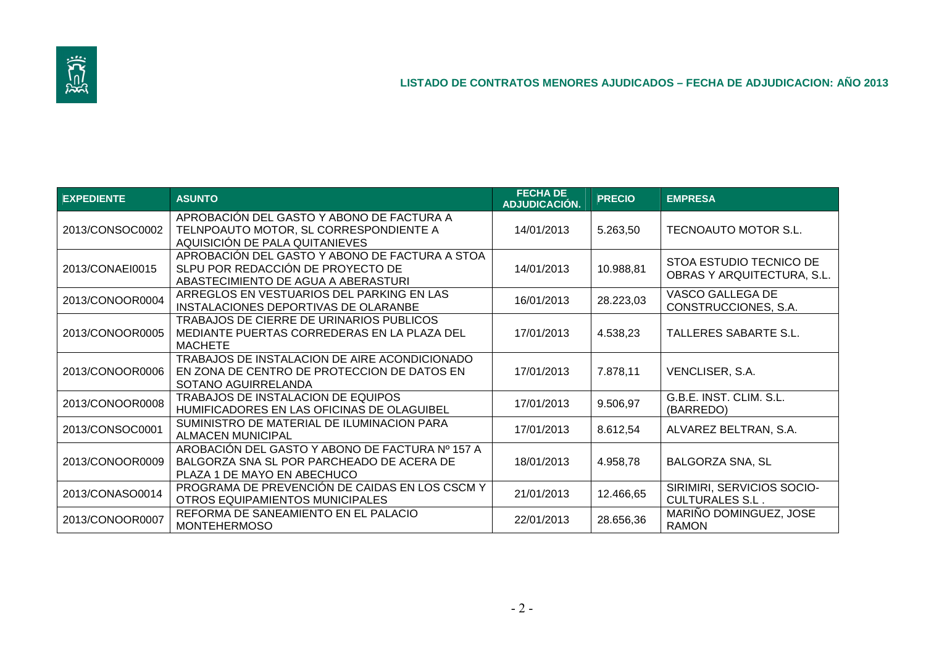

| <b>EXPEDIENTE</b> | <b>ASUNTO</b>                                                                                                               | <b>FECHA DE</b><br>ADJUDICACIÓN. | <b>PRECIO</b> | <b>EMPRESA</b>                                               |
|-------------------|-----------------------------------------------------------------------------------------------------------------------------|----------------------------------|---------------|--------------------------------------------------------------|
| 2013/CONSOC0002   | APROBACIÓN DEL GASTO Y ABONO DE FACTURA A<br>TELNPOAUTO MOTOR, SL CORRESPONDIENTE A<br>AQUISICIÓN DE PALA QUITANIEVES       | 14/01/2013                       | 5.263,50      | TECNOAUTO MOTOR S.L.                                         |
| 2013/CONAEI0015   | APROBACIÓN DEL GASTO Y ABONO DE FACTURA A STOA<br>SLPU POR REDACCIÓN DE PROYECTO DE<br>ABASTECIMIENTO DE AGUA A ABERASTURI  | 14/01/2013                       | 10.988,81     | STOA ESTUDIO TECNICO DE<br><b>OBRAS Y ARQUITECTURA, S.L.</b> |
| 2013/CONOOR0004   | ARREGLOS EN VESTUARIOS DEL PARKING EN LAS<br>INSTALACIONES DEPORTIVAS DE OLARANBE                                           | 16/01/2013                       | 28.223,03     | VASCO GALLEGA DE<br>CONSTRUCCIONES, S.A.                     |
| 2013/CONOOR0005   | TRABAJOS DE CIERRE DE URINARIOS PUBLICOS<br>MEDIANTE PUERTAS CORREDERAS EN LA PLAZA DEL<br><b>MACHETE</b>                   | 17/01/2013                       | 4.538,23      | <b>TALLERES SABARTE S.L.</b>                                 |
| 2013/CONOOR0006   | TRABAJOS DE INSTALACION DE AIRE ACONDICIONADO<br>EN ZONA DE CENTRO DE PROTECCION DE DATOS EN<br>SOTANO AGUIRRELANDA         | 17/01/2013                       | 7.878,11      | VENCLISER, S.A.                                              |
| 2013/CONOOR0008   | TRABAJOS DE INSTALACION DE EQUIPOS<br>HUMIFICADORES EN LAS OFICINAS DE OLAGUIBEL                                            | 17/01/2013                       | 9.506,97      | G.B.E. INST. CLIM. S.L.<br>(BARREDO)                         |
| 2013/CONSOC0001   | SUMINISTRO DE MATERIAL DE ILUMINACION PARA<br><b>ALMACEN MUNICIPAL</b>                                                      | 17/01/2013                       | 8.612,54      | ALVAREZ BELTRAN, S.A.                                        |
| 2013/CONOOR0009   | AROBACIÓN DEL GASTO Y ABONO DE FACTURA Nº 157 A<br>BALGORZA SNA SL POR PARCHEADO DE ACERA DE<br>PLAZA 1 DE MAYO EN ABECHUCO | 18/01/2013                       | 4.958,78      | <b>BALGORZA SNA, SL</b>                                      |
| 2013/CONASO0014   | PROGRAMA DE PREVENCIÓN DE CAIDAS EN LOS CSCM Y<br>OTROS EQUIPAMIENTOS MUNICIPALES                                           | 21/01/2013                       | 12.466,65     | SIRIMIRI, SERVICIOS SOCIO-<br><b>CULTURALES S.L.</b>         |
| 2013/CONOOR0007   | REFORMA DE SANEAMIENTO EN EL PALACIO<br><b>MONTEHERMOSO</b>                                                                 | 22/01/2013                       | 28.656,36     | MARIÑO DOMINGUEZ, JOSE<br><b>RAMON</b>                       |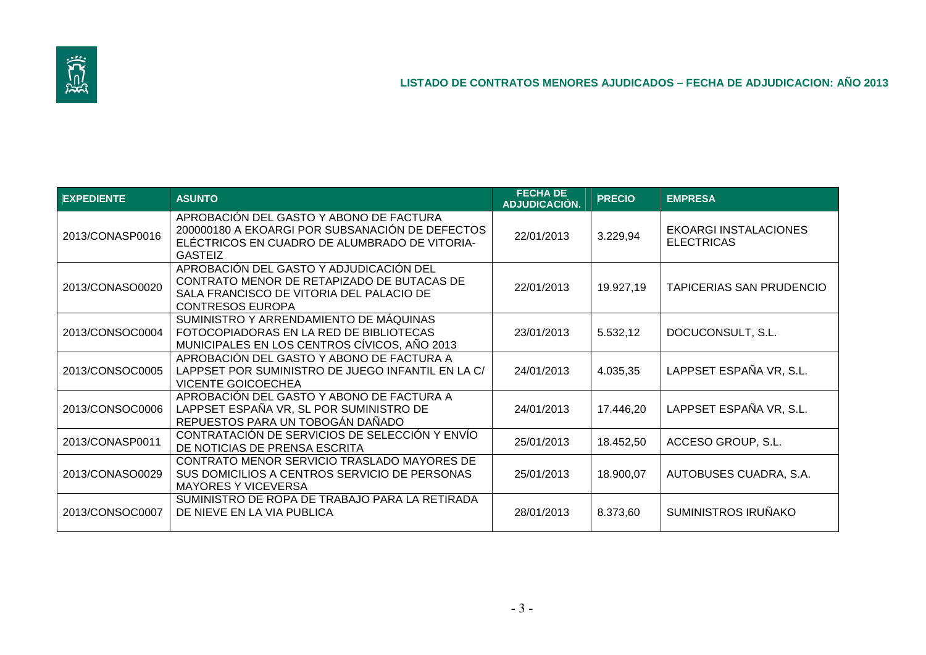

| <b>EXPEDIENTE</b> | <b>ASUNTO</b>                                                                                                                                                | <b>FECHA DE</b><br>ADJUDICACIÓN. | <b>PRECIO</b> | <b>EMPRESA</b>                                    |
|-------------------|--------------------------------------------------------------------------------------------------------------------------------------------------------------|----------------------------------|---------------|---------------------------------------------------|
| 2013/CONASP0016   | APROBACIÓN DEL GASTO Y ABONO DE FACTURA<br>200000180 A EKOARGI POR SUBSANACIÓN DE DEFECTOS<br>ELÉCTRICOS EN CUADRO DE ALUMBRADO DE VITORIA-<br>GASTEIZ       | 22/01/2013                       | 3.229,94      | <b>EKOARGI INSTALACIONES</b><br><b>ELECTRICAS</b> |
| 2013/CONASO0020   | APROBACIÓN DEL GASTO Y ADJUDICACIÓN DEL<br>CONTRATO MENOR DE RETAPIZADO DE BUTACAS DE<br>SALA FRANCISCO DE VITORIA DEL PALACIO DE<br><b>CONTRESOS EUROPA</b> | 22/01/2013                       | 19.927,19     | <b>TAPICERIAS SAN PRUDENCIO</b>                   |
| 2013/CONSOC0004   | SUMINISTRO Y ARRENDAMIENTO DE MÁQUINAS<br>FOTOCOPIADORAS EN LA RED DE BIBLIOTECAS<br>MUNICIPALES EN LOS CENTROS CÍVICOS, AÑO 2013                            | 23/01/2013                       | 5.532,12      | DOCUCONSULT, S.L.                                 |
| 2013/CONSOC0005   | APROBACIÓN DEL GASTO Y ABONO DE FACTURA A<br>LAPPSET POR SUMINISTRO DE JUEGO INFANTIL EN LA C/<br><b>VICENTE GOICOECHEA</b>                                  | 24/01/2013                       | 4.035,35      | LAPPSET ESPAÑA VR, S.L.                           |
| 2013/CONSOC0006   | APROBACIÓN DEL GASTO Y ABONO DE FACTURA A<br>LAPPSET ESPAÑA VR, SL POR SUMINISTRO DE<br>REPUESTOS PARA UN TOBOGÁN DAÑADO                                     | 24/01/2013                       | 17.446,20     | LAPPSET ESPAÑA VR, S.L.                           |
| 2013/CONASP0011   | CONTRATACIÓN DE SERVICIOS DE SELECCIÓN Y ENVÍO<br>DE NOTICIAS DE PRENSA ESCRITA                                                                              | 25/01/2013                       | 18.452,50     | ACCESO GROUP, S.L.                                |
| 2013/CONASO0029   | CONTRATO MENOR SERVICIO TRASLADO MAYORES DE<br>SUS DOMICILIOS A CENTROS SERVICIO DE PERSONAS<br><b>MAYORES Y VICEVERSA</b>                                   | 25/01/2013                       | 18.900,07     | AUTOBUSES CUADRA, S.A.                            |
| 2013/CONSOC0007   | SUMINISTRO DE ROPA DE TRABAJO PARA LA RETIRADA<br>DE NIEVE EN LA VIA PUBLICA                                                                                 | 28/01/2013                       | 8.373,60      | <b>SUMINISTROS IRUÑAKO</b>                        |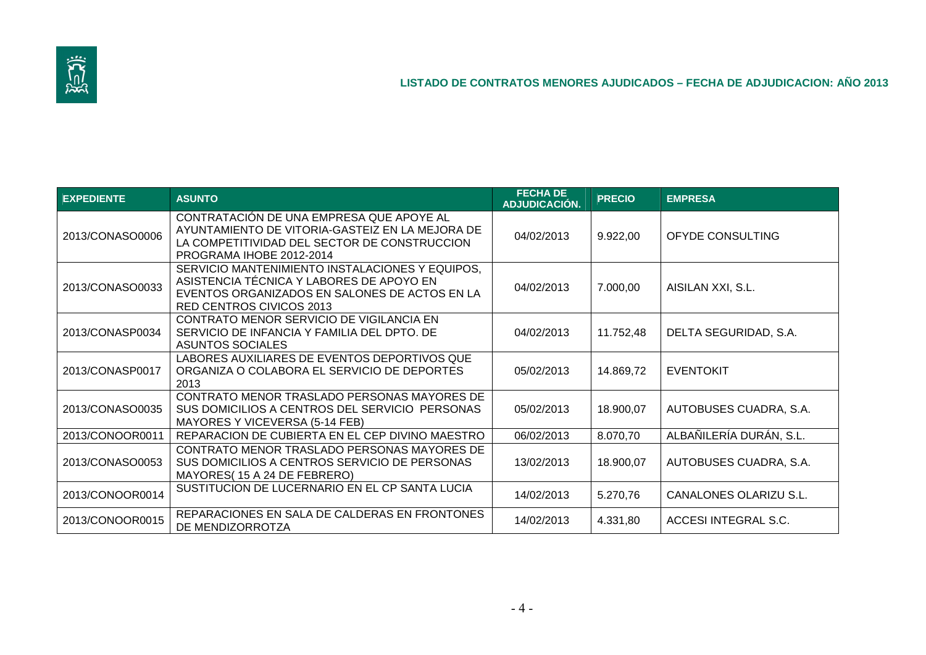

| <b>EXPEDIENTE</b> | <b>ASUNTO</b>                                                                                                                                                            | <b>FECHA DE</b><br>ADJUDICACIÓN. | <b>PRECIO</b> | <b>EMPRESA</b>          |
|-------------------|--------------------------------------------------------------------------------------------------------------------------------------------------------------------------|----------------------------------|---------------|-------------------------|
| 2013/CONASO0006   | CONTRATACION DE UNA EMPRESA QUE APOYE AL<br>AYUNTAMIENTO DE VITORIA-GASTEIZ EN LA MEJORA DE<br>LA COMPETITIVIDAD DEL SECTOR DE CONSTRUCCION<br>PROGRAMA IHOBE 2012-2014  | 04/02/2013                       | 9.922,00      | OFYDE CONSULTING        |
| 2013/CONASO0033   | SERVICIO MANTENIMIENTO INSTALACIONES Y EQUIPOS,<br>ASISTENCIA TÉCNICA Y LABORES DE APOYO EN<br>EVENTOS ORGANIZADOS EN SALONES DE ACTOS EN LA<br>RED CENTROS CIVICOS 2013 | 04/02/2013                       | 7.000,00      | AISILAN XXI, S.L.       |
| 2013/CONASP0034   | CONTRATO MENOR SERVICIO DE VIGILANCIA EN<br>SERVICIO DE INFANCIA Y FAMILIA DEL DPTO. DE<br>ASUNTOS SOCIALES                                                              | 04/02/2013                       | 11.752,48     | DELTA SEGURIDAD, S.A.   |
| 2013/CONASP0017   | LABORES AUXILIARES DE EVENTOS DEPORTIVOS QUE<br>ORGANIZA O COLABORA EL SERVICIO DE DEPORTES<br>2013                                                                      | 05/02/2013                       | 14.869,72     | <b>EVENTOKIT</b>        |
| 2013/CONASO0035   | CONTRATO MENOR TRASLADO PERSONAS MAYORES DE<br>SUS DOMICILIOS A CENTROS DEL SERVICIO PERSONAS<br>MAYORES Y VICEVERSA (5-14 FEB)                                          | 05/02/2013                       | 18.900,07     | AUTOBUSES CUADRA, S.A.  |
| 2013/CONOOR0011   | REPARACION DE CUBIERTA EN EL CEP DIVINO MAESTRO                                                                                                                          | 06/02/2013                       | 8.070,70      | ALBAÑILERÍA DURÁN, S.L. |
| 2013/CONASO0053   | CONTRATO MENOR TRASLADO PERSONAS MAYORES DE<br>SUS DOMICILIOS A CENTROS SERVICIO DE PERSONAS<br>MAYORES(15 A 24 DE FEBRERO)                                              | 13/02/2013                       | 18.900,07     | AUTOBUSES CUADRA, S.A.  |
| 2013/CONOOR0014   | SUSTITUCION DE LUCERNARIO EN EL CP SANTA LUCIA                                                                                                                           | 14/02/2013                       | 5.270,76      | CANALONES OLARIZU S.L.  |
| 2013/CONOOR0015   | REPARACIONES EN SALA DE CALDERAS EN FRONTONES<br>DE MENDIZORROTZA                                                                                                        | 14/02/2013                       | 4.331,80      | ACCESI INTEGRAL S.C.    |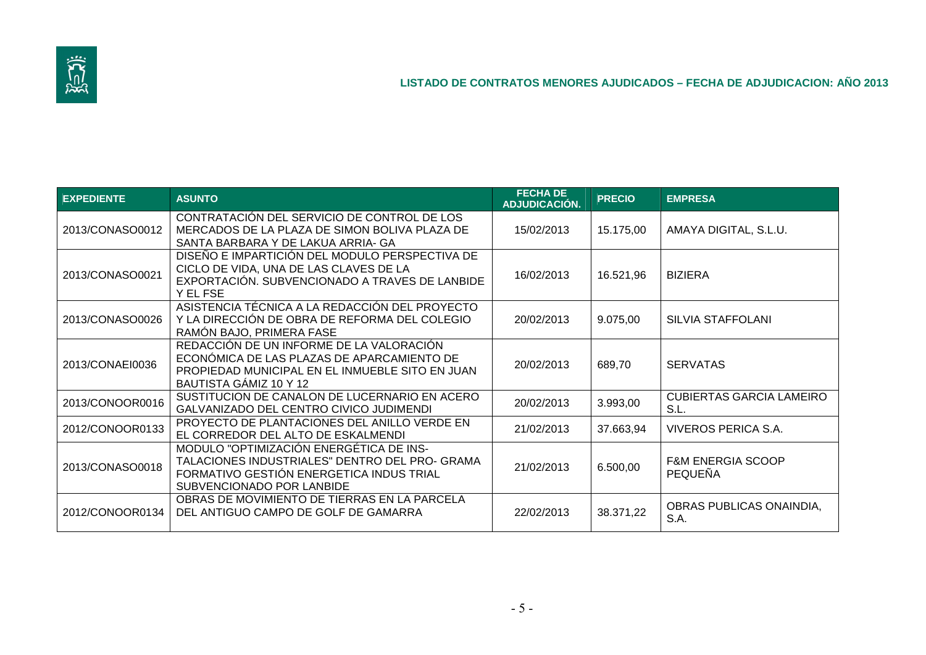

| <b>EXPEDIENTE</b> | <b>ASUNTO</b>                                                                                                                                                       | <b>FECHA DE</b><br>ADJUDICACIÓN. | <b>PRECIO</b> | <b>EMPRESA</b>                                 |
|-------------------|---------------------------------------------------------------------------------------------------------------------------------------------------------------------|----------------------------------|---------------|------------------------------------------------|
| 2013/CONASO0012   | CONTRATACIÓN DEL SERVICIO DE CONTROL DE LOS<br>MERCADOS DE LA PLAZA DE SIMON BOLIVA PLAZA DE<br>SANTA BARBARA Y DE LAKUA ARRIA- GA                                  | 15/02/2013                       | 15.175,00     | AMAYA DIGITAL, S.L.U.                          |
| 2013/CONASO0021   | DISEÑO E IMPARTICIÓN DEL MODULO PERSPECTIVA DE<br>CICLO DE VIDA, UNA DE LAS CLAVES DE LA<br>EXPORTACIÓN. SUBVENCIONADO A TRAVES DE LANBIDE<br>Y EL FSE              | 16/02/2013                       | 16.521,96     | <b>BIZIERA</b>                                 |
| 2013/CONASO0026   | ASISTENCIA TÉCNICA A LA REDACCIÓN DEL PROYECTO<br>Y LA DIRECCIÓN DE OBRA DE REFORMA DEL COLEGIO<br>RAMÓN BAJO, PRIMERA FASE                                         | 20/02/2013                       | 9.075,00      | SILVIA STAFFOLANI                              |
| 2013/CONAEI0036   | REDACCIÓN DE UN INFORME DE LA VALORACIÓN<br>ECONÓMICA DE LAS PLAZAS DE APARCAMIENTO DE<br>PROPIEDAD MUNICIPAL EN EL INMUEBLE SITO EN JUAN<br>BAUTISTA GÁMIZ 10 Y 12 | 20/02/2013                       | 689,70        | <b>SERVATAS</b>                                |
| 2013/CONOOR0016   | SUSTITUCION DE CANALON DE LUCERNARIO EN ACERO<br>GALVANIZADO DEL CENTRO CIVICO JUDIMENDI                                                                            | 20/02/2013                       | 3.993,00      | <b>CUBIERTAS GARCIA LAMEIRO</b><br>S.L.        |
| 2012/CONOOR0133   | PROYECTO DE PLANTACIONES DEL ANILLO VERDE EN<br>EL CORREDOR DEL ALTO DE ESKALMENDI                                                                                  | 21/02/2013                       | 37.663,94     | VIVEROS PERICA S.A.                            |
| 2013/CONASO0018   | MODULO "OPTIMIZACIÓN ENERGÉTICA DE INS-<br>TALACIONES INDUSTRIALES" DENTRO DEL PRO- GRAMA<br>FORMATIVO GESTIÓN ENERGETICA INDUS TRIAL<br>SUBVENCIONADO POR LANBIDE  | 21/02/2013                       | 6.500,00      | <b>F&amp;M ENERGIA SCOOP</b><br><b>PEQUEÑA</b> |
| 2012/CONOOR0134   | OBRAS DE MOVIMIENTO DE TIERRAS EN LA PARCELA<br>DEL ANTIGUO CAMPO DE GOLF DE GAMARRA                                                                                | 22/02/2013                       | 38.371,22     | OBRAS PUBLICAS ONAINDIA,<br>S.A.               |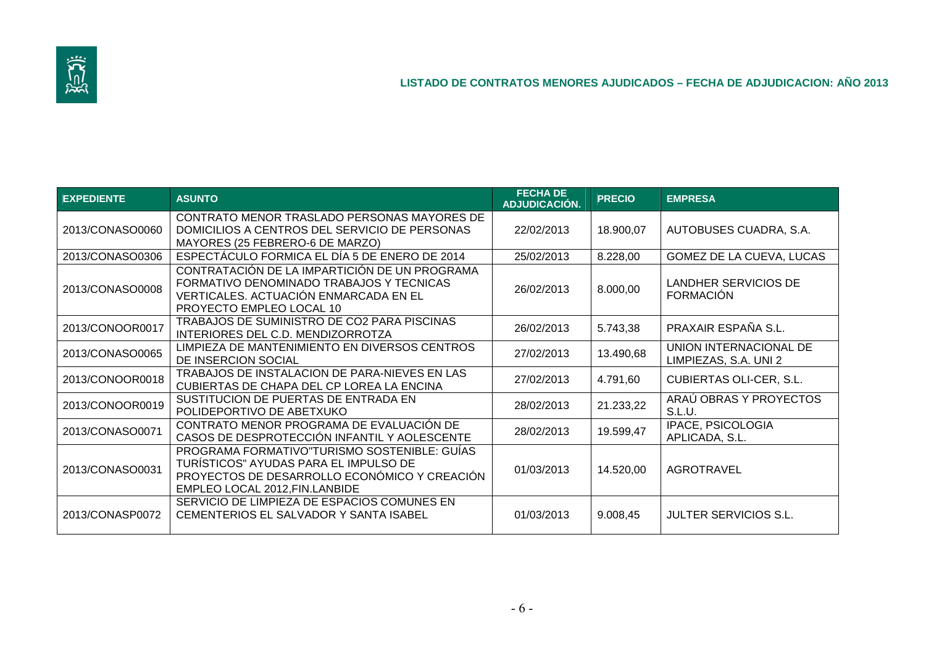

| <b>EXPEDIENTE</b> | <b>ASUNTO</b>                                                                                                                                                           | <b>FECHA DE</b><br>ADJUDICACIÓN. | <b>PRECIO</b> | <b>EMPRESA</b>                                  |
|-------------------|-------------------------------------------------------------------------------------------------------------------------------------------------------------------------|----------------------------------|---------------|-------------------------------------------------|
| 2013/CONASO0060   | CONTRATO MENOR TRASLADO PERSONAS MAYORES DE<br>DOMICILIOS A CENTROS DEL SERVICIO DE PERSONAS<br>MAYORES (25 FEBRERO-6 DE MARZO)                                         | 22/02/2013                       | 18.900,07     | AUTOBUSES CUADRA, S.A.                          |
| 2013/CONASO0306   | ESPECTÁCULO FORMICA EL DÍA 5 DE ENERO DE 2014                                                                                                                           | 25/02/2013                       | 8.228,00      | GOMEZ DE LA CUEVA, LUCAS                        |
| 2013/CONASO0008   | CONTRATACIÓN DE LA IMPARTICIÓN DE UN PROGRAMA<br>FORMATIVO DENOMINADO TRABAJOS Y TECNICAS<br>VERTICALES. ACTUACIÓN ENMARCADA EN EL<br>PROYECTO EMPLEO LOCAL 10          | 26/02/2013                       | 8.000,00      | LANDHER SERVICIOS DE<br><b>FORMACIÓN</b>        |
| 2013/CONOOR0017   | TRABAJOS DE SUMINISTRO DE CO2 PARA PISCINAS<br>INTERIORES DEL C.D. MENDIZORROTZA                                                                                        | 26/02/2013                       | 5.743,38      | PRAXAIR ESPAÑA S.L.                             |
| 2013/CONASO0065   | LIMPIEZA DE MANTENIMIENTO EN DIVERSOS CENTROS<br>DE INSERCION SOCIAL                                                                                                    | 27/02/2013                       | 13.490,68     | UNION INTERNACIONAL DE<br>LIMPIEZAS, S.A. UNI 2 |
| 2013/CONOOR0018   | TRABAJOS DE INSTALACION DE PARA-NIEVES EN LAS<br>CUBIERTAS DE CHAPA DEL CP LOREA LA ENCINA                                                                              | 27/02/2013                       | 4.791,60      | <b>CUBIERTAS OLI-CER, S.L.</b>                  |
| 2013/CONOOR0019   | SUSTITUCION DE PUERTAS DE ENTRADA EN<br>POLIDEPORTIVO DE ABETXUKO                                                                                                       | 28/02/2013                       | 21.233,22     | ARAÚ OBRAS Y PROYECTOS<br>S.L.U.                |
| 2013/CONASO0071   | CONTRATO MENOR PROGRAMA DE EVALUACIÓN DE<br>CASOS DE DESPROTECCIÓN INFANTIL Y AOLESCENTE                                                                                | 28/02/2013                       | 19.599,47     | IPACE, PSICOLOGIA<br>APLICADA, S.L.             |
| 2013/CONASO0031   | PROGRAMA FORMATIVO"TURISMO SOSTENIBLE: GUÍAS<br>TURÍSTICOS" AYUDAS PARA EL IMPULSO DE<br>PROYECTOS DE DESARROLLO ECONÓMICO Y CREACIÓN<br>EMPLEO LOCAL 2012, FIN.LANBIDE | 01/03/2013                       | 14.520,00     | <b>AGROTRAVEL</b>                               |
| 2013/CONASP0072   | SERVICIO DE LIMPIEZA DE ESPACIOS COMUNES EN<br>CEMENTERIOS EL SALVADOR Y SANTA ISABEL                                                                                   | 01/03/2013                       | 9.008,45      | <b>JULTER SERVICIOS S.L.</b>                    |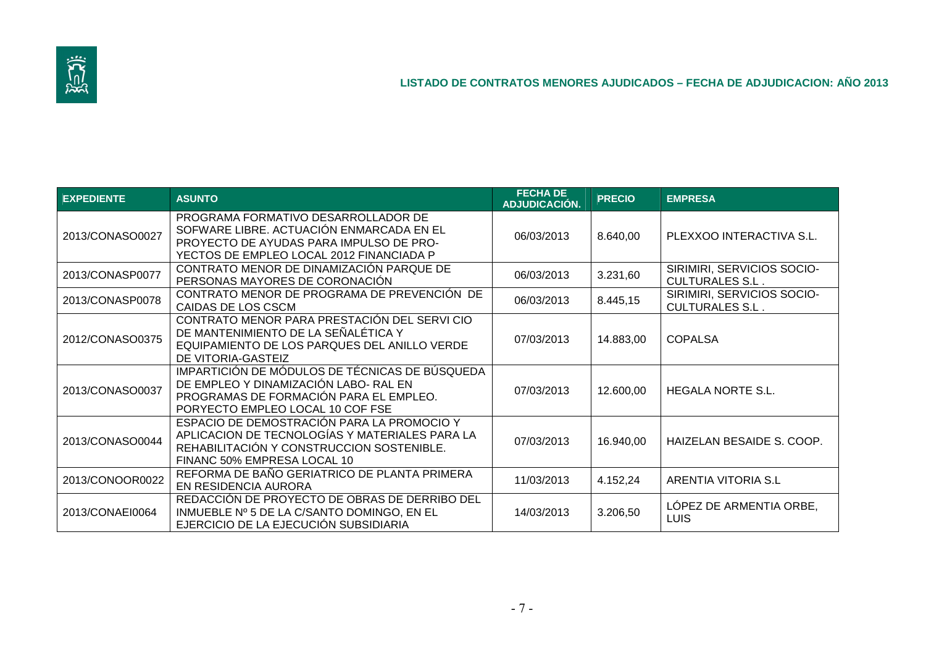

| <b>EXPEDIENTE</b> | <b>ASUNTO</b>                                                                                                                                                            | <b>FECHA DE</b><br>ADJUDICACIÓN. | <b>PRECIO</b> | <b>EMPRESA</b>                                       |
|-------------------|--------------------------------------------------------------------------------------------------------------------------------------------------------------------------|----------------------------------|---------------|------------------------------------------------------|
| 2013/CONASO0027   | PROGRAMA FORMATIVO DESARROLLADOR DE<br>SOFWARE LIBRE. ACTUACIÓN ENMARCADA EN EL<br>PROYECTO DE AYUDAS PARA IMPULSO DE PRO-<br>YECTOS DE EMPLEO LOCAL 2012 FINANCIADA P   | 06/03/2013                       | 8.640,00      | PLEXXOO INTERACTIVA S.L.                             |
| 2013/CONASP0077   | CONTRATO MENOR DE DINAMIZACIÓN PARQUE DE<br>PERSONAS MAYORES DE CORONACIÓN                                                                                               | 06/03/2013                       | 3.231,60      | SIRIMIRI, SERVICIOS SOCIO-<br><b>CULTURALES S.L.</b> |
| 2013/CONASP0078   | CONTRATO MENOR DE PROGRAMA DE PREVENCIÓN DE<br>CAIDAS DE LOS CSCM                                                                                                        | 06/03/2013                       | 8.445,15      | SIRIMIRI, SERVICIOS SOCIO-<br><b>CULTURALES S.L.</b> |
| 2012/CONASO0375   | CONTRATO MENOR PARA PRESTACIÓN DEL SERVI CIO<br>DE MANTENIMIENTO DE LA SEÑALÉTICA Y<br>EQUIPAMIENTO DE LOS PARQUES DEL ANILLO VERDE<br>DE VITORIA-GASTEIZ                | 07/03/2013                       | 14.883,00     | <b>COPALSA</b>                                       |
| 2013/CONASO0037   | IMPARTICIÓN DE MÓDULOS DE TÉCNICAS DE BÚSQUEDA<br>DE EMPLEO Y DINAMIZACIÓN LABO- RAL EN<br>PROGRAMAS DE FORMACIÓN PARA EL EMPLEO.<br>PORYECTO EMPLEO LOCAL 10 COF FSE    | 07/03/2013                       | 12.600,00     | <b>HEGALA NORTE S.L.</b>                             |
| 2013/CONASO0044   | ESPACIO DE DEMOSTRACIÓN PARA LA PROMOCIO Y<br>APLICACION DE TECNOLOGÍAS Y MATERIALES PARA LA<br>REHABILITACIÓN Y CONSTRUCCION SOSTENIBLE.<br>FINANC 50% EMPRESA LOCAL 10 | 07/03/2013                       | 16.940,00     | HAIZELAN BESAIDE S. COOP.                            |
| 2013/CONOOR0022   | REFORMA DE BAÑO GERIATRICO DE PLANTA PRIMERA<br>EN RESIDENCIA AURORA                                                                                                     | 11/03/2013                       | 4.152,24      | ARENTIA VITORIA S.L                                  |
| 2013/CONAEI0064   | REDACCIÓN DE PROYECTO DE OBRAS DE DERRIBO DEL<br>INMUEBLE Nº 5 DE LA C/SANTO DOMINGO, EN EL<br>EJERCICIO DE LA EJECUCIÓN SUBSIDIARIA                                     | 14/03/2013                       | 3.206,50      | LÓPEZ DE ARMENTIA ORBE,<br><b>LUIS</b>               |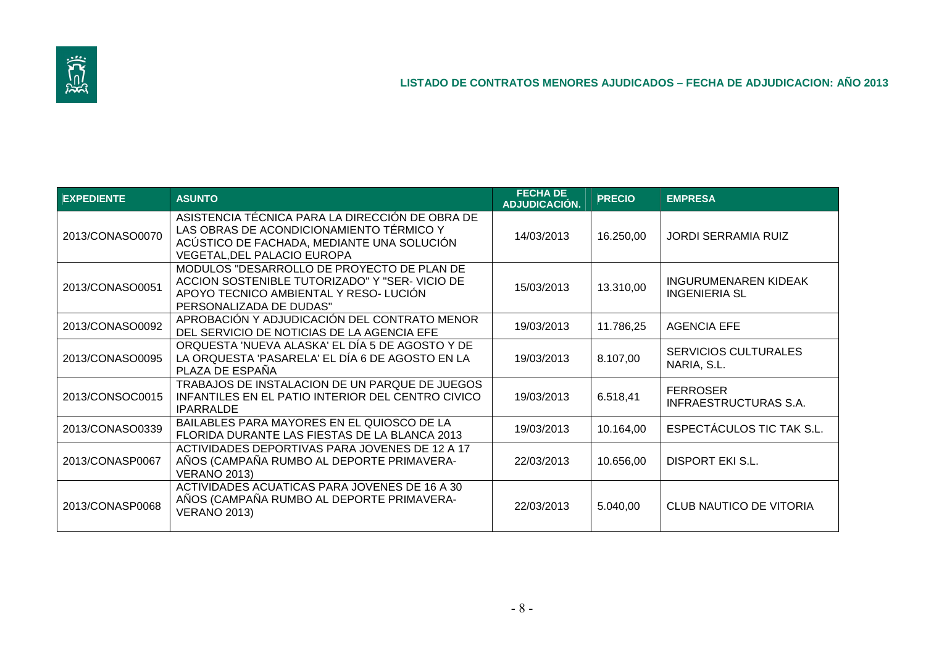

| <b>EXPEDIENTE</b> | <b>ASUNTO</b>                                                                                                                                                                   | <b>FECHA DE</b><br>ADJUDICACIÓN. | <b>PRECIO</b> | <b>EMPRESA</b>                                      |
|-------------------|---------------------------------------------------------------------------------------------------------------------------------------------------------------------------------|----------------------------------|---------------|-----------------------------------------------------|
| 2013/CONASO0070   | ASISTENCIA TÉCNICA PARA LA DIRECCIÓN DE OBRA DE<br>LAS OBRAS DE ACONDICIONAMIENTO TÉRMICO Y<br>ACÚSTICO DE FACHADA, MEDIANTE UNA SOLUCIÓN<br><b>VEGETAL, DEL PALACIO EUROPA</b> | 14/03/2013                       | 16.250,00     | <b>JORDI SERRAMIA RUIZ</b>                          |
| 2013/CONASO0051   | MODULOS "DESARROLLO DE PROYECTO DE PLAN DE<br>ACCION SOSTENIBLE TUTORIZADO" Y "SER- VICIO DE<br>APOYO TECNICO AMBIENTAL Y RESO- LUCIÓN<br>PERSONALIZADA DE DUDAS"               | 15/03/2013                       | 13.310,00     | <b>INGURUMENAREN KIDEAK</b><br><b>INGENIERIA SL</b> |
| 2013/CONASO0092   | APROBACIÓN Y ADJUDICACIÓN DEL CONTRATO MENOR<br>DEL SERVICIO DE NOTICIAS DE LA AGENCIA EFE                                                                                      | 19/03/2013                       | 11.786,25     | <b>AGENCIA EFE</b>                                  |
| 2013/CONASO0095   | ORQUESTA 'NUEVA ALASKA' EL DÍA 5 DE AGOSTO Y DE<br>LA ORQUESTA 'PASARELA' EL DÍA 6 DE AGOSTO EN LA<br>PLAZA DE ESPAÑA                                                           | 19/03/2013                       | 8.107,00      | <b>SERVICIOS CULTURALES</b><br>NARIA, S.L.          |
| 2013/CONSOC0015   | TRABAJOS DE INSTALACION DE UN PARQUE DE JUEGOS<br>INFANTILES EN EL PATIO INTERIOR DEL CENTRO CIVICO<br><b>IPARRALDE</b>                                                         | 19/03/2013                       | 6.518,41      | <b>FERROSER</b><br><b>INFRAESTRUCTURAS S.A.</b>     |
| 2013/CONASO0339   | BAILABLES PARA MAYORES EN EL QUIOSCO DE LA<br>FLORIDA DURANTE LAS FIESTAS DE LA BLANCA 2013                                                                                     | 19/03/2013                       | 10.164,00     | ESPECTÁCULOS TIC TAK S.L.                           |
| 2013/CONASP0067   | ACTIVIDADES DEPORTIVAS PARA JOVENES DE 12 A 17<br>AÑOS (CAMPAÑA RUMBO AL DEPORTE PRIMAVERA-<br><b>VERANO 2013)</b>                                                              | 22/03/2013                       | 10.656,00     | <b>DISPORT EKI S.L.</b>                             |
| 2013/CONASP0068   | ACTIVIDADES ACUATICAS PARA JOVENES DE 16 A 30<br>AÑOS (CAMPAÑA RUMBO AL DEPORTE PRIMAVERA-<br><b>VERANO 2013)</b>                                                               | 22/03/2013                       | 5.040,00      | <b>CLUB NAUTICO DE VITORIA</b>                      |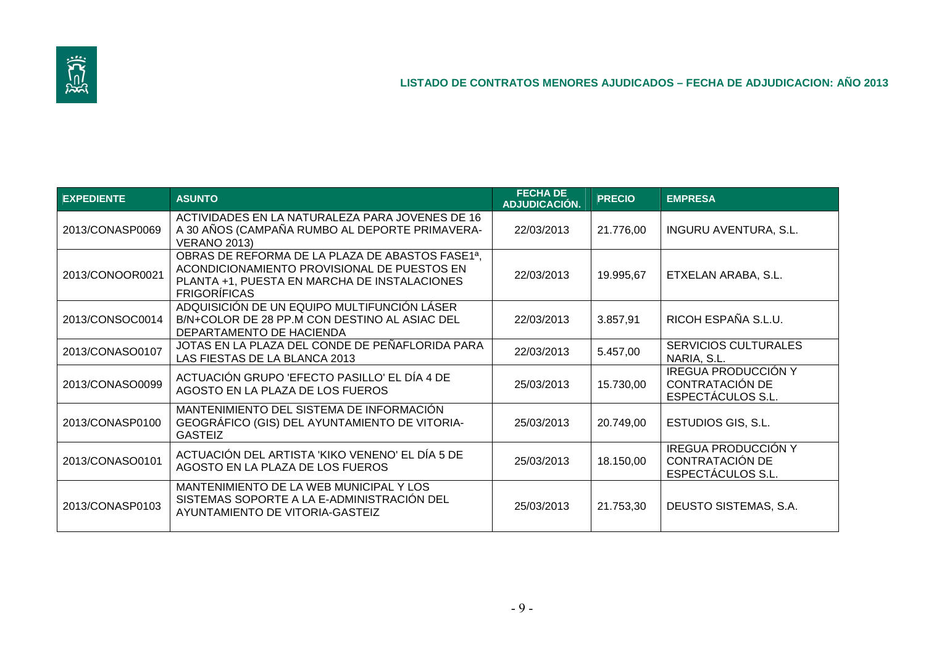

| <b>EXPEDIENTE</b> | <b>ASUNTO</b>                                                                                                                                                                      | <b>FECHA DE</b><br>ADJUDICACIÓN. | <b>PRECIO</b> | <b>EMPRESA</b>                                                     |
|-------------------|------------------------------------------------------------------------------------------------------------------------------------------------------------------------------------|----------------------------------|---------------|--------------------------------------------------------------------|
| 2013/CONASP0069   | ACTIVIDADES EN LA NATURALEZA PARA JOVENES DE 16<br>A 30 AÑOS (CAMPAÑA RUMBO AL DEPORTE PRIMAVERA-<br><b>VERANO 2013)</b>                                                           | 22/03/2013                       | 21.776,00     | <b>INGURU AVENTURA, S.L.</b>                                       |
| 2013/CONOOR0021   | OBRAS DE REFORMA DE LA PLAZA DE ABASTOS FASE1 <sup>a</sup> ,<br>ACONDICIONAMIENTO PROVISIONAL DE PUESTOS EN<br>PLANTA +1, PUESTA EN MARCHA DE INSTALACIONES<br><b>FRIGORÍFICAS</b> | 22/03/2013                       | 19.995,67     | ETXELAN ARABA, S.L.                                                |
| 2013/CONSOC0014   | ADQUISICIÓN DE UN EQUIPO MULTIFUNCIÓN LÁSER<br>B/N+COLOR DE 28 PP.M CON DESTINO AL ASIAC DEL<br>DEPARTAMENTO DE HACIENDA                                                           | 22/03/2013                       | 3.857,91      | RICOH ESPAÑA S.L.U.                                                |
| 2013/CONASO0107   | JOTAS EN LA PLAZA DEL CONDE DE PEÑAFLORIDA PARA<br>LAS FIESTAS DE LA BLANCA 2013                                                                                                   | 22/03/2013                       | 5.457,00      | <b>SERVICIOS CULTURALES</b><br>NARIA, S.L.                         |
| 2013/CONASO0099   | ACTUACIÓN GRUPO 'EFECTO PASILLO' EL DÍA 4 DE<br>AGOSTO EN LA PLAZA DE LOS FUEROS                                                                                                   | 25/03/2013                       | 15.730,00     | <b>IREGUA PRODUCCIÓN Y</b><br>CONTRATACIÓN DE<br>ESPECTÁCULOS S.L. |
| 2013/CONASP0100   | MANTENIMIENTO DEL SISTEMA DE INFORMACIÓN<br>GEOGRÁFICO (GIS) DEL AYUNTAMIENTO DE VITORIA-<br><b>GASTEIZ</b>                                                                        | 25/03/2013                       | 20.749,00     | ESTUDIOS GIS, S.L.                                                 |
| 2013/CONASO0101   | ACTUACIÓN DEL ARTISTA 'KIKO VENENO' EL DÍA 5 DE<br>AGOSTO EN LA PLAZA DE LOS FUEROS                                                                                                | 25/03/2013                       | 18.150,00     | <b>IREGUA PRODUCCIÓN Y</b><br>CONTRATACIÓN DE<br>ESPECTÁCULOS S.L. |
| 2013/CONASP0103   | MANTENIMIENTO DE LA WEB MUNICIPAL Y LOS<br>SISTEMAS SOPORTE A LA E-ADMINISTRACIÓN DEL<br>AYUNTAMIENTO DE VITORIA-GASTEIZ                                                           | 25/03/2013                       | 21.753,30     | DEUSTO SISTEMAS, S.A.                                              |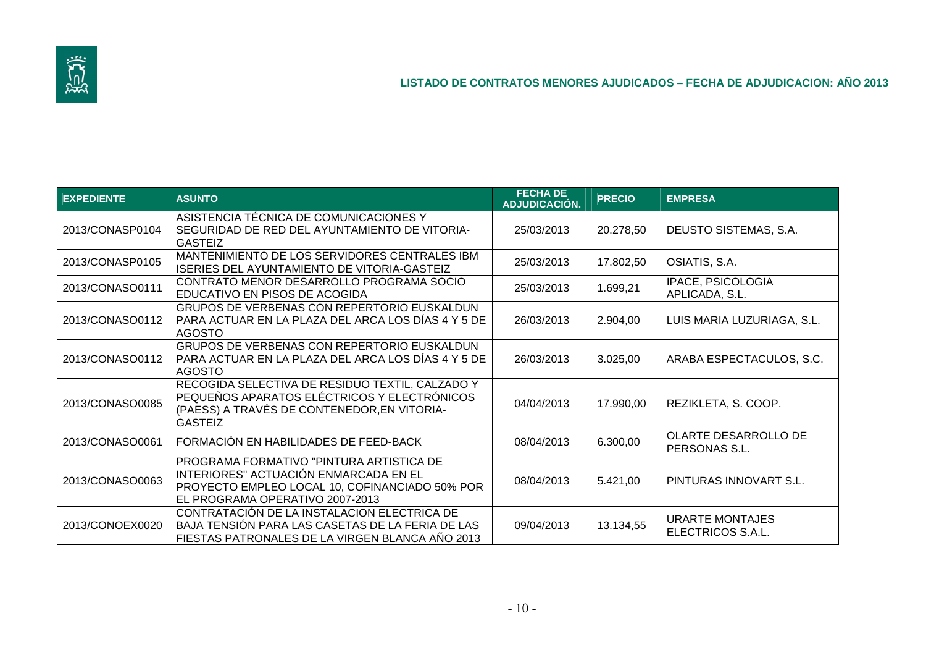

| <b>EXPEDIENTE</b> | <b>ASUNTO</b>                                                                                                                                                          | <b>FECHA DE</b><br>ADJUDICACIÓN. | <b>PRECIO</b> | <b>EMPRESA</b>                              |
|-------------------|------------------------------------------------------------------------------------------------------------------------------------------------------------------------|----------------------------------|---------------|---------------------------------------------|
| 2013/CONASP0104   | ASISTENCIA TÉCNICA DE COMUNICACIONES Y<br>SEGURIDAD DE RED DEL AYUNTAMIENTO DE VITORIA-<br><b>GASTEIZ</b>                                                              | 25/03/2013                       | 20.278,50     | DEUSTO SISTEMAS, S.A.                       |
| 2013/CONASP0105   | MANTENIMIENTO DE LOS SERVIDORES CENTRALES IBM<br><b>ISERIES DEL AYUNTAMIENTO DE VITORIA-GASTEIZ</b>                                                                    | 25/03/2013                       | 17.802,50     | OSIATIS, S.A.                               |
| 2013/CONASO0111   | CONTRATO MENOR DESARROLLO PROGRAMA SOCIO<br>EDUCATIVO EN PISOS DE ACOGIDA                                                                                              | 25/03/2013                       | 1.699,21      | IPACE, PSICOLOGIA<br>APLICADA, S.L.         |
| 2013/CONASO0112   | GRUPOS DE VERBENAS CON REPERTORIO EUSKALDUN<br>PARA ACTUAR EN LA PLAZA DEL ARCA LOS DÍAS 4 Y 5 DE<br><b>AGOSTO</b>                                                     | 26/03/2013                       | 2.904,00      | LUIS MARIA LUZURIAGA, S.L.                  |
| 2013/CONASO0112   | GRUPOS DE VERBENAS CON REPERTORIO EUSKALDUN<br>PARA ACTUAR EN LA PLAZA DEL ARCA LOS DÍAS 4 Y 5 DE<br><b>AGOSTO</b>                                                     | 26/03/2013                       | 3.025,00      | ARABA ESPECTACULOS, S.C.                    |
| 2013/CONASO0085   | RECOGIDA SELECTIVA DE RESIDUO TEXTIL, CALZADO Y<br>PEQUEÑOS APARATOS ELÉCTRICOS Y ELECTRÓNICOS<br>(PAESS) A TRAVÉS DE CONTENEDOR, EN VITORIA-<br><b>GASTEIZ</b>        | 04/04/2013                       | 17.990,00     | REZIKLETA, S. COOP.                         |
| 2013/CONASO0061   | FORMACIÓN EN HABILIDADES DE FEED-BACK                                                                                                                                  | 08/04/2013                       | 6.300,00      | OLARTE DESARROLLO DE<br>PERSONAS S.L.       |
| 2013/CONASO0063   | PROGRAMA FORMATIVO "PINTURA ARTISTICA DE<br>INTERIORES" ACTUACIÓN ENMARCADA EN EL<br>PROYECTO EMPLEO LOCAL 10, COFINANCIADO 50% POR<br>EL PROGRAMA OPERATIVO 2007-2013 | 08/04/2013                       | 5.421,00      | PINTURAS INNOVART S.L.                      |
| 2013/CONOEX0020   | CONTRATACIÓN DE LA INSTALACION ELECTRICA DE<br>BAJA TENSIÓN PARA LAS CASETAS DE LA FERIA DE LAS<br>FIESTAS PATRONALES DE LA VIRGEN BLANCA AÑO 2013                     | 09/04/2013                       | 13.134,55     | <b>URARTE MONTAJES</b><br>ELECTRICOS S.A.L. |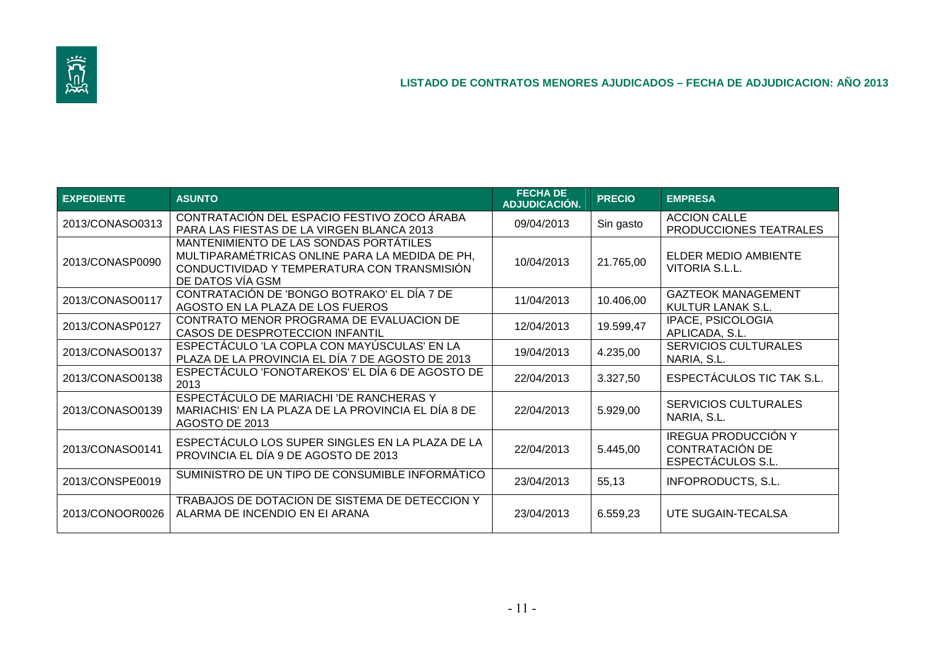

| <b>EXPEDIENTE</b> | <b>ASUNTO</b>                                                                                                                                               | <b>FECHA DE</b><br>ADJUDICACIÓN. | <b>PRECIO</b> | <b>EMPRESA</b>                                                     |
|-------------------|-------------------------------------------------------------------------------------------------------------------------------------------------------------|----------------------------------|---------------|--------------------------------------------------------------------|
| 2013/CONASO0313   | CONTRATACIÓN DEL ESPACIO FESTIVO ZOCO ÁRABA<br>PARA LAS FIESTAS DE LA VIRGEN BLANCA 2013                                                                    | 09/04/2013                       | Sin gasto     | <b>ACCION CALLE</b><br>PRODUCCIONES TEATRALES                      |
| 2013/CONASP0090   | MANTENIMIENTO DE LAS SONDAS PORTÁTILES<br>MULTIPARAMÉTRICAS ONLINE PARA LA MEDIDA DE PH,<br>CONDUCTIVIDAD Y TEMPERATURA CON TRANSMISIÓN<br>DE DATOS VÍA GSM | 10/04/2013                       | 21.765,00     | ELDER MEDIO AMBIENTE<br>VITORIA S.L.L.                             |
| 2013/CONASO0117   | CONTRATACIÓN DE 'BONGO BOTRAKO' EL DÍA 7 DE<br>AGOSTO EN LA PLAZA DE LOS FUEROS                                                                             | 11/04/2013                       | 10.406,00     | <b>GAZTEOK MANAGEMENT</b><br>KULTUR LANAK S.L.                     |
| 2013/CONASP0127   | CONTRATO MENOR PROGRAMA DE EVALUACION DE<br>CASOS DE DESPROTECCION INFANTIL                                                                                 | 12/04/2013                       | 19.599,47     | IPACE, PSICOLOGIA<br>APLICADA, S.L.                                |
| 2013/CONASO0137   | ESPECTÁCULO 'LA COPLA CON MAYÚSCULAS' EN LA<br>PLAZA DE LA PROVINCIA EL DÍA 7 DE AGOSTO DE 2013                                                             | 19/04/2013                       | 4.235,00      | <b>SERVICIOS CULTURALES</b><br>NARIA, S.L.                         |
| 2013/CONASO0138   | ESPECTÁCULO 'FONOTAREKOS' EL DÍA 6 DE AGOSTO DE<br>2013                                                                                                     | 22/04/2013                       | 3.327,50      | ESPECTÁCULOS TIC TAK S.L.                                          |
| 2013/CONASO0139   | ESPECTÁCULO DE MARIACHI 'DE RANCHERAS Y<br>MARIACHIS' EN LA PLAZA DE LA PROVINCIA EL DÍA 8 DE<br>AGOSTO DE 2013                                             | 22/04/2013                       | 5.929,00      | <b>SERVICIOS CULTURALES</b><br>NARIA, S.L.                         |
| 2013/CONASO0141   | ESPECTÁCULO LOS SUPER SINGLES EN LA PLAZA DE LA<br>PROVINCIA EL DÍA 9 DE AGOSTO DE 2013                                                                     | 22/04/2013                       | 5.445,00      | <b>IREGUA PRODUCCIÓN Y</b><br>CONTRATACIÓN DE<br>ESPECTÁCULOS S.L. |
| 2013/CONSPE0019   | SUMINISTRO DE UN TIPO DE CONSUMIBLE INFORMÁTICO                                                                                                             | 23/04/2013                       | 55,13         | <b>INFOPRODUCTS, S.L.</b>                                          |
| 2013/CONOOR0026   | TRABAJOS DE DOTACION DE SISTEMA DE DETECCION Y<br>ALARMA DE INCENDIO EN EI ARANA                                                                            | 23/04/2013                       | 6.559,23      | UTE SUGAIN-TECALSA                                                 |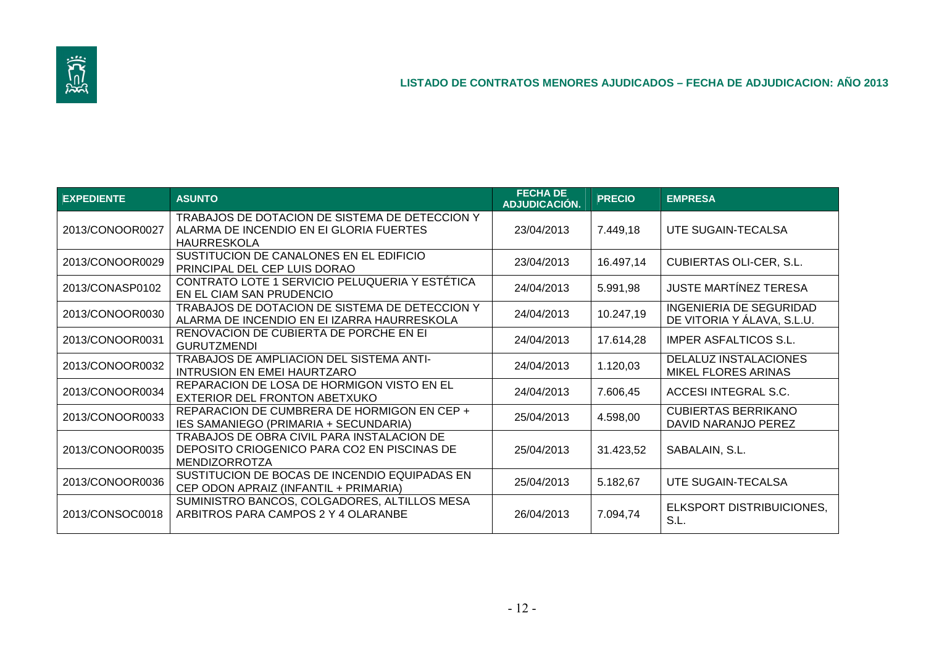

| <b>EXPEDIENTE</b> | <b>ASUNTO</b>                                                                                                     | <b>FECHA DE</b><br><b>ADJUDICACIÓN.</b> | <b>PRECIO</b> | <b>EMPRESA</b>                                               |
|-------------------|-------------------------------------------------------------------------------------------------------------------|-----------------------------------------|---------------|--------------------------------------------------------------|
| 2013/CONOOR0027   | TRABAJOS DE DOTACION DE SISTEMA DE DETECCION Y<br>ALARMA DE INCENDIO EN EI GLORIA FUERTES<br>HAURRESKOLA          | 23/04/2013                              | 7.449,18      | UTE SUGAIN-TECALSA                                           |
| 2013/CONOOR0029   | SUSTITUCION DE CANALONES EN EL EDIFICIO<br>PRINCIPAL DEL CEP LUIS DORAO                                           | 23/04/2013                              | 16.497,14     | <b>CUBIERTAS OLI-CER, S.L.</b>                               |
| 2013/CONASP0102   | CONTRATO LOTE 1 SERVICIO PELUQUERIA Y ESTETICA<br>EN EL CIAM SAN PRUDENCIO                                        | 24/04/2013                              | 5.991,98      | <b>JUSTE MARTINEZ TERESA</b>                                 |
| 2013/CONOOR0030   | TRABAJOS DE DOTACION DE SISTEMA DE DETECCION Y<br>ALARMA DE INCENDIO EN EI IZARRA HAURRESKOLA                     | 24/04/2013                              | 10.247,19     | <b>INGENIERIA DE SEGURIDAD</b><br>DE VITORIA Y ÁLAVA, S.L.U. |
| 2013/CONOOR0031   | RENOVACION DE CUBIERTA DE PORCHE EN EI<br><b>GURUTZMENDI</b>                                                      | 24/04/2013                              | 17.614,28     | <b>IMPER ASFALTICOS S.L.</b>                                 |
| 2013/CONOOR0032   | TRABAJOS DE AMPLIACION DEL SISTEMA ANTI-<br><b>INTRUSION EN EMEI HAURTZARO</b>                                    | 24/04/2013                              | 1.120,03      | DELALUZ INSTALACIONES<br><b>MIKEL FLORES ARINAS</b>          |
| 2013/CONOOR0034   | REPARACION DE LOSA DE HORMIGON VISTO EN EL<br>EXTERIOR DEL FRONTON ABETXUKO                                       | 24/04/2013                              | 7.606,45      | ACCESI INTEGRAL S.C.                                         |
| 2013/CONOOR0033   | REPARACION DE CUMBRERA DE HORMIGON EN CEP +<br>IES SAMANIEGO (PRIMARIA + SECUNDARIA)                              | 25/04/2013                              | 4.598,00      | <b>CUBIERTAS BERRIKANO</b><br>DAVID NARANJO PEREZ            |
| 2013/CONOOR0035   | TRABAJOS DE OBRA CIVIL PARA INSTALACION DE<br>DEPOSITO CRIOGENICO PARA CO2 EN PISCINAS DE<br><b>MENDIZORROTZA</b> | 25/04/2013                              | 31.423,52     | SABALAIN, S.L.                                               |
| 2013/CONOOR0036   | SUSTITUCION DE BOCAS DE INCENDIO EQUIPADAS EN<br>CEP ODON APRAIZ (INFANTIL + PRIMARIA)                            | 25/04/2013                              | 5.182,67      | UTE SUGAIN-TECALSA                                           |
| 2013/CONSOC0018   | SUMINISTRO BANCOS, COLGADORES, ALTILLOS MESA<br>ARBITROS PARA CAMPOS 2 Y 4 OLARANBE                               | 26/04/2013                              | 7.094,74      | ELKSPORT DISTRIBUICIONES,<br>S.L.                            |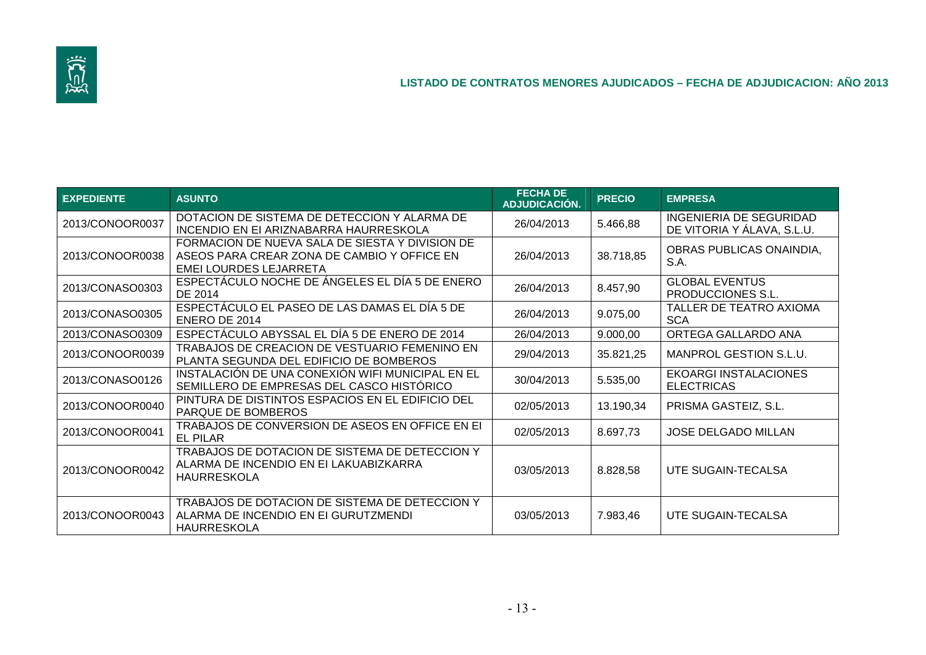

| <b>EXPEDIENTE</b> | <b>ASUNTO</b>                                                                                                            | <b>FECHA DE</b><br>ADJUDICACIÓN. | <b>PRECIO</b> | <b>EMPRESA</b>                                        |
|-------------------|--------------------------------------------------------------------------------------------------------------------------|----------------------------------|---------------|-------------------------------------------------------|
| 2013/CONOOR0037   | DOTACION DE SISTEMA DE DETECCION Y ALARMA DE<br>INCENDIO EN EI ARIZNABARRA HAURRESKOLA                                   | 26/04/2013                       | 5.466,88      | INGENIERIA DE SEGURIDAD<br>DE VITORIA Y ÁLAVA, S.L.U. |
| 2013/CONOOR0038   | FORMACION DE NUEVA SALA DE SIESTA Y DIVISION DE<br>ASEOS PARA CREAR ZONA DE CAMBIO Y OFFICE EN<br>EMEI LOURDES LEJARRETA | 26/04/2013                       | 38.718,85     | OBRAS PUBLICAS ONAINDIA,<br>S.A.                      |
| 2013/CONASO0303   | ESPECTÁCULO NOCHE DE ÁNGELES EL DÍA 5 DE ENERO<br>DE 2014                                                                | 26/04/2013                       | 8.457,90      | <b>GLOBAL EVENTUS</b><br>PRODUCCIONES S.L.            |
| 2013/CONASO0305   | ESPECTÁCULO EL PASEO DE LAS DAMAS EL DÍA 5 DE<br>ENERO DE 2014                                                           | 26/04/2013                       | 9.075,00      | <b>TALLER DE TEATRO AXIOMA</b><br><b>SCA</b>          |
| 2013/CONASO0309   | ESPECTÁCULO ABYSSAL EL DÍA 5 DE ENERO DE 2014                                                                            | 26/04/2013                       | 9.000,00      | ORTEGA GALLARDO ANA                                   |
| 2013/CONOOR0039   | TRABAJOS DE CREACION DE VESTUARIO FEMENINO EN<br>PLANTA SEGUNDA DEL EDIFICIO DE BOMBEROS                                 | 29/04/2013                       | 35.821,25     | MANPROL GESTION S.L.U.                                |
| 2013/CONASO0126   | INSTALACIÓN DE UNA CONEXIÓN WIFI MUNICIPAL EN EL<br>SEMILLERO DE EMPRESAS DEL CASCO HISTÓRICO                            | 30/04/2013                       | 5.535,00      | <b>EKOARGI INSTALACIONES</b><br><b>ELECTRICAS</b>     |
| 2013/CONOOR0040   | PINTURA DE DISTINTOS ESPACIOS EN EL EDIFICIO DEL<br>PARQUE DE BOMBEROS                                                   | 02/05/2013                       | 13.190,34     | PRISMA GASTEIZ, S.L.                                  |
| 2013/CONOOR0041   | TRABAJOS DE CONVERSION DE ASEOS EN OFFICE EN EI<br><b>EL PILAR</b>                                                       | 02/05/2013                       | 8.697,73      | <b>JOSE DELGADO MILLAN</b>                            |
| 2013/CONOOR0042   | TRABAJOS DE DOTACION DE SISTEMA DE DETECCION Y<br>ALARMA DE INCENDIO EN EI LAKUABIZKARRA<br><b>HAURRESKOLA</b>           | 03/05/2013                       | 8.828,58      | UTE SUGAIN-TECALSA                                    |
| 2013/CONOOR0043   | TRABAJOS DE DOTACION DE SISTEMA DE DETECCION Y<br>ALARMA DE INCENDIO EN EI GURUTZMENDI<br><b>HAURRESKOLA</b>             | 03/05/2013                       | 7.983,46      | UTE SUGAIN-TECALSA                                    |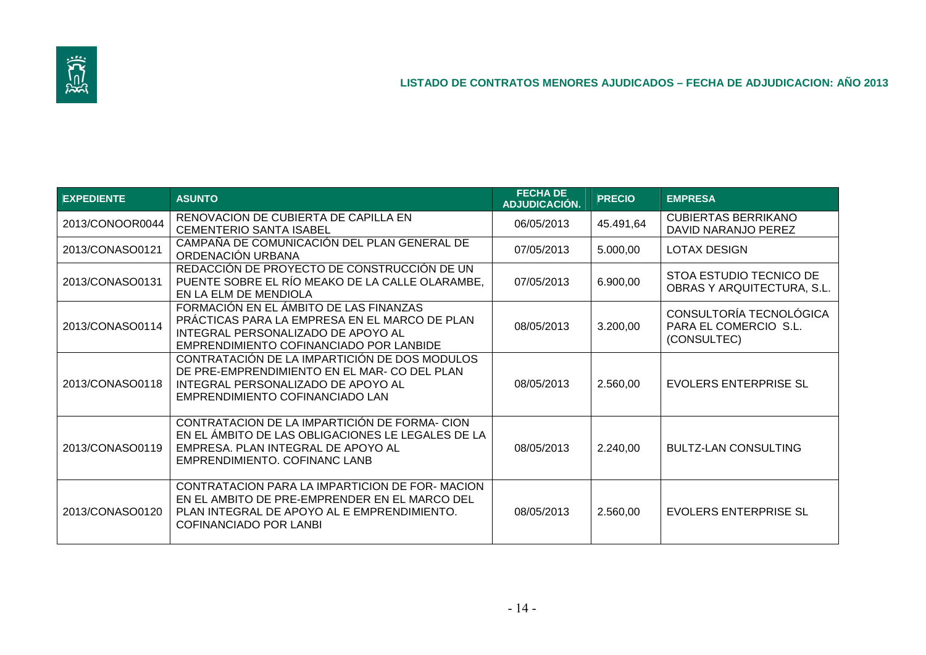

| <b>EXPEDIENTE</b> | <b>ASUNTO</b>                                                                                                                                                                   | <b>FECHA DE</b><br><b>ADJUDICACIÓN.</b> | <b>PRECIO</b> | <b>EMPRESA</b>                                                  |
|-------------------|---------------------------------------------------------------------------------------------------------------------------------------------------------------------------------|-----------------------------------------|---------------|-----------------------------------------------------------------|
| 2013/CONOOR0044   | RENOVACION DE CUBIERTA DE CAPILLA EN<br><b>CEMENTERIO SANTA ISABEL</b>                                                                                                          | 06/05/2013                              | 45.491,64     | <b>CUBIERTAS BERRIKANO</b><br>DAVID NARANJO PEREZ               |
| 2013/CONASO0121   | CAMPAÑA DE COMUNICACIÓN DEL PLAN GENERAL DE<br>ORDENACIÓN URBANA                                                                                                                | 07/05/2013                              | 5.000,00      | <b>LOTAX DESIGN</b>                                             |
| 2013/CONASO0131   | REDACCIÓN DE PROYECTO DE CONSTRUCCIÓN DE UN<br>PUENTE SOBRE EL RÍO MEAKO DE LA CALLE OLARAMBE,<br>EN LA ELM DE MENDIOLA                                                         | 07/05/2013                              | 6.900,00      | STOA ESTUDIO TECNICO DE<br>OBRAS Y ARQUITECTURA, S.L.           |
| 2013/CONASO0114   | FORMACIÓN EN EL ÁMBITO DE LAS FINANZAS<br>PRÁCTICAS PARA LA EMPRESA EN EL MARCO DE PLAN<br>INTEGRAL PERSONALIZADO DE APOYO AL<br>EMPRENDIMIENTO COFINANCIADO POR LANBIDE        | 08/05/2013                              | 3.200,00      | CONSULTORÍA TECNOLÓGICA<br>PARA EL COMERCIO S.L.<br>(CONSULTEC) |
| 2013/CONASO0118   | CONTRATACIÓN DE LA IMPARTICIÓN DE DOS MODULOS<br>DE PRE-EMPRENDIMIENTO EN EL MAR-CO DEL PLAN<br>INTEGRAL PERSONALIZADO DE APOYO AL<br>EMPRENDIMIENTO COFINANCIADO LAN           | 08/05/2013                              | 2.560,00      | <b>EVOLERS ENTERPRISE SL</b>                                    |
| 2013/CONASO0119   | CONTRATACION DE LA IMPARTICIÓN DE FORMA-CION<br>EN EL ÁMBITO DE LAS OBLIGACIONES LE LEGALES DE LA<br>EMPRESA. PLAN INTEGRAL DE APOYO AL<br>EMPRENDIMIENTO. COFINANC LANB        | 08/05/2013                              | 2.240,00      | <b>BULTZ-LAN CONSULTING</b>                                     |
| 2013/CONASO0120   | CONTRATACION PARA LA IMPARTICION DE FOR-MACION<br>EN EL AMBITO DE PRE-EMPRENDER EN EL MARCO DEL<br>PLAN INTEGRAL DE APOYO AL E EMPRENDIMIENTO.<br><b>COFINANCIADO POR LANBI</b> | 08/05/2013                              | 2.560,00      | <b>EVOLERS ENTERPRISE SL</b>                                    |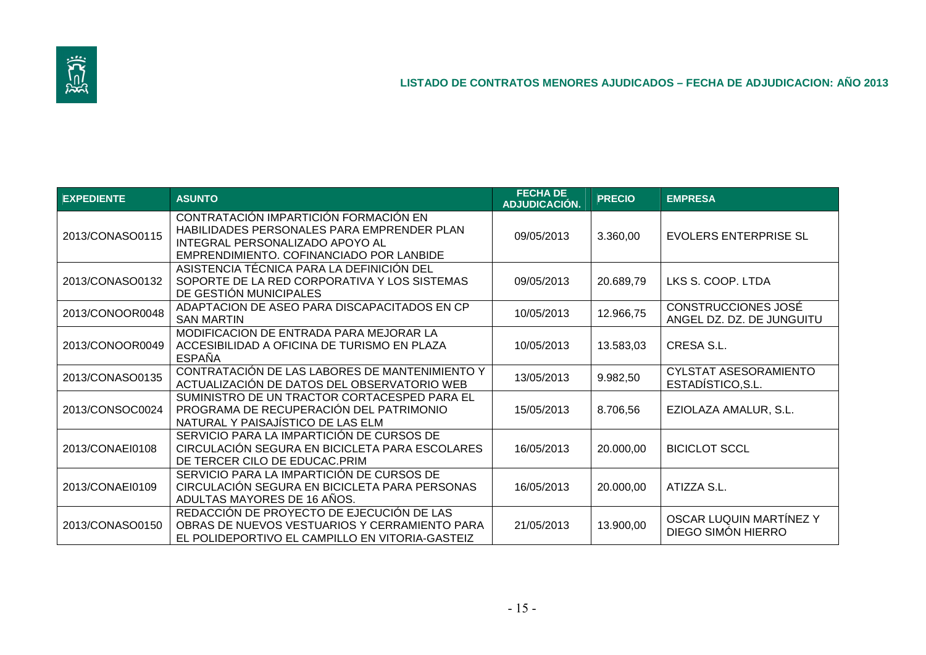

| <b>EXPEDIENTE</b> | <b>ASUNTO</b>                                                                                                                                                      | <b>FECHA DE</b><br>ADJUDICACIÓN. | <b>PRECIO</b> | <b>EMPRESA</b>                                   |
|-------------------|--------------------------------------------------------------------------------------------------------------------------------------------------------------------|----------------------------------|---------------|--------------------------------------------------|
| 2013/CONASO0115   | CONTRATACIÓN IMPARTICIÓN FORMACIÓN EN<br>HABILIDADES PERSONALES PARA EMPRENDER PLAN<br>INTEGRAL PERSONALIZADO APOYO AL<br>EMPRENDIMIENTO. COFINANCIADO POR LANBIDE | 09/05/2013                       | 3.360,00      | <b>EVOLERS ENTERPRISE SL</b>                     |
| 2013/CONASO0132   | ASISTENCIA TÉCNICA PARA LA DEFINICIÓN DEL<br>SOPORTE DE LA RED CORPORATIVA Y LOS SISTEMAS<br>DE GESTIÓN MUNICIPALES                                                | 09/05/2013                       | 20.689,79     | LKS S. COOP. LTDA                                |
| 2013/CONOOR0048   | ADAPTACION DE ASEO PARA DISCAPACITADOS EN CP<br><b>SAN MARTIN</b>                                                                                                  | 10/05/2013                       | 12.966,75     | CONSTRUCCIONES JOSÉ<br>ANGEL DZ. DZ. DE JUNGUITU |
| 2013/CONOOR0049   | MODIFICACION DE ENTRADA PARA MEJORAR LA<br>ACCESIBILIDAD A OFICINA DE TURISMO EN PLAZA<br><b>ESPAÑA</b>                                                            | 10/05/2013                       | 13.583,03     | CRESA S.L.                                       |
| 2013/CONASO0135   | CONTRATACIÓN DE LAS LABORES DE MANTENIMIENTO Y<br>ACTUALIZACIÓN DE DATOS DEL OBSERVATORIO WEB                                                                      | 13/05/2013                       | 9.982,50      | CYLSTAT ASESORAMIENTO<br>ESTADÍSTICO, S.L.       |
| 2013/CONSOC0024   | SUMINISTRO DE UN TRACTOR CORTACESPED PARA EL<br>PROGRAMA DE RECUPERACIÓN DEL PATRIMONIO<br>NATURAL Y PAISAJÍSTICO DE LAS ELM                                       | 15/05/2013                       | 8.706,56      | EZIOLAZA AMALUR, S.L.                            |
| 2013/CONAEI0108   | SERVICIO PARA LA IMPARTICIÓN DE CURSOS DE<br>CIRCULACIÓN SEGURA EN BICICLETA PARA ESCOLARES<br>DE TERCER CILO DE EDUCAC.PRIM                                       | 16/05/2013                       | 20.000,00     | <b>BICICLOT SCCL</b>                             |
| 2013/CONAEI0109   | SERVICIO PARA LA IMPARTICIÓN DE CURSOS DE<br>CIRCULACIÓN SEGURA EN BICICLETA PARA PERSONAS<br>ADULTAS MAYORES DE 16 AÑOS.                                          | 16/05/2013                       | 20.000,00     | ATIZZA S.L.                                      |
| 2013/CONASO0150   | REDACCIÓN DE PROYECTO DE EJECUCIÓN DE LAS<br>OBRAS DE NUEVOS VESTUARIOS Y CERRAMIENTO PARA<br>EL POLIDEPORTIVO EL CAMPILLO EN VITORIA-GASTEIZ                      | 21/05/2013                       | 13.900,00     | OSCAR LUQUIN MARTÍNEZ Y<br>DIEGO SIMÓN HIERRO    |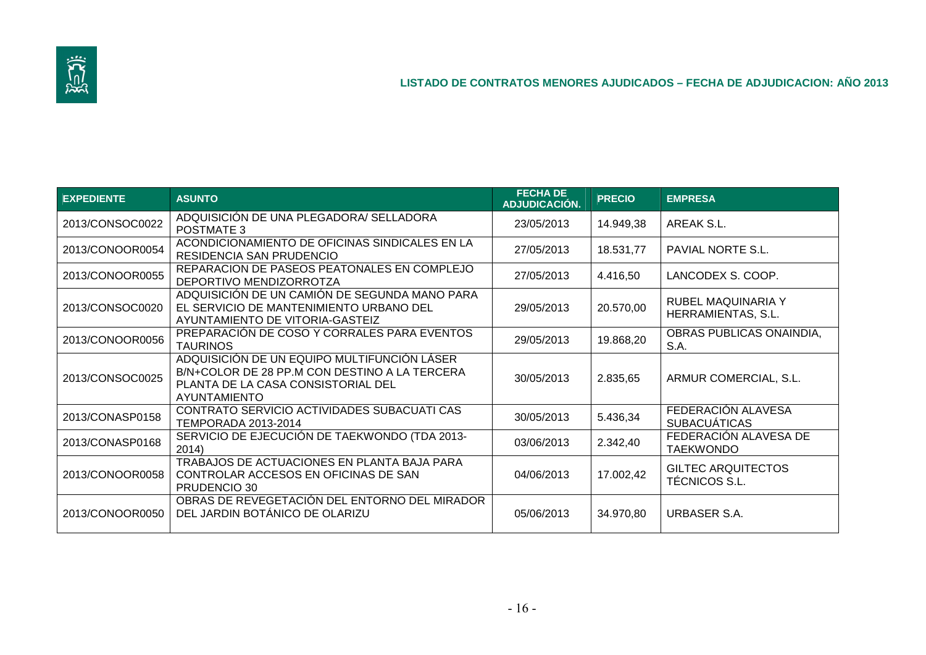

| <b>EXPEDIENTE</b> | <b>ASUNTO</b>                                                                                                                                      | <b>FECHA DE</b><br>ADJUDICACIÓN. | <b>PRECIO</b> | <b>EMPRESA</b>                            |
|-------------------|----------------------------------------------------------------------------------------------------------------------------------------------------|----------------------------------|---------------|-------------------------------------------|
| 2013/CONSOC0022   | ADQUISICIÓN DE UNA PLEGADORA/ SELLADORA<br><b>POSTMATE 3</b>                                                                                       | 23/05/2013                       | 14.949,38     | AREAK S.L.                                |
| 2013/CONOOR0054   | ACONDICIONAMIENTO DE OFICINAS SINDICALES EN LA<br>RESIDENCIA SAN PRUDENCIO                                                                         | 27/05/2013                       | 18.531,77     | PAVIAL NORTE S.L.                         |
| 2013/CONOOR0055   | REPARACION DE PASEOS PEATONALES EN COMPLEJO<br>DEPORTIVO MENDIZORROTZA                                                                             | 27/05/2013                       | 4.416,50      | LANCODEX S. COOP.                         |
| 2013/CONSOC0020   | ADQUISICIÓN DE UN CAMIÓN DE SEGUNDA MANO PARA<br>EL SERVICIO DE MANTENIMIENTO URBANO DEL<br>AYUNTAMIENTO DE VITORIA-GASTEIZ                        | 29/05/2013                       | 20.570,00     | RUBEL MAQUINARIA Y<br>HERRAMIENTAS, S.L.  |
| 2013/CONOOR0056   | PREPARACIÓN DE COSO Y CORRALES PARA EVENTOS<br><b>TAURINOS</b>                                                                                     | 29/05/2013                       | 19.868,20     | OBRAS PUBLICAS ONAINDIA,<br>S.A.          |
| 2013/CONSOC0025   | ADQUISICIÓN DE UN EQUIPO MULTIFUNCIÓN LÁSER<br>B/N+COLOR DE 28 PP.M CON DESTINO A LA TERCERA<br>PLANTA DE LA CASA CONSISTORIAL DEL<br>AYUNTAMIENTO | 30/05/2013                       | 2.835,65      | ARMUR COMERCIAL, S.L.                     |
| 2013/CONASP0158   | CONTRATO SERVICIO ACTIVIDADES SUBACUATI CAS<br><b>TEMPORADA 2013-2014</b>                                                                          | 30/05/2013                       | 5.436,34      | FEDERACIÓN ALAVESA<br><b>SUBACUÁTICAS</b> |
| 2013/CONASP0168   | SERVICIO DE EJECUCIÓN DE TAEKWONDO (TDA 2013-<br>2014)                                                                                             | 03/06/2013                       | 2.342,40      | FEDERACIÓN ALAVESA DE<br><b>TAEKWONDO</b> |
| 2013/CONOOR0058   | TRABAJOS DE ACTUACIONES EN PLANTA BAJA PARA<br>CONTROLAR ACCESOS EN OFICINAS DE SAN<br>PRUDENCIO 30                                                | 04/06/2013                       | 17.002,42     | GILTEC ARQUITECTOS<br>TÉCNICOS S.L.       |
| 2013/CONOOR0050   | OBRAS DE REVEGETACIÓN DEL ENTORNO DEL MIRADOR<br>DEL JARDIN BOTÁNICO DE OLARIZU                                                                    | 05/06/2013                       | 34.970,80     | URBASER S.A.                              |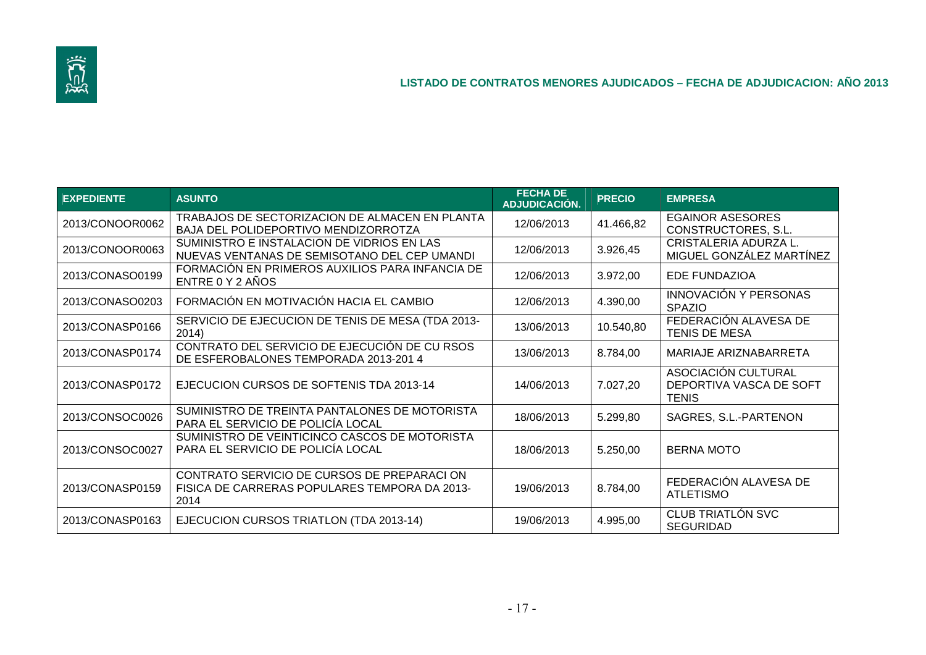

| <b>EXPEDIENTE</b> | <b>ASUNTO</b>                                                                                       | <b>FECHA DE</b><br>ADJUDICACIÓN. | <b>PRECIO</b> | <b>EMPRESA</b>                                                 |
|-------------------|-----------------------------------------------------------------------------------------------------|----------------------------------|---------------|----------------------------------------------------------------|
| 2013/CONOOR0062   | TRABAJOS DE SECTORIZACION DE ALMACEN EN PLANTA<br>BAJA DEL POLIDEPORTIVO MENDIZORROTZA              | 12/06/2013                       | 41.466,82     | <b>EGAINOR ASESORES</b><br>CONSTRUCTORES, S.L.                 |
| 2013/CONOOR0063   | SUMINISTRO E INSTALACION DE VIDRIOS EN LAS<br>NUEVAS VENTANAS DE SEMISOTANO DEL CEP UMANDI          | 12/06/2013                       | 3.926,45      | CRISTALERIA ADURZA L.<br>MIGUEL GONZÁLEZ MARTÍNEZ              |
| 2013/CONASO0199   | FORMACIÓN EN PRIMEROS AUXILIOS PARA INFANCIA DE<br>ENTRE 0 Y 2 AÑOS                                 | 12/06/2013                       | 3.972,00      | <b>EDE FUNDAZIOA</b>                                           |
| 2013/CONASO0203   | FORMACIÓN EN MOTIVACIÓN HACIA EL CAMBIO                                                             | 12/06/2013                       | 4.390,00      | <b>INNOVACIÓN Y PERSONAS</b><br><b>SPAZIO</b>                  |
| 2013/CONASP0166   | SERVICIO DE EJECUCION DE TENIS DE MESA (TDA 2013-<br>2014)                                          | 13/06/2013                       | 10.540,80     | FEDERACIÓN ALAVESA DE<br>TENIS DE MESA                         |
| 2013/CONASP0174   | CONTRATO DEL SERVICIO DE EJECUCIÓN DE CU RSOS<br>DE ESFEROBALONES TEMPORADA 2013-201 4              | 13/06/2013                       | 8.784,00      | MARIAJE ARIZNABARRETA                                          |
| 2013/CONASP0172   | EJECUCION CURSOS DE SOFTENIS TDA 2013-14                                                            | 14/06/2013                       | 7.027,20      | ASOCIACIÓN CULTURAL<br>DEPORTIVA VASCA DE SOFT<br><b>TENIS</b> |
| 2013/CONSOC0026   | SUMINISTRO DE TREINTA PANTALONES DE MOTORISTA<br>PARA EL SERVICIO DE POLICÍA LOCAL                  | 18/06/2013                       | 5.299,80      | SAGRES, S.L.-PARTENON                                          |
| 2013/CONSOC0027   | SUMINISTRO DE VEINTICINCO CASCOS DE MOTORISTA<br>PARA EL SERVICIO DE POLICÍA LOCAL                  | 18/06/2013                       | 5.250,00      | <b>BERNA MOTO</b>                                              |
| 2013/CONASP0159   | CONTRATO SERVICIO DE CURSOS DE PREPARACION<br>FISICA DE CARRERAS POPULARES TEMPORA DA 2013-<br>2014 | 19/06/2013                       | 8.784,00      | FEDERACIÓN ALAVESA DE<br><b>ATLETISMO</b>                      |
| 2013/CONASP0163   | EJECUCION CURSOS TRIATLON (TDA 2013-14)                                                             | 19/06/2013                       | 4.995,00      | CLUB TRIATLÓN SVC<br><b>SEGURIDAD</b>                          |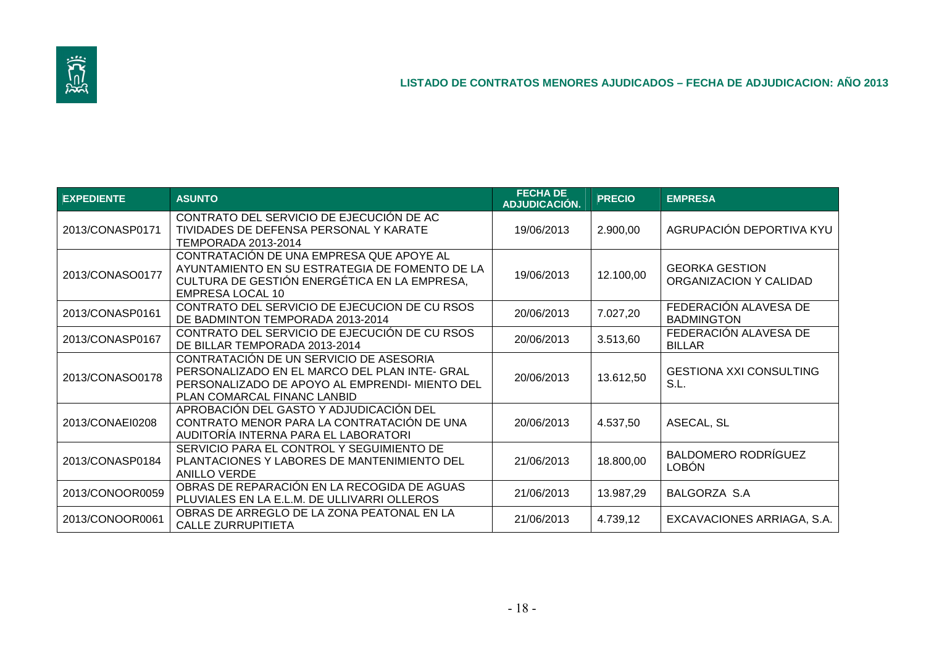

| <b>EXPEDIENTE</b> | <b>ASUNTO</b>                                                                                                                                                             | <b>FECHA DE</b><br>ADJUDICACIÓN. | <b>PRECIO</b> | <b>EMPRESA</b>                                  |
|-------------------|---------------------------------------------------------------------------------------------------------------------------------------------------------------------------|----------------------------------|---------------|-------------------------------------------------|
| 2013/CONASP0171   | CONTRATO DEL SERVICIO DE EJECUCIÓN DE AC<br>TIVIDADES DE DEFENSA PERSONAL Y KARATE<br><b>TEMPORADA 2013-2014</b>                                                          | 19/06/2013                       | 2.900,00      | AGRUPACIÓN DEPORTIVA KYU                        |
| 2013/CONASO0177   | CONTRATACIÓN DE UNA EMPRESA QUE APOYE AL<br>AYUNTAMIENTO EN SU ESTRATEGIA DE FOMENTO DE LA<br>CULTURA DE GESTIÓN ENERGÉTICA EN LA EMPRESA,<br>EMPRESA LOCAL 10            | 19/06/2013                       | 12.100,00     | <b>GEORKA GESTION</b><br>ORGANIZACION Y CALIDAD |
| 2013/CONASP0161   | CONTRATO DEL SERVICIO DE EJECUCION DE CU RSOS<br>DE BADMINTON TEMPORADA 2013-2014                                                                                         | 20/06/2013                       | 7.027,20      | FEDERACIÓN ALAVESA DE<br><b>BADMINGTON</b>      |
| 2013/CONASP0167   | CONTRATO DEL SERVICIO DE EJECUCIÓN DE CU RSOS<br>DE BILLAR TEMPORADA 2013-2014                                                                                            | 20/06/2013                       | 3.513,60      | FEDERACIÓN ALAVESA DE<br><b>BILLAR</b>          |
| 2013/CONASO0178   | CONTRATACIÓN DE UN SERVICIO DE ASESORIA<br>PERSONALIZADO EN EL MARCO DEL PLAN INTE- GRAL<br>PERSONALIZADO DE APOYO AL EMPRENDI- MIENTO DEL<br>PLAN COMARCAL FINANC LANBID | 20/06/2013                       | 13.612,50     | <b>GESTIONA XXI CONSULTING</b><br>S.L.          |
| 2013/CONAEI0208   | APROBACIÓN DEL GASTO Y ADJUDICACIÓN DEL<br>CONTRATO MENOR PARA LA CONTRATACIÓN DE UNA<br>AUDITORÍA INTERNA PARA EL LABORATORI                                             | 20/06/2013                       | 4.537,50      | ASECAL, SL                                      |
| 2013/CONASP0184   | SERVICIO PARA EL CONTROL Y SEGUIMIENTO DE<br>PLANTACIONES Y LABORES DE MANTENIMIENTO DEL<br><b>ANILLO VERDE</b>                                                           | 21/06/2013                       | 18.800,00     | <b>BALDOMERO RODRÍGUEZ</b><br><b>LOBÓN</b>      |
| 2013/CONOOR0059   | OBRAS DE REPARACIÓN EN LA RECOGIDA DE AGUAS<br>PLUVIALES EN LA E.L.M. DE ULLIVARRI OLLEROS                                                                                | 21/06/2013                       | 13.987,29     | BALGORZA S.A                                    |
| 2013/CONOOR0061   | OBRAS DE ARREGLO DE LA ZONA PEATONAL EN LA<br><b>CALLE ZURRUPITIETA</b>                                                                                                   | 21/06/2013                       | 4.739,12      | EXCAVACIONES ARRIAGA, S.A.                      |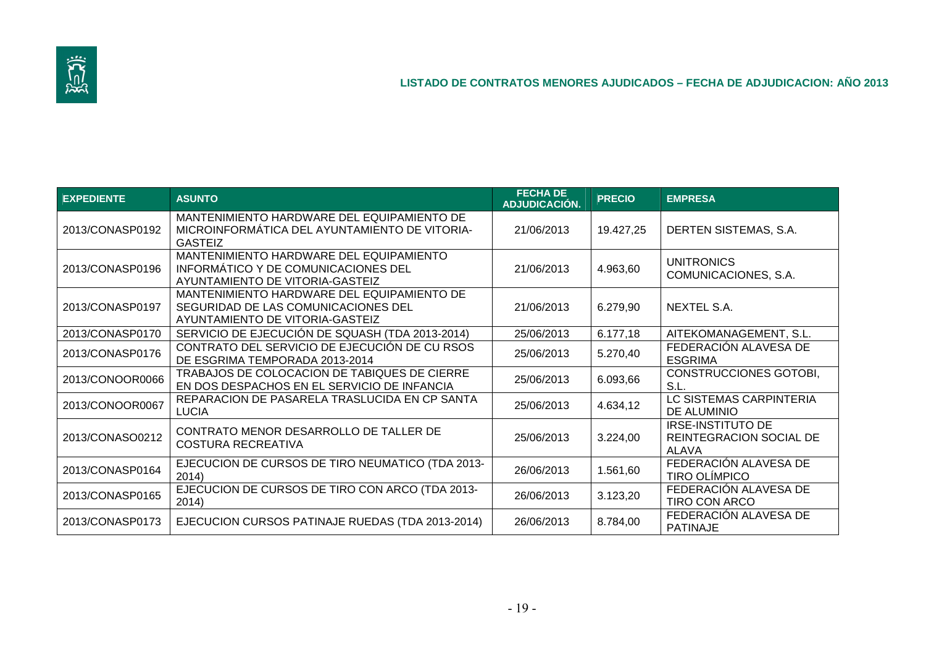

| <b>EXPEDIENTE</b> | <b>ASUNTO</b>                                                                                                        | <b>FECHA DE</b><br>ADJUDICACIÓN. | <b>PRECIO</b> | <b>EMPRESA</b>                                               |
|-------------------|----------------------------------------------------------------------------------------------------------------------|----------------------------------|---------------|--------------------------------------------------------------|
| 2013/CONASP0192   | MANTENIMIENTO HARDWARE DEL EQUIPAMIENTO DE<br>MICROINFORMÁTICA DEL AYUNTAMIENTO DE VITORIA-<br><b>GASTEIZ</b>        | 21/06/2013                       | 19.427,25     | DERTEN SISTEMAS, S.A.                                        |
| 2013/CONASP0196   | MANTENIMIENTO HARDWARE DEL EQUIPAMIENTO<br>INFORMÁTICO Y DE COMUNICACIONES DEL<br>AYUNTAMIENTO DE VITORIA-GASTEIZ    | 21/06/2013                       | 4.963,60      | <b>UNITRONICS</b><br>COMUNICACIONES, S.A.                    |
| 2013/CONASP0197   | MANTENIMIENTO HARDWARE DEL EQUIPAMIENTO DE<br>SEGURIDAD DE LAS COMUNICACIONES DEL<br>AYUNTAMIENTO DE VITORIA-GASTEIZ | 21/06/2013                       | 6.279,90      | NEXTEL S.A.                                                  |
| 2013/CONASP0170   | SERVICIO DE EJECUCIÓN DE SQUASH (TDA 2013-2014)                                                                      | 25/06/2013                       | 6.177,18      | AITEKOMANAGEMENT, S.L.                                       |
| 2013/CONASP0176   | CONTRATO DEL SERVICIO DE EJECUCIÓN DE CU RSOS<br>DE ESGRIMA TEMPORADA 2013-2014                                      | 25/06/2013                       | 5.270,40      | FEDERACIÓN ALAVESA DE<br><b>ESGRIMA</b>                      |
| 2013/CONOOR0066   | TRABAJOS DE COLOCACION DE TABIQUES DE CIERRE<br>EN DOS DESPACHOS EN EL SERVICIO DE INFANCIA                          | 25/06/2013                       | 6.093,66      | <b>CONSTRUCCIONES GOTOBI,</b><br>S.L.                        |
| 2013/CONOOR0067   | REPARACION DE PASARELA TRASLUCIDA EN CP SANTA<br><b>LUCIA</b>                                                        | 25/06/2013                       | 4.634,12      | LC SISTEMAS CARPINTERIA<br>DE ALUMINIO                       |
| 2013/CONASO0212   | CONTRATO MENOR DESARROLLO DE TALLER DE<br><b>COSTURA RECREATIVA</b>                                                  | 25/06/2013                       | 3.224,00      | <b>IRSE-INSTITUTO DE</b><br>REINTEGRACION SOCIAL DE<br>ALAVA |
| 2013/CONASP0164   | EJECUCION DE CURSOS DE TIRO NEUMATICO (TDA 2013-<br>2014)                                                            | 26/06/2013                       | 1.561,60      | FEDERACIÓN ALAVESA DE<br><b>TIRO OLÍMPICO</b>                |
| 2013/CONASP0165   | EJECUCION DE CURSOS DE TIRO CON ARCO (TDA 2013-<br>2014)                                                             | 26/06/2013                       | 3.123,20      | FEDERACIÓN ALAVESA DE<br><b>TIRO CON ARCO</b>                |
| 2013/CONASP0173   | EJECUCION CURSOS PATINAJE RUEDAS (TDA 2013-2014)                                                                     | 26/06/2013                       | 8.784,00      | FEDERACIÓN ALAVESA DE<br><b>PATINAJE</b>                     |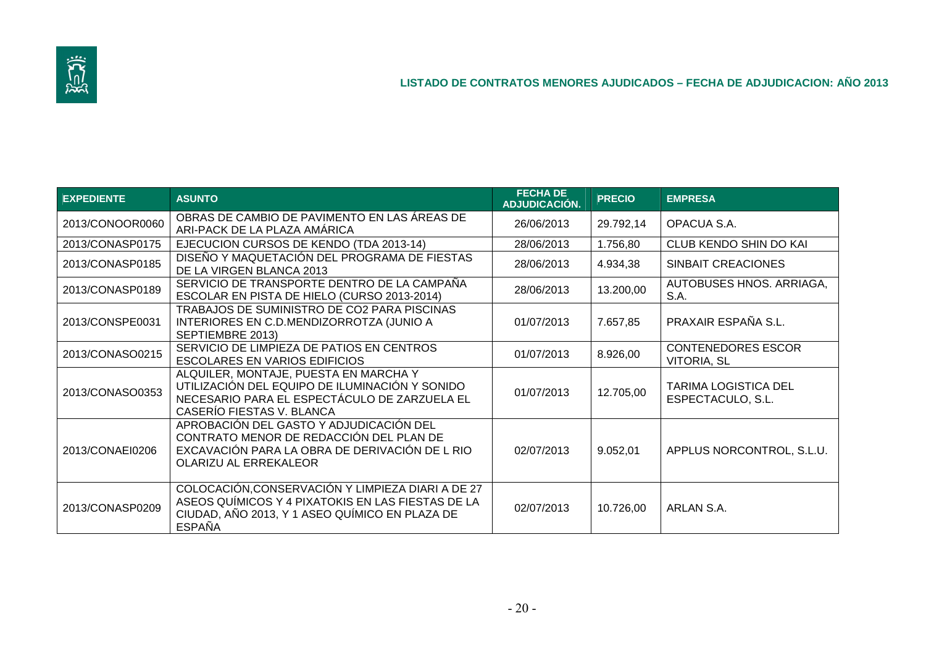

| <b>EXPEDIENTE</b> | <b>ASUNTO</b>                                                                                                                                                             | <b>FECHA DE</b><br>ADJUDICACIÓN. | <b>PRECIO</b> | <b>EMPRESA</b>                                   |
|-------------------|---------------------------------------------------------------------------------------------------------------------------------------------------------------------------|----------------------------------|---------------|--------------------------------------------------|
| 2013/CONOOR0060   | OBRAS DE CAMBIO DE PAVIMENTO EN LAS ÁREAS DE<br>ARI-PACK DE LA PLAZA AMÁRICA                                                                                              | 26/06/2013                       | 29.792,14     | OPACUA S.A.                                      |
| 2013/CONASP0175   | EJECUCION CURSOS DE KENDO (TDA 2013-14)                                                                                                                                   | 28/06/2013                       | 1.756,80      | CLUB KENDO SHIN DO KAI                           |
| 2013/CONASP0185   | DISEÑO Y MAQUETACIÓN DEL PROGRAMA DE FIESTAS<br>DE LA VIRGEN BLANCA 2013                                                                                                  | 28/06/2013                       | 4.934,38      | SINBAIT CREACIONES                               |
| 2013/CONASP0189   | SERVICIO DE TRANSPORTE DENTRO DE LA CAMPAÑA<br>ESCOLAR EN PISTA DE HIELO (CURSO 2013-2014)                                                                                | 28/06/2013                       | 13.200,00     | AUTOBUSES HNOS. ARRIAGA,<br>S.A.                 |
| 2013/CONSPE0031   | TRABAJOS DE SUMINISTRO DE CO2 PARA PISCINAS<br>INTERIORES EN C.D.MENDIZORROTZA (JUNIO A<br>SEPTIEMBRE 2013)                                                               | 01/07/2013                       | 7.657,85      | PRAXAIR ESPAÑA S.L.                              |
| 2013/CONASO0215   | SERVICIO DE LIMPIEZA DE PATIOS EN CENTROS<br><b>ESCOLARES EN VARIOS EDIFICIOS</b>                                                                                         | 01/07/2013                       | 8.926,00      | <b>CONTENEDORES ESCOR</b><br><b>VITORIA, SL</b>  |
| 2013/CONASO0353   | ALQUILER, MONTAJE, PUESTA EN MARCHA Y<br>UTILIZACIÓN DEL EQUIPO DE ILUMINACIÓN Y SONIDO<br>NECESARIO PARA EL ESPECTÁCULO DE ZARZUELA EL<br>CASERÍO FIESTAS V. BLANCA      | 01/07/2013                       | 12.705,00     | <b>TARIMA LOGISTICA DEL</b><br>ESPECTACULO, S.L. |
| 2013/CONAEI0206   | APROBACIÓN DEL GASTO Y ADJUDICACIÓN DEL<br>CONTRATO MENOR DE REDACCIÓN DEL PLAN DE<br>EXCAVACIÓN PARA LA OBRA DE DERIVACIÓN DE L RIO<br>OLARIZU AL ERREKALEOR             | 02/07/2013                       | 9.052,01      | APPLUS NORCONTROL, S.L.U.                        |
| 2013/CONASP0209   | COLOCACIÓN, CONSERVACIÓN Y LIMPIEZA DIARI A DE 27<br>ASEOS QUÍMICOS Y 4 PIXATOKIS EN LAS FIESTAS DE LA<br>CIUDAD, AÑO 2013, Y 1 ASEO QUÍMICO EN PLAZA DE<br><b>ESPAÑA</b> | 02/07/2013                       | 10.726,00     | ARLAN S.A.                                       |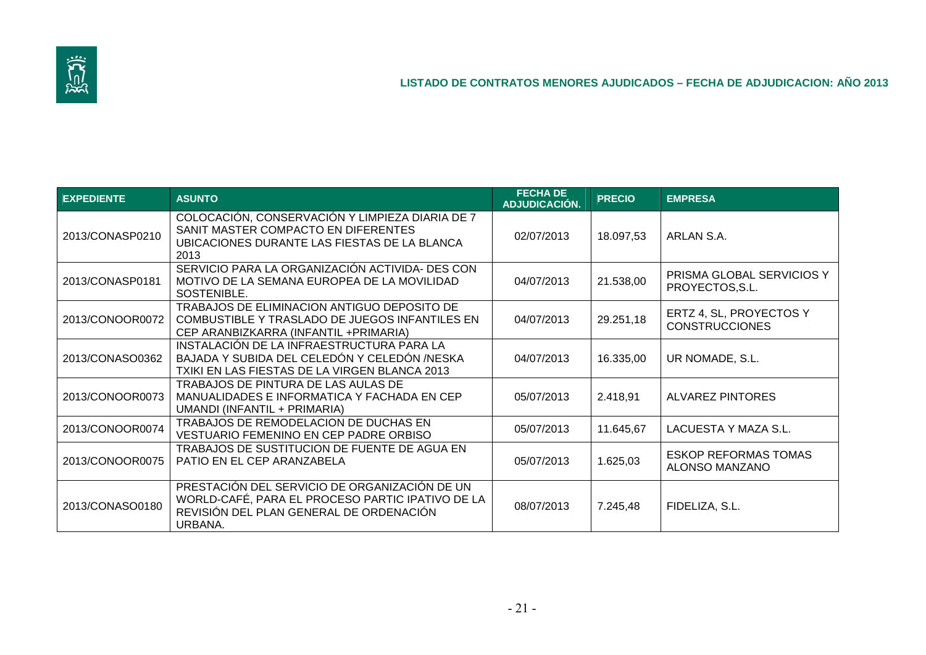

| <b>EXPEDIENTE</b> | <b>ASUNTO</b>                                                                                                                                           | <b>FECHA DE</b><br>ADJUDICACIÓN. | <b>PRECIO</b> | <b>EMPRESA</b>                                   |
|-------------------|---------------------------------------------------------------------------------------------------------------------------------------------------------|----------------------------------|---------------|--------------------------------------------------|
| 2013/CONASP0210   | COLOCACIÓN, CONSERVACIÓN Y LIMPIEZA DIARIA DE 7<br>SANIT MASTER COMPACTO EN DIFERENTES<br>UBICACIONES DURANTE LAS FIESTAS DE LA BLANCA<br>2013          | 02/07/2013                       | 18.097,53     | ARLAN S.A.                                       |
| 2013/CONASP0181   | SERVICIO PARA LA ORGANIZACIÓN ACTIVIDA- DES CON<br>MOTIVO DE LA SEMANA EUROPEA DE LA MOVILIDAD<br>SOSTENIBLE.                                           | 04/07/2013                       | 21.538,00     | PRISMA GLOBAL SERVICIOS Y<br>PROYECTOS, S.L.     |
| 2013/CONOOR0072   | TRABAJOS DE ELIMINACION ANTIGUO DEPOSITO DE<br>COMBUSTIBLE Y TRASLADO DE JUEGOS INFANTILES EN<br>CEP ARANBIZKARRA (INFANTIL +PRIMARIA)                  | 04/07/2013                       | 29.251,18     | ERTZ 4, SL, PROYECTOS Y<br><b>CONSTRUCCIONES</b> |
| 2013/CONASO0362   | INSTALACIÓN DE LA INFRAESTRUCTURA PARA LA<br>BAJADA Y SUBIDA DEL CELEDÓN Y CELEDÓN /NESKA<br>TXIKI EN LAS FIESTAS DE LA VIRGEN BLANCA 2013              | 04/07/2013                       | 16.335,00     | UR NOMADE, S.L.                                  |
| 2013/CONOOR0073   | TRABAJOS DE PINTURA DE LAS AULAS DE<br>MANUALIDADES E INFORMATICA Y FACHADA EN CEP<br>UMANDI (INFANTIL + PRIMARIA)                                      | 05/07/2013                       | 2.418,91      | <b>ALVAREZ PINTORES</b>                          |
| 2013/CONOOR0074   | TRABAJOS DE REMODELACION DE DUCHAS EN<br>VESTUARIO FEMENINO EN CEP PADRE ORBISO                                                                         | 05/07/2013                       | 11.645,67     | LACUESTA Y MAZA S.L.                             |
| 2013/CONOOR0075   | TRABAJOS DE SUSTITUCION DE FUENTE DE AGUA EN<br>PATIO EN EL CEP ARANZABELA                                                                              | 05/07/2013                       | 1.625,03      | <b>ESKOP REFORMAS TOMAS</b><br>ALONSO MANZANO    |
| 2013/CONASO0180   | PRESTACIÓN DEL SERVICIO DE ORGANIZACIÓN DE UN<br>WORLD-CAFÉ, PARA EL PROCESO PARTIC IPATIVO DE LA<br>REVISIÓN DEL PLAN GENERAL DE ORDENACIÓN<br>URBANA. | 08/07/2013                       | 7.245,48      | FIDELIZA, S.L.                                   |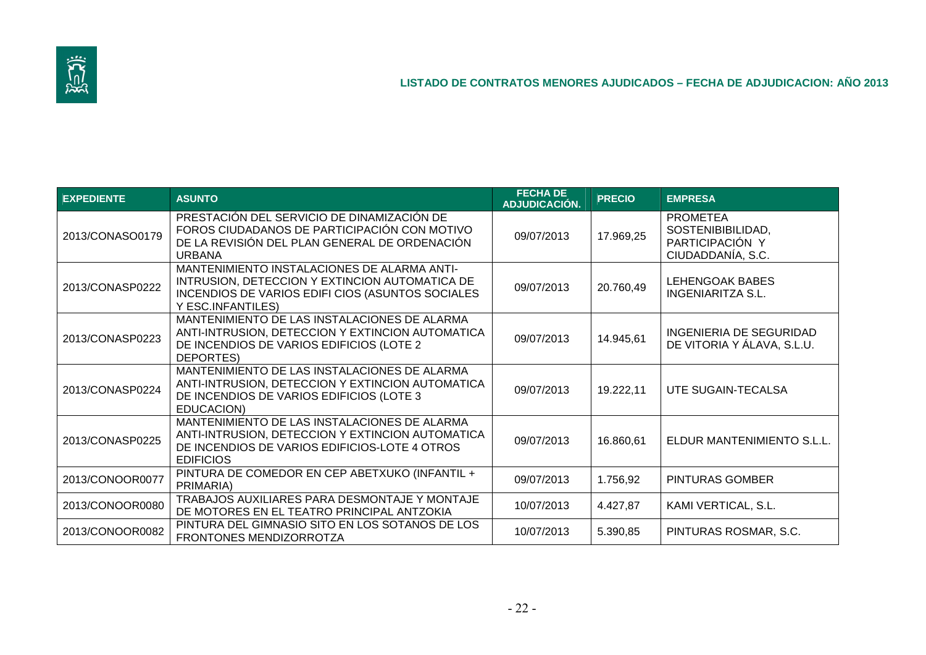

| <b>EXPEDIENTE</b> | <b>ASUNTO</b>                                                                                                                                                          | <b>FECHA DE</b><br>ADJUDICACIÓN. | <b>PRECIO</b> | <b>EMPRESA</b>                                                               |
|-------------------|------------------------------------------------------------------------------------------------------------------------------------------------------------------------|----------------------------------|---------------|------------------------------------------------------------------------------|
| 2013/CONASO0179   | PRESTACIÓN DEL SERVICIO DE DINAMIZACIÓN DE<br>FOROS CIUDADANOS DE PARTICIPACIÓN CON MOTIVO<br>DE LA REVISIÓN DEL PLAN GENERAL DE ORDENACIÓN<br><b>URBANA</b>           | 09/07/2013                       | 17.969,25     | <b>PROMETEA</b><br>SOSTENIBIBILIDAD,<br>PARTICIPACIÓN Y<br>CIUDADDANÍA, S.C. |
| 2013/CONASP0222   | MANTENIMIENTO INSTALACIONES DE ALARMA ANTI-<br>INTRUSION, DETECCION Y EXTINCION AUTOMATICA DE<br>INCENDIOS DE VARIOS EDIFI CIOS (ASUNTOS SOCIALES<br>Y ESC.INFANTILES) | 09/07/2013                       | 20.760,49     | LEHENGOAK BABES<br>INGENIARITZA S.L.                                         |
| 2013/CONASP0223   | MANTENIMIENTO DE LAS INSTALACIONES DE ALARMA<br>ANTI-INTRUSION, DETECCION Y EXTINCION AUTOMATICA<br>DE INCENDIOS DE VARIOS EDIFICIOS (LOTE 2<br>DEPORTES)              | 09/07/2013                       | 14.945,61     | INGENIERIA DE SEGURIDAD<br>DE VITORIA Y ÁLAVA, S.L.U.                        |
| 2013/CONASP0224   | MANTENIMIENTO DE LAS INSTALACIONES DE ALARMA<br>ANTI-INTRUSION, DETECCION Y EXTINCION AUTOMATICA<br>DE INCENDIOS DE VARIOS EDIFICIOS (LOTE 3<br>EDUCACION)             | 09/07/2013                       | 19.222,11     | UTE SUGAIN-TECALSA                                                           |
| 2013/CONASP0225   | MANTENIMIENTO DE LAS INSTALACIONES DE ALARMA<br>ANTI-INTRUSION, DETECCION Y EXTINCION AUTOMATICA<br>DE INCENDIOS DE VARIOS EDIFICIOS-LOTE 4 OTROS<br><b>EDIFICIOS</b>  | 09/07/2013                       | 16.860,61     | ELDUR MANTENIMIENTO S.L.L.                                                   |
| 2013/CONOOR0077   | PINTURA DE COMEDOR EN CEP ABETXUKO (INFANTIL +<br>PRIMARIA)                                                                                                            | 09/07/2013                       | 1.756,92      | PINTURAS GOMBER                                                              |
| 2013/CONOOR0080   | TRABAJOS AUXILIARES PARA DESMONTAJE Y MONTAJE<br>DE MOTORES EN EL TEATRO PRINCIPAL ANTZOKIA                                                                            | 10/07/2013                       | 4.427,87      | KAMI VERTICAL, S.L.                                                          |
| 2013/CONOOR0082   | PINTURA DEL GIMNASIO SITO EN LOS SOTANOS DE LOS<br>FRONTONES MENDIZORROTZA                                                                                             | 10/07/2013                       | 5.390,85      | PINTURAS ROSMAR, S.C.                                                        |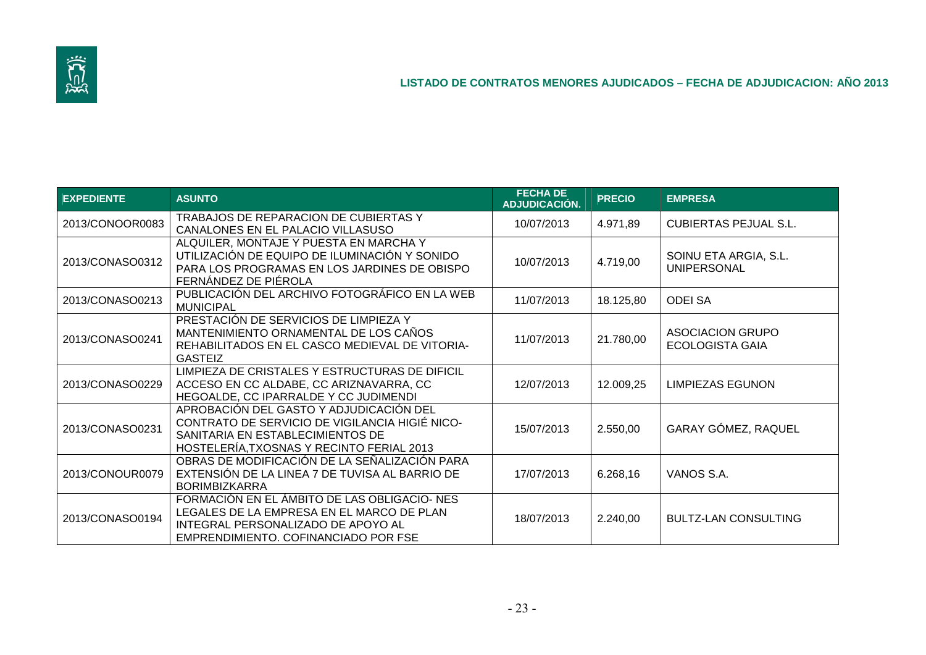

| <b>EXPEDIENTE</b> | <b>ASUNTO</b>                                                                                                                                                              | <b>FECHA DE</b><br>ADJUDICACIÓN. | <b>PRECIO</b> | <b>EMPRESA</b>                              |
|-------------------|----------------------------------------------------------------------------------------------------------------------------------------------------------------------------|----------------------------------|---------------|---------------------------------------------|
| 2013/CONOOR0083   | TRABAJOS DE REPARACION DE CUBIERTAS Y<br>CANALONES EN EL PALACIO VILLASUSO                                                                                                 | 10/07/2013                       | 4.971,89      | <b>CUBIERTAS PEJUAL S.L.</b>                |
| 2013/CONASO0312   | ALQUILER, MONTAJE Y PUESTA EN MARCHA Y<br>UTILIZACIÓN DE EQUIPO DE ILUMINACIÓN Y SONIDO<br>PARA LOS PROGRAMAS EN LOS JARDINES DE OBISPO<br>FERNÁNDEZ DE PIÉROLA            | 10/07/2013                       | 4.719,00      | SOINU ETA ARGIA, S.L.<br><b>UNIPERSONAL</b> |
| 2013/CONASO0213   | PUBLICACIÓN DEL ARCHIVO FOTOGRÁFICO EN LA WEB<br><b>MUNICIPAL</b>                                                                                                          | 11/07/2013                       | 18.125,80     | <b>ODEI SA</b>                              |
| 2013/CONASO0241   | PRESTACIÓN DE SERVICIOS DE LIMPIEZA Y<br>MANTENIMIENTO ORNAMENTAL DE LOS CAÑOS<br>REHABILITADOS EN EL CASCO MEDIEVAL DE VITORIA-<br><b>GASTEIZ</b>                         | 11/07/2013                       | 21.780,00     | <b>ASOCIACION GRUPO</b><br>ECOLOGISTA GAIA  |
| 2013/CONASO0229   | LIMPIEZA DE CRISTALES Y ESTRUCTURAS DE DIFICIL<br>ACCESO EN CC ALDABE, CC ARIZNAVARRA, CC<br>HEGOALDE, CC IPARRALDE Y CC JUDIMENDI                                         | 12/07/2013                       | 12.009,25     | LIMPIEZAS EGUNON                            |
| 2013/CONASO0231   | APROBACIÓN DEL GASTO Y ADJUDICACIÓN DEL<br>CONTRATO DE SERVICIO DE VIGILANCIA HIGIÉ NICO-<br>SANITARIA EN ESTABLECIMIENTOS DE<br>HOSTELERÍA, TXOSNAS Y RECINTO FERIAL 2013 | 15/07/2013                       | 2.550,00      | GARAY GÓMEZ, RAQUEL                         |
| 2013/CONOUR0079   | OBRAS DE MODIFICACIÓN DE LA SEÑALIZACIÓN PARA<br>EXTENSIÓN DE LA LINEA 7 DE TUVISA AL BARRIO DE<br><b>BORIMBIZKARRA</b>                                                    | 17/07/2013                       | 6.268,16      | VANOS S.A.                                  |
| 2013/CONASO0194   | FORMACIÓN EN EL ÁMBITO DE LAS OBLIGACIO-NES<br>LEGALES DE LA EMPRESA EN EL MARCO DE PLAN<br>INTEGRAL PERSONALIZADO DE APOYO AL<br>EMPRENDIMIENTO. COFINANCIADO POR FSE     | 18/07/2013                       | 2.240,00      | <b>BULTZ-LAN CONSULTING</b>                 |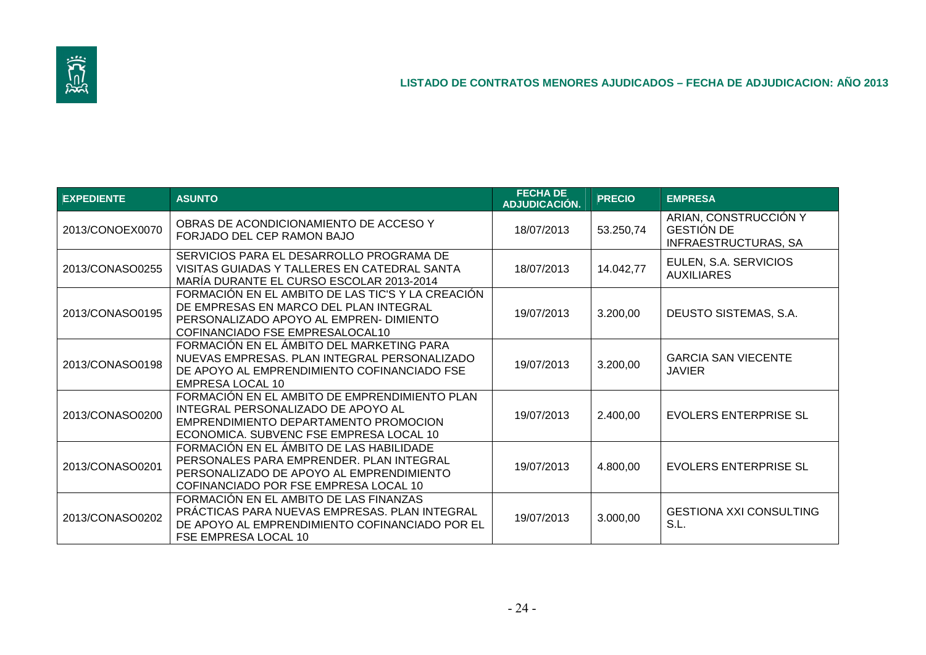

| <b>EXPEDIENTE</b> | <b>ASUNTO</b>                                                                                                                                                             | <b>FECHA DE</b><br>ADJUDICACIÓN. | <b>PRECIO</b> | <b>EMPRESA</b>                                                            |
|-------------------|---------------------------------------------------------------------------------------------------------------------------------------------------------------------------|----------------------------------|---------------|---------------------------------------------------------------------------|
| 2013/CONOEX0070   | OBRAS DE ACONDICIONAMIENTO DE ACCESO Y<br>FORJADO DEL CEP RAMON BAJO                                                                                                      | 18/07/2013                       | 53.250,74     | ARIAN, CONSTRUCCIÓN Y<br><b>GESTIÓN DE</b><br><b>INFRAESTRUCTURAS, SA</b> |
| 2013/CONASO0255   | SERVICIOS PARA EL DESARROLLO PROGRAMA DE<br>VISITAS GUIADAS Y TALLERES EN CATEDRAL SANTA<br>MARÍA DURANTE EL CURSO ESCOLAR 2013-2014                                      | 18/07/2013                       | 14.042,77     | EULEN, S.A. SERVICIOS<br><b>AUXILIARES</b>                                |
| 2013/CONASO0195   | FORMACIÓN EN EL AMBITO DE LAS TIC'S Y LA CREACIÓN<br>DE EMPRESAS EN MARCO DEL PLAN INTEGRAL<br>PERSONALIZADO APOYO AL EMPREN- DIMIENTO<br>COFINANCIADO FSE EMPRESALOCAL10 | 19/07/2013                       | 3.200,00      | DEUSTO SISTEMAS, S.A.                                                     |
| 2013/CONASO0198   | FORMACIÓN EN EL ÁMBITO DEL MARKETING PARA<br>NUEVAS EMPRESAS. PLAN INTEGRAL PERSONALIZADO<br>DE APOYO AL EMPRENDIMIENTO COFINANCIADO FSE<br>EMPRESA LOCAL 10              | 19/07/2013                       | 3.200,00      | <b>GARCIA SAN VIECENTE</b><br><b>JAVIER</b>                               |
| 2013/CONASO0200   | FORMACIÓN EN EL AMBITO DE EMPRENDIMIENTO PLAN<br>INTEGRAL PERSONALIZADO DE APOYO AL<br>EMPRENDIMIENTO DEPARTAMENTO PROMOCION<br>ECONOMICA. SUBVENC FSE EMPRESA LOCAL 10   | 19/07/2013                       | 2.400,00      | <b>EVOLERS ENTERPRISE SL</b>                                              |
| 2013/CONASO0201   | FORMACIÓN EN EL ÁMBITO DE LAS HABILIDADE<br>PERSONALES PARA EMPRENDER. PLAN INTEGRAL<br>PERSONALIZADO DE APOYO AL EMPRENDIMIENTO<br>COFINANCIADO POR FSE EMPRESA LOCAL 10 | 19/07/2013                       | 4.800,00      | <b>EVOLERS ENTERPRISE SL</b>                                              |
| 2013/CONASO0202   | FORMACIÓN EN EL AMBITO DE LAS FINANZAS<br>PRÁCTICAS PARA NUEVAS EMPRESAS. PLAN INTEGRAL<br>DE APOYO AL EMPRENDIMIENTO COFINANCIADO POR EL<br>FSE EMPRESA LOCAL 10         | 19/07/2013                       | 3.000,00      | <b>GESTIONA XXI CONSULTING</b><br>S.L.                                    |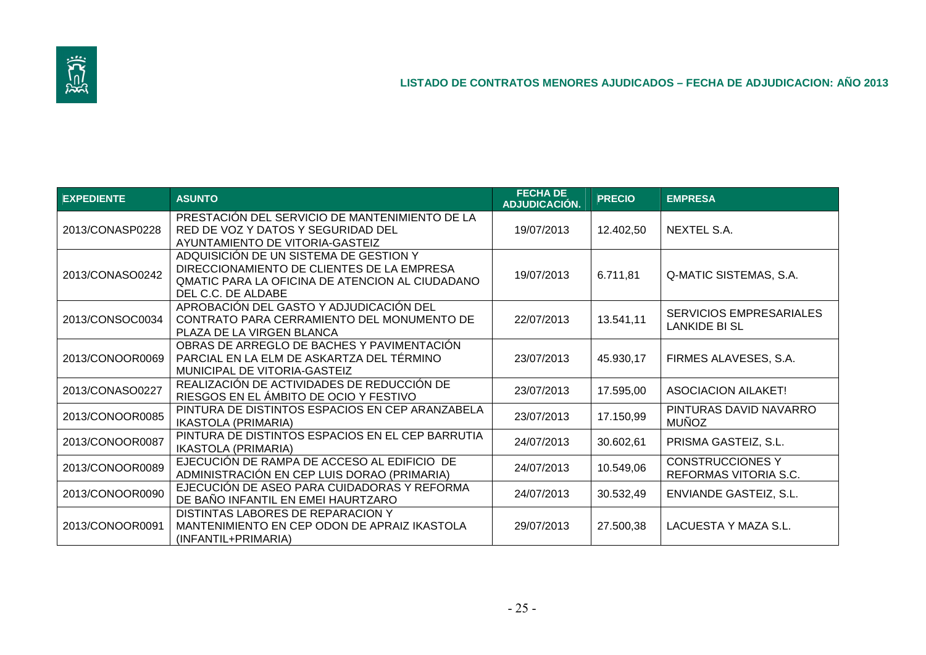

| <b>EXPEDIENTE</b> | <b>ASUNTO</b>                                                                                                                                                 | <b>FECHA DE</b><br>ADJUDICACIÓN. | <b>PRECIO</b> | <b>EMPRESA</b>                                         |
|-------------------|---------------------------------------------------------------------------------------------------------------------------------------------------------------|----------------------------------|---------------|--------------------------------------------------------|
| 2013/CONASP0228   | PRESTACIÓN DEL SERVICIO DE MANTENIMIENTO DE LA<br>RED DE VOZ Y DATOS Y SEGURIDAD DEL<br>AYUNTAMIENTO DE VITORIA-GASTEIZ                                       | 19/07/2013                       | 12.402,50     | NEXTEL S.A.                                            |
| 2013/CONASO0242   | ADQUISICIÓN DE UN SISTEMA DE GESTION Y<br>DIRECCIONAMIENTO DE CLIENTES DE LA EMPRESA<br>QMATIC PARA LA OFICINA DE ATENCION AL CIUDADANO<br>DEL C.C. DE ALDABE | 19/07/2013                       | 6.711,81      | Q-MATIC SISTEMAS, S.A.                                 |
| 2013/CONSOC0034   | APROBACIÓN DEL GASTO Y ADJUDICACIÓN DEL<br>CONTRATO PARA CERRAMIENTO DEL MONUMENTO DE<br>PLAZA DE LA VIRGEN BLANCA                                            | 22/07/2013                       | 13.541,11     | <b>SERVICIOS EMPRESARIALES</b><br><b>LANKIDE BI SL</b> |
| 2013/CONOOR0069   | OBRAS DE ARREGLO DE BACHES Y PAVIMENTACIÓN<br>PARCIAL EN LA ELM DE ASKARTZA DEL TÉRMINO<br>MUNICIPAL DE VITORIA-GASTEIZ                                       | 23/07/2013                       | 45.930,17     | FIRMES ALAVESES, S.A.                                  |
| 2013/CONASO0227   | REALIZACIÓN DE ACTIVIDADES DE REDUCCIÓN DE<br>RIESGOS EN EL ÁMBITO DE OCIO Y FESTIVO                                                                          | 23/07/2013                       | 17.595,00     | <b>ASOCIACION AILAKET!</b>                             |
| 2013/CONOOR0085   | PINTURA DE DISTINTOS ESPACIOS EN CEP ARANZABELA<br><b>IKASTOLA (PRIMARIA)</b>                                                                                 | 23/07/2013                       | 17.150,99     | PINTURAS DAVID NAVARRO<br><b>MUÑOZ</b>                 |
| 2013/CONOOR0087   | PINTURA DE DISTINTOS ESPACIOS EN EL CEP BARRUTIA<br><b>IKASTOLA (PRIMARIA)</b>                                                                                | 24/07/2013                       | 30.602,61     | PRISMA GASTEIZ, S.L.                                   |
| 2013/CONOOR0089   | EJECUCIÓN DE RAMPA DE ACCESO AL EDIFICIO DE<br>ADMINISTRACIÓN EN CEP LUIS DORAO (PRIMARIA)                                                                    | 24/07/2013                       | 10.549,06     | <b>CONSTRUCCIONES Y</b><br>REFORMAS VITORIA S.C.       |
| 2013/CONOOR0090   | EJECUCIÓN DE ASEO PARA CUIDADORAS Y REFORMA<br>DE BAÑO INFANTIL EN EMEI HAURTZARO                                                                             | 24/07/2013                       | 30.532,49     | ENVIANDE GASTEIZ, S.L.                                 |
| 2013/CONOOR0091   | DISTINTAS LABORES DE REPARACION Y<br>MANTENIMIENTO EN CEP ODON DE APRAIZ IKASTOLA<br>(INFANTIL+PRIMARIA)                                                      | 29/07/2013                       | 27.500,38     | LACUESTA Y MAZA S.L.                                   |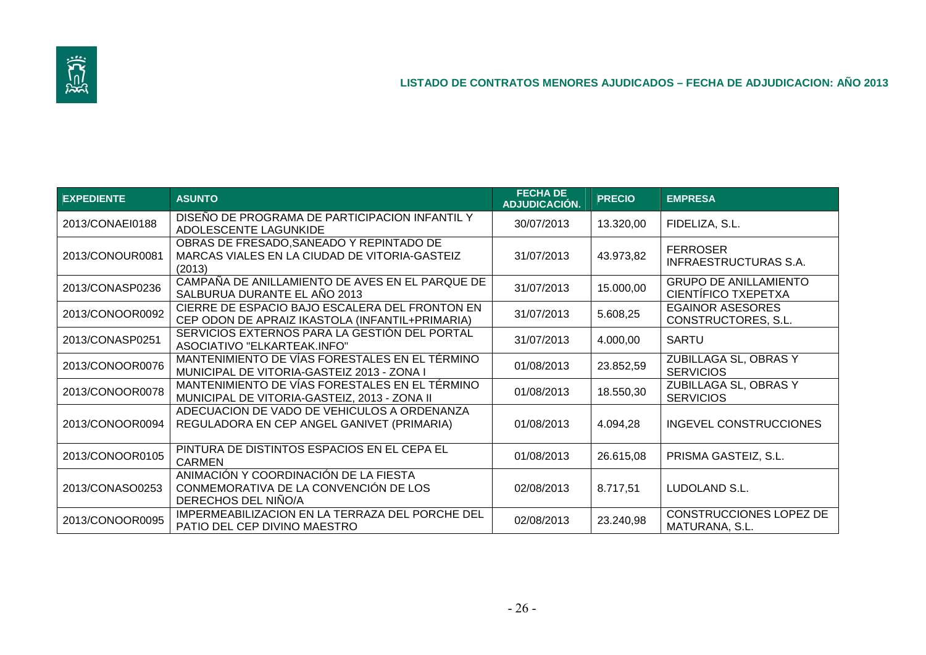

| <b>EXPEDIENTE</b> | <b>ASUNTO</b>                                                                                         | <b>FECHA DE</b><br>ADJUDICACIÓN. | <b>PRECIO</b> | <b>EMPRESA</b>                                      |
|-------------------|-------------------------------------------------------------------------------------------------------|----------------------------------|---------------|-----------------------------------------------------|
| 2013/CONAEI0188   | DISEÑO DE PROGRAMA DE PARTICIPACION INFANTIL Y<br>ADOLESCENTE LAGUNKIDE                               | 30/07/2013                       | 13.320,00     | FIDELIZA, S.L.                                      |
| 2013/CONOUR0081   | OBRAS DE FRESADO, SANEADO Y REPINTADO DE<br>MARCAS VIALES EN LA CIUDAD DE VITORIA-GASTEIZ<br>(2013)   | 31/07/2013                       | 43.973,82     | <b>FERROSER</b><br>INFRAESTRUCTURAS S.A.            |
| 2013/CONASP0236   | CAMPAÑA DE ANILLAMIENTO DE AVES EN EL PARQUE DE<br>SALBURUA DURANTE EL AÑO 2013                       | 31/07/2013                       | 15.000,00     | <b>GRUPO DE ANILLAMIENTO</b><br>CIENTÍFICO TXEPETXA |
| 2013/CONOOR0092   | CIERRE DE ESPACIO BAJO ESCALERA DEL FRONTON EN<br>CEP ODON DE APRAIZ IKASTOLA (INFANTIL+PRIMARIA)     | 31/07/2013                       | 5.608,25      | <b>EGAINOR ASESORES</b><br>CONSTRUCTORES, S.L.      |
| 2013/CONASP0251   | SERVICIOS EXTERNOS PARA LA GESTIÓN DEL PORTAL<br>ASOCIATIVO "ELKARTEAK.INFO"                          | 31/07/2013                       | 4.000,00      | <b>SARTU</b>                                        |
| 2013/CONOOR0076   | MANTENIMIENTO DE VÍAS FORESTALES EN EL TÉRMINO<br>MUNICIPAL DE VITORIA-GASTEIZ 2013 - ZONA I          | 01/08/2013                       | 23.852,59     | ZUBILLAGA SL, OBRAS Y<br><b>SERVICIOS</b>           |
| 2013/CONOOR0078   | MANTENIMIENTO DE VÍAS FORESTALES EN EL TÉRMINO<br>MUNICIPAL DE VITORIA-GASTEIZ, 2013 - ZONA II        | 01/08/2013                       | 18.550,30     | ZUBILLAGA SL, OBRAS Y<br><b>SERVICIOS</b>           |
| 2013/CONOOR0094   | ADECUACION DE VADO DE VEHICULOS A ORDENANZA<br>REGULADORA EN CEP ANGEL GANIVET (PRIMARIA)             | 01/08/2013                       | 4.094,28      | <b>INGEVEL CONSTRUCCIONES</b>                       |
| 2013/CONOOR0105   | PINTURA DE DISTINTOS ESPACIOS EN EL CEPA EL<br><b>CARMEN</b>                                          | 01/08/2013                       | 26.615,08     | PRISMA GASTEIZ, S.L.                                |
| 2013/CONASO0253   | ANIMACIÓN Y COORDINACIÓN DE LA FIESTA<br>CONMEMORATIVA DE LA CONVENCIÓN DE LOS<br>DERECHOS DEL NIÑO/A | 02/08/2013                       | 8.717,51      | LUDOLAND S.L.                                       |
| 2013/CONOOR0095   | IMPERMEABILIZACION EN LA TERRAZA DEL PORCHE DEL<br>PATIO DEL CEP DIVINO MAESTRO                       | 02/08/2013                       | 23.240,98     | CONSTRUCCIONES LOPEZ DE<br>MATURANA, S.L.           |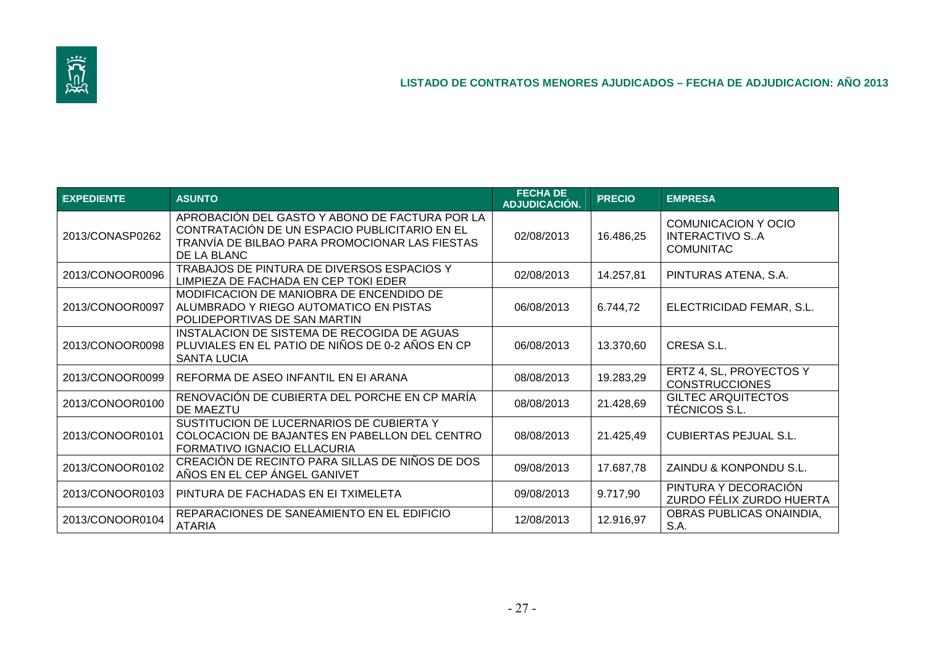

| <b>EXPEDIENTE</b> | <b>ASUNTO</b>                                                                                                                                                    | <b>FECHA DE</b><br>ADJUDICACIÓN. | <b>PRECIO</b> | <b>EMPRESA</b>                                            |
|-------------------|------------------------------------------------------------------------------------------------------------------------------------------------------------------|----------------------------------|---------------|-----------------------------------------------------------|
| 2013/CONASP0262   | APROBACIÓN DEL GASTO Y ABONO DE FACTURA POR LA<br>CONTRATACIÓN DE UN ESPACIO PUBLICITARIO EN EL<br>TRANVÍA DE BILBAO PARA PROMOCIONAR LAS FIESTAS<br>DE LA BLANC | 02/08/2013                       | 16.486,25     | COMUNICACION Y OCIO<br>INTERACTIVO SA<br><b>COMUNITAC</b> |
| 2013/CONOOR0096   | TRABAJOS DE PINTURA DE DIVERSOS ESPACIOS Y<br>LIMPIEZA DE FACHADA EN CEP TOKI EDER                                                                               | 02/08/2013                       | 14.257,81     | PINTURAS ATENA, S.A.                                      |
| 2013/CONOOR0097   | MODIFICACION DE MANIOBRA DE ENCENDIDO DE<br>ALUMBRADO Y RIEGO AUTOMATICO EN PISTAS<br>POLIDEPORTIVAS DE SAN MARTIN                                               | 06/08/2013                       | 6.744,72      | ELECTRICIDAD FEMAR, S.L.                                  |
| 2013/CONOOR0098   | INSTALACION DE SISTEMA DE RECOGIDA DE AGUAS<br>PLUVIALES EN EL PATIO DE NIÑOS DE 0-2 AÑOS EN CP<br><b>SANTA LUCIA</b>                                            | 06/08/2013                       | 13.370,60     | CRESA S.L.                                                |
| 2013/CONOOR0099   | REFORMA DE ASEO INFANTIL EN EI ARANA                                                                                                                             | 08/08/2013                       | 19.283,29     | ERTZ 4, SL, PROYECTOS Y<br><b>CONSTRUCCIONES</b>          |
| 2013/CONOOR0100   | RENOVACIÓN DE CUBIERTA DEL PORCHE EN CP MARÍA<br>DE MAEZTU                                                                                                       | 08/08/2013                       | 21.428,69     | <b>GILTEC ARQUITECTOS</b><br>TÉCNICOS S.L.                |
| 2013/CONOOR0101   | SUSTITUCION DE LUCERNARIOS DE CUBIERTA Y<br>COLOCACION DE BAJANTES EN PABELLON DEL CENTRO<br>FORMATIVO IGNACIO ELLACURIA                                         | 08/08/2013                       | 21.425,49     | <b>CUBIERTAS PEJUAL S.L.</b>                              |
| 2013/CONOOR0102   | CREACIÓN DE RECINTO PARA SILLAS DE NIÑOS DE DOS<br>AÑOS EN EL CEP ÁNGEL GANIVET                                                                                  | 09/08/2013                       | 17.687,78     | ZAINDU & KONPONDU S.L.                                    |
| 2013/CONOOR0103   | PINTURA DE FACHADAS EN EI TXIMELETA                                                                                                                              | 09/08/2013                       | 9.717,90      | PINTURA Y DECORACIÓN<br>ZURDO FÉLIX ZURDO HUERTA          |
| 2013/CONOOR0104   | REPARACIONES DE SANEAMIENTO EN EL EDIFICIO<br><b>ATARIA</b>                                                                                                      | 12/08/2013                       | 12.916,97     | OBRAS PUBLICAS ONAINDIA,<br>S.A.                          |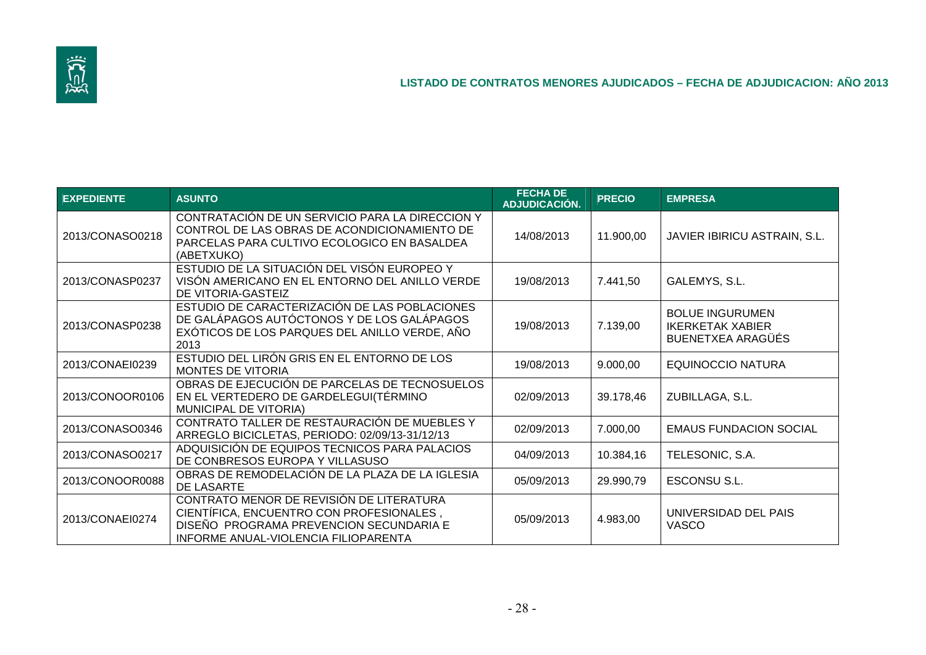

| <b>EXPEDIENTE</b> | <b>ASUNTO</b>                                                                                                                                                           | <b>FECHA DE</b><br>ADJUDICACIÓN. | <b>PRECIO</b> | <b>EMPRESA</b>                                                         |
|-------------------|-------------------------------------------------------------------------------------------------------------------------------------------------------------------------|----------------------------------|---------------|------------------------------------------------------------------------|
| 2013/CONASO0218   | CONTRATACIÓN DE UN SERVICIO PARA LA DIRECCION Y<br>CONTROL DE LAS OBRAS DE ACONDICIONAMIENTO DE<br>PARCELAS PARA CULTIVO ECOLOGICO EN BASALDEA<br>(ABETXUKO)            | 14/08/2013                       | 11.900,00     | <b>JAVIER IBIRICU ASTRAIN, S.L.</b>                                    |
| 2013/CONASP0237   | ESTUDIO DE LA SITUACIÓN DEL VISÓN EUROPEO Y<br>VISÓN AMERICANO EN EL ENTORNO DEL ANILLO VERDE<br>DE VITORIA-GASTEIZ                                                     | 19/08/2013                       | 7.441,50      | GALEMYS, S.L.                                                          |
| 2013/CONASP0238   | ESTUDIO DE CARACTERIZACIÓN DE LAS POBLACIONES<br>DE GALÁPAGOS AUTÓCTONOS Y DE LOS GALÁPAGOS<br>EXÓTICOS DE LOS PARQUES DEL ANILLO VERDE, AÑO<br>2013                    | 19/08/2013                       | 7.139,00      | <b>BOLUE INGURUMEN</b><br><b>IKERKETAK XABIER</b><br>BUENETXEA ARAGÜÉS |
| 2013/CONAEI0239   | ESTUDIO DEL LIRÓN GRIS EN EL ENTORNO DE LOS<br>MONTES DE VITORIA                                                                                                        | 19/08/2013                       | 9.000,00      | <b>EQUINOCCIO NATURA</b>                                               |
| 2013/CONOOR0106   | OBRAS DE EJECUCIÓN DE PARCELAS DE TECNOSUELOS<br>EN EL VERTEDERO DE GARDELEGUI (TÉRMINO<br>MUNICIPAL DE VITORIA)                                                        | 02/09/2013                       | 39.178,46     | ZUBILLAGA, S.L.                                                        |
| 2013/CONASO0346   | CONTRATO TALLER DE RESTAURACIÓN DE MUEBLES Y<br>ARREGLO BICICLETAS, PERIODO: 02/09/13-31/12/13                                                                          | 02/09/2013                       | 7.000,00      | <b>EMAUS FUNDACION SOCIAL</b>                                          |
| 2013/CONASO0217   | ADQUISICIÓN DE EQUIPOS TECNICOS PARA PALACIOS<br>DE CONBRESOS EUROPA Y VILLASUSO                                                                                        | 04/09/2013                       | 10.384,16     | TELESONIC, S.A.                                                        |
| 2013/CONOOR0088   | OBRAS DE REMODELACIÓN DE LA PLAZA DE LA IGLESIA<br>DE LASARTE                                                                                                           | 05/09/2013                       | 29.990,79     | ESCONSU S.L.                                                           |
| 2013/CONAEI0274   | CONTRATO MENOR DE REVISIÓN DE LITERATURA<br>CIENTÍFICA, ENCUENTRO CON PROFESIONALES,<br>DISEÑO PROGRAMA PREVENCION SECUNDARIA E<br>INFORME ANUAL-VIOLENCIA FILIOPARENTA | 05/09/2013                       | 4.983,00      | UNIVERSIDAD DEL PAIS<br><b>VASCO</b>                                   |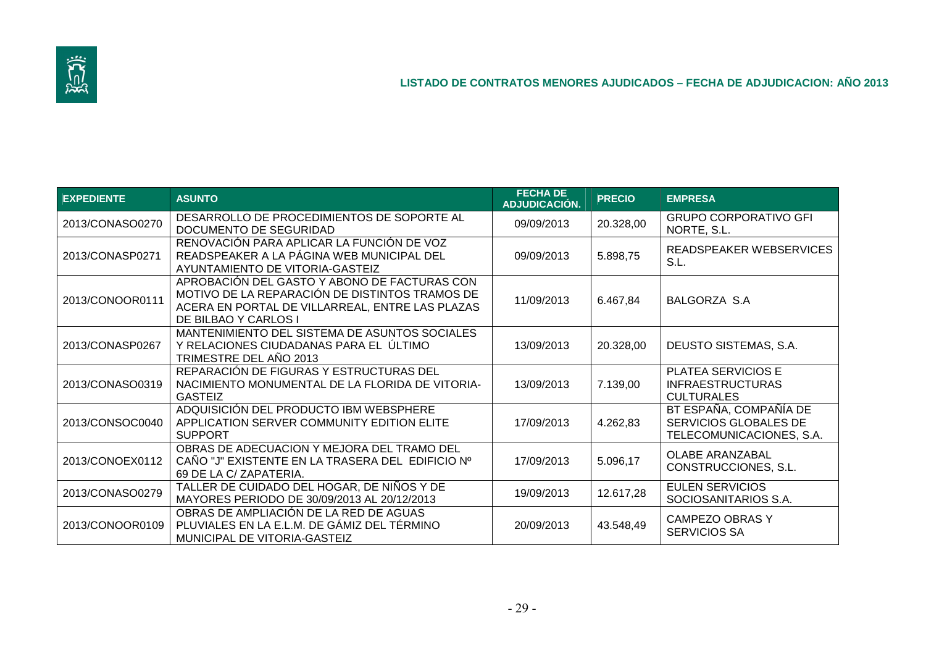

| <b>EXPEDIENTE</b> | <b>ASUNTO</b>                                                                                                                                                             | <b>FECHA DE</b><br><b>ADJUDICACIÓN.</b> | <b>PRECIO</b> | <b>EMPRESA</b>                                                              |
|-------------------|---------------------------------------------------------------------------------------------------------------------------------------------------------------------------|-----------------------------------------|---------------|-----------------------------------------------------------------------------|
| 2013/CONASO0270   | DESARROLLO DE PROCEDIMIENTOS DE SOPORTE AL<br>DOCUMENTO DE SEGURIDAD                                                                                                      | 09/09/2013                              | 20.328,00     | <b>GRUPO CORPORATIVO GFI</b><br>NORTE, S.L.                                 |
| 2013/CONASP0271   | RENOVACIÓN PARA APLICAR LA FUNCIÓN DE VOZ<br>READSPEAKER A LA PÁGINA WEB MUNICIPAL DEL<br>AYUNTAMIENTO DE VITORIA-GASTEIZ                                                 | 09/09/2013                              | 5.898,75      | READSPEAKER WEBSERVICES<br>S.L.                                             |
| 2013/CONOOR0111   | APROBACIÓN DEL GASTO Y ABONO DE FACTURAS CON<br>MOTIVO DE LA REPARACIÓN DE DISTINTOS TRAMOS DE<br>ACERA EN PORTAL DE VILLARREAL, ENTRE LAS PLAZAS<br>DE BILBAO Y CARLOS I | 11/09/2013                              | 6.467,84      | BALGORZA S.A                                                                |
| 2013/CONASP0267   | MANTENIMIENTO DEL SISTEMA DE ASUNTOS SOCIALES<br>Y RELACIONES CIUDADANAS PARA EL ÚLTIMO<br>TRIMESTRE DEL AÑO 2013                                                         | 13/09/2013                              | 20.328,00     | DEUSTO SISTEMAS, S.A.                                                       |
| 2013/CONASO0319   | REPARACIÓN DE FIGURAS Y ESTRUCTURAS DEL<br>NACIMIENTO MONUMENTAL DE LA FLORIDA DE VITORIA-<br><b>GASTEIZ</b>                                                              | 13/09/2013                              | 7.139,00      | PLATEA SERVICIOS E<br><b>INFRAESTRUCTURAS</b><br><b>CULTURALES</b>          |
| 2013/CONSOC0040   | ADQUISICIÓN DEL PRODUCTO IBM WEBSPHERE<br>APPLICATION SERVER COMMUNITY EDITION ELITE<br><b>SUPPORT</b>                                                                    | 17/09/2013                              | 4.262,83      | BT ESPAÑA, COMPAÑÍA DE<br>SERVICIOS GLOBALES DE<br>TELECOMUNICACIONES, S.A. |
| 2013/CONOEX0112   | OBRAS DE ADECUACION Y MEJORA DEL TRAMO DEL<br>CAÑO "J" EXISTENTE EN LA TRASERA DEL EDIFICIO Nº<br>69 DE LA C/ ZAPATERIA.                                                  | 17/09/2013                              | 5.096,17      | <b>OLABE ARANZABAL</b><br>CONSTRUCCIONES, S.L.                              |
| 2013/CONASO0279   | TALLER DE CUIDADO DEL HOGAR, DE NIÑOS Y DE<br>MAYORES PERIODO DE 30/09/2013 AL 20/12/2013                                                                                 | 19/09/2013                              | 12.617,28     | <b>EULEN SERVICIOS</b><br>SOCIOSANITARIOS S.A.                              |
| 2013/CONOOR0109   | OBRAS DE AMPLIACIÓN DE LA RED DE AGUAS<br>PLUVIALES EN LA E.L.M. DE GÁMIZ DEL TÉRMINO<br>MUNICIPAL DE VITORIA-GASTEIZ                                                     | 20/09/2013                              | 43.548,49     | <b>CAMPEZO OBRAS Y</b><br>SERVICIOS SA                                      |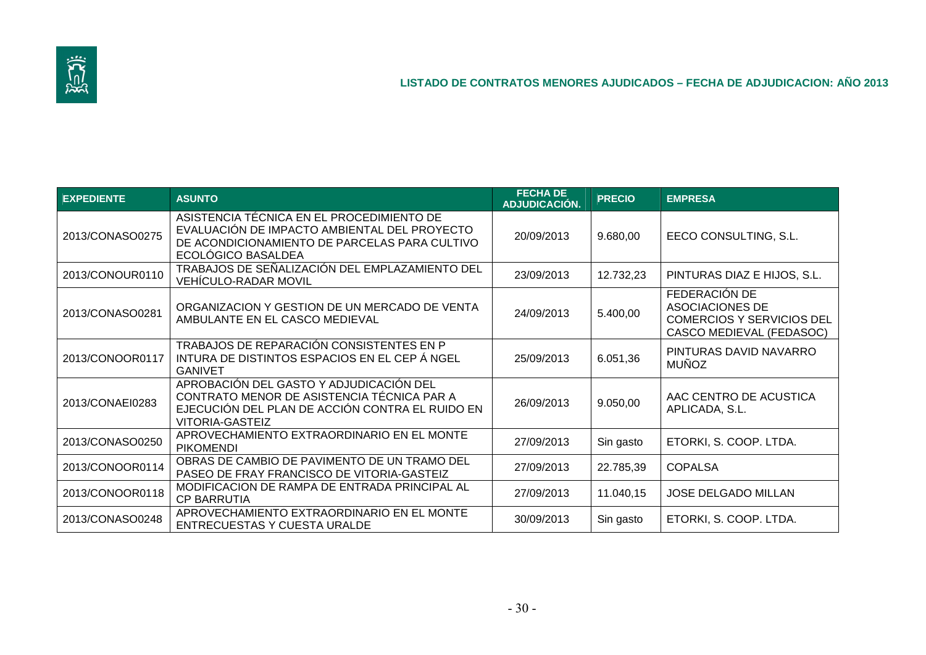

| <b>EXPEDIENTE</b> | <b>ASUNTO</b>                                                                                                                                                      | <b>FECHA DE</b><br><b>ADJUDICACIÓN.</b> | <b>PRECIO</b> | <b>EMPRESA</b>                                                                                   |
|-------------------|--------------------------------------------------------------------------------------------------------------------------------------------------------------------|-----------------------------------------|---------------|--------------------------------------------------------------------------------------------------|
| 2013/CONASO0275   | ASISTENCIA TÉCNICA EN EL PROCEDIMIENTO DE<br>EVALUACIÓN DE IMPACTO AMBIENTAL DEL PROYECTO<br>DE ACONDICIONAMIENTO DE PARCELAS PARA CULTIVO<br>ECOLÓGICO BASALDEA   | 20/09/2013                              | 9.680,00      | EECO CONSULTING, S.L.                                                                            |
| 2013/CONOUR0110   | TRABAJOS DE SEÑALIZACIÓN DEL EMPLAZAMIENTO DEL<br><b>VEHÍCULO-RADAR MOVIL</b>                                                                                      | 23/09/2013                              | 12.732,23     | PINTURAS DIAZ E HIJOS, S.L.                                                                      |
| 2013/CONASO0281   | ORGANIZACION Y GESTION DE UN MERCADO DE VENTA<br>AMBULANTE EN EL CASCO MEDIEVAL                                                                                    | 24/09/2013                              | 5.400,00      | FEDERACIÓN DE<br>ASOCIACIONES DE<br><b>COMERCIOS Y SERVICIOS DEL</b><br>CASCO MEDIEVAL (FEDASOC) |
| 2013/CONOOR0117   | TRABAJOS DE REPARACIÓN CONSISTENTES EN P<br>INTURA DE DISTINTOS ESPACIOS EN EL CEP Á NGEL<br><b>GANIVET</b>                                                        | 25/09/2013                              | 6.051,36      | PINTURAS DAVID NAVARRO<br><b>MUÑOZ</b>                                                           |
| 2013/CONAEI0283   | APROBACIÓN DEL GASTO Y ADJUDICACIÓN DEL<br>CONTRATO MENOR DE ASISTENCIA TÉCNICA PAR A<br>EJECUCIÓN DEL PLAN DE ACCIÓN CONTRA EL RUIDO EN<br><b>VITORIA-GASTEIZ</b> | 26/09/2013                              | 9.050,00      | AAC CENTRO DE ACUSTICA<br>APLICADA, S.L.                                                         |
| 2013/CONASO0250   | APROVECHAMIENTO EXTRAORDINARIO EN EL MONTE<br><b>PIKOMENDI</b>                                                                                                     | 27/09/2013                              | Sin gasto     | ETORKI, S. COOP. LTDA.                                                                           |
| 2013/CONOOR0114   | OBRAS DE CAMBIO DE PAVIMENTO DE UN TRAMO DEL<br>PASEO DE FRAY FRANCISCO DE VITORIA-GASTEIZ                                                                         | 27/09/2013                              | 22.785,39     | <b>COPALSA</b>                                                                                   |
| 2013/CONOOR0118   | MODIFICACION DE RAMPA DE ENTRADA PRINCIPAL AL<br><b>CP BARRUTIA</b>                                                                                                | 27/09/2013                              | 11.040,15     | <b>JOSE DELGADO MILLAN</b>                                                                       |
| 2013/CONASO0248   | APROVECHAMIENTO EXTRAORDINARIO EN EL MONTE<br>ENTRECUESTAS Y CUESTA URALDE                                                                                         | 30/09/2013                              | Sin gasto     | ETORKI, S. COOP. LTDA.                                                                           |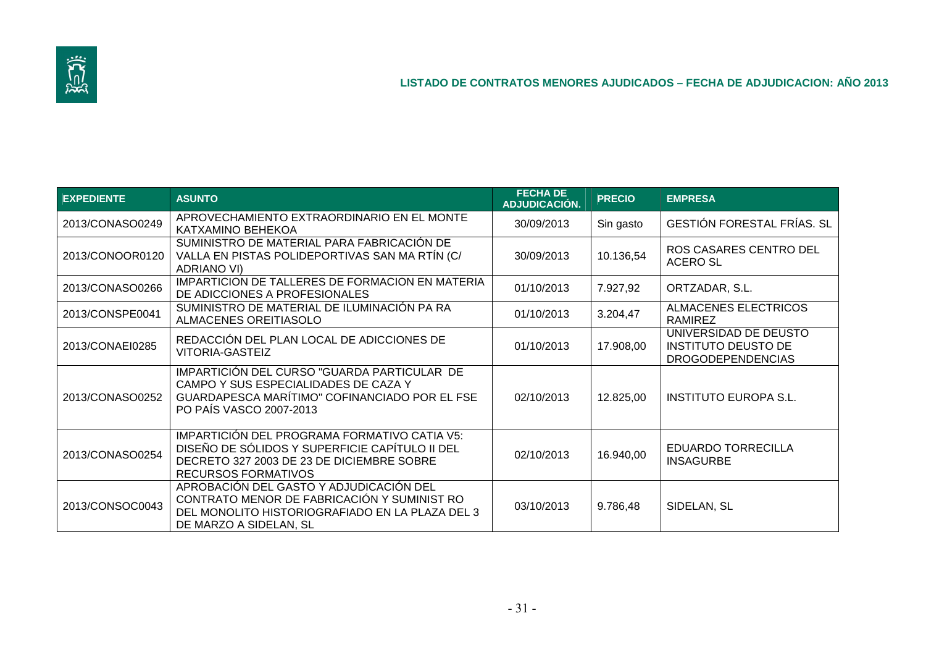

| <b>EXPEDIENTE</b> | <b>ASUNTO</b>                                                                                                                                                             | <b>FECHA DE</b><br>ADJUDICACIÓN. | <b>PRECIO</b> | <b>EMPRESA</b>                                                                  |
|-------------------|---------------------------------------------------------------------------------------------------------------------------------------------------------------------------|----------------------------------|---------------|---------------------------------------------------------------------------------|
| 2013/CONASO0249   | APROVECHAMIENTO EXTRAORDINARIO EN EL MONTE<br>KATXAMINO BEHEKOA                                                                                                           | 30/09/2013                       | Sin gasto     | <b>GESTIÓN FORESTAL FRÍAS. SL</b>                                               |
| 2013/CONOOR0120   | SUMINISTRO DE MATERIAL PARA FABRICACIÓN DE<br>VALLA EN PISTAS POLIDEPORTIVAS SAN MA RTÍN (C/<br><b>ADRIANO VI)</b>                                                        | 30/09/2013                       | 10.136,54     | ROS CASARES CENTRO DEL<br>ACERO SL                                              |
| 2013/CONASO0266   | IMPARTICION DE TALLERES DE FORMACION EN MATERIA<br>DE ADICCIONES A PROFESIONALES                                                                                          | 01/10/2013                       | 7.927,92      | ORTZADAR, S.L.                                                                  |
| 2013/CONSPE0041   | SUMINISTRO DE MATERIAL DE ILUMINACIÓN PA RA<br>ALMACENES OREITIASOLO                                                                                                      | 01/10/2013                       | 3.204,47      | ALMACENES ELECTRICOS<br><b>RAMIREZ</b>                                          |
| 2013/CONAEI0285   | REDACCIÓN DEL PLAN LOCAL DE ADICCIONES DE<br><b>VITORIA-GASTEIZ</b>                                                                                                       | 01/10/2013                       | 17.908,00     | UNIVERSIDAD DE DEUSTO<br><b>INSTITUTO DEUSTO DE</b><br><b>DROGODEPENDENCIAS</b> |
| 2013/CONASO0252   | IMPARTICIÓN DEL CURSO "GUARDA PARTICULAR DE<br>CAMPO Y SUS ESPECIALIDADES DE CAZA Y<br>GUARDAPESCA MARÍTIMO" COFINANCIADO POR EL FSE<br>PO PAÍS VASCO 2007-2013           | 02/10/2013                       | 12.825,00     | <b>INSTITUTO EUROPA S.L.</b>                                                    |
| 2013/CONASO0254   | IMPARTICIÓN DEL PROGRAMA FORMATIVO CATIA V5:<br>DISEÑO DE SÓLIDOS Y SUPERFICIE CAPÍTULO II DEL<br>DECRETO 327 2003 DE 23 DE DICIEMBRE SOBRE<br><b>RECURSOS FORMATIVOS</b> | 02/10/2013                       | 16.940,00     | <b>EDUARDO TORRECILLA</b><br><b>INSAGURBE</b>                                   |
| 2013/CONSOC0043   | APROBACIÓN DEL GASTO Y ADJUDICACIÓN DEL<br>CONTRATO MENOR DE FABRICACIÓN Y SUMINIST RO<br>DEL MONOLITO HISTORIOGRAFIADO EN LA PLAZA DEL 3<br>DE MARZO A SIDELAN, SL       | 03/10/2013                       | 9.786,48      | SIDELAN, SL                                                                     |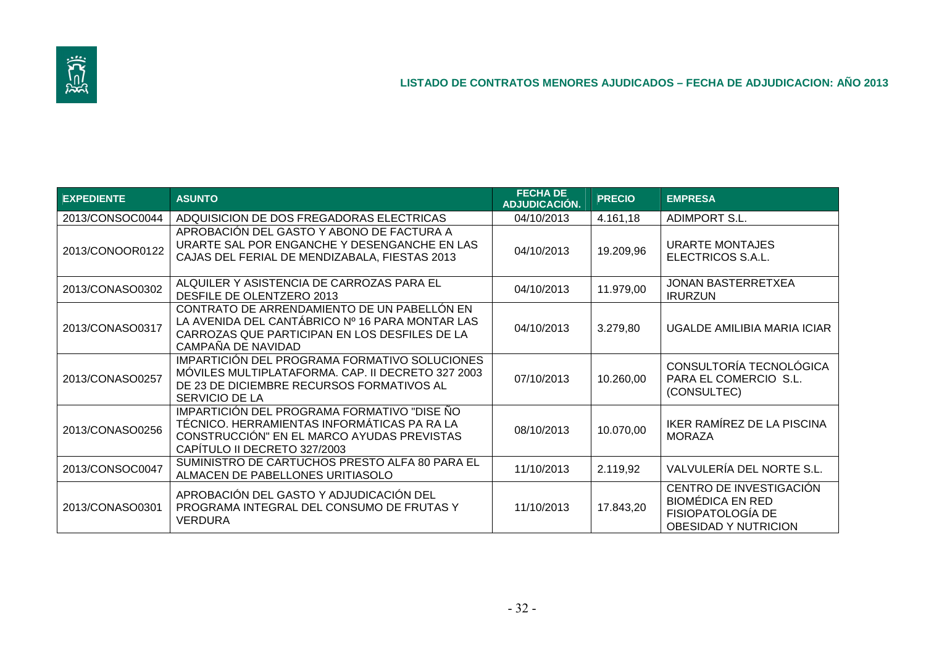

| <b>EXPEDIENTE</b> | <b>ASUNTO</b>                                                                                                                                                            | <b>FECHA DE</b><br><b>ADJUDICACIÓN.</b> | <b>PRECIO</b> | <b>EMPRESA</b>                                                                                                |
|-------------------|--------------------------------------------------------------------------------------------------------------------------------------------------------------------------|-----------------------------------------|---------------|---------------------------------------------------------------------------------------------------------------|
| 2013/CONSOC0044   | ADQUISICION DE DOS FREGADORAS ELECTRICAS                                                                                                                                 | 04/10/2013                              | 4.161,18      | <b>ADIMPORT S.L.</b>                                                                                          |
| 2013/CONOOR0122   | APROBACIÓN DEL GASTO Y ABONO DE FACTURA A<br>URARTE SAL POR ENGANCHE Y DESENGANCHE EN LAS<br>CAJAS DEL FERIAL DE MENDIZABALA, FIESTAS 2013                               | 04/10/2013                              | 19.209,96     | URARTE MONTAJES<br>ELECTRICOS S.A.L.                                                                          |
| 2013/CONASO0302   | ALQUILER Y ASISTENCIA DE CARROZAS PARA EL<br>DESFILE DE OLENTZERO 2013                                                                                                   | 04/10/2013                              | 11.979,00     | <b>JONAN BASTERRETXEA</b><br><b>IRURZUN</b>                                                                   |
| 2013/CONASO0317   | CONTRATO DE ARRENDAMIENTO DE UN PABELLÓN EN<br>LA AVENIDA DEL CANTÁBRICO Nº 16 PARA MONTAR LAS<br>CARROZAS QUE PARTICIPAN EN LOS DESFILES DE LA<br>CAMPAÑA DE NAVIDAD    | 04/10/2013                              | 3.279,80      | UGALDE AMILIBIA MARIA ICIAR                                                                                   |
| 2013/CONASO0257   | IMPARTICIÓN DEL PROGRAMA FORMATIVO SOLUCIONES<br>MÓVILES MULTIPLATAFORMA. CAP. II DECRETO 327 2003<br>DE 23 DE DICIEMBRE RECURSOS FORMATIVOS AL<br>SERVICIO DE LA        | 07/10/2013                              | 10.260,00     | CONSULTORÍA TECNOLÓGICA<br>PARA EL COMERCIO S.L.<br>(CONSULTEC)                                               |
| 2013/CONASO0256   | IMPARTICIÓN DEL PROGRAMA FORMATIVO "DISE ÑO<br>TÉCNICO. HERRAMIENTAS INFORMÁTICAS PA RA LA<br>CONSTRUCCIÓN" EN EL MARCO AYUDAS PREVISTAS<br>CAPÍTULO II DECRETO 327/2003 | 08/10/2013                              | 10.070,00     | IKER RAMÍREZ DE LA PISCINA<br><b>MORAZA</b>                                                                   |
| 2013/CONSOC0047   | SUMINISTRO DE CARTUCHOS PRESTO ALFA 80 PARA EL<br>ALMACEN DE PABELLONES URITIASOLO                                                                                       | 11/10/2013                              | 2.119,92      | VALVULERÍA DEL NORTE S.L.                                                                                     |
| 2013/CONASO0301   | APROBACIÓN DEL GASTO Y ADJUDICACIÓN DEL<br>PROGRAMA INTEGRAL DEL CONSUMO DE FRUTAS Y<br><b>VERDURA</b>                                                                   | 11/10/2013                              | 17.843,20     | CENTRO DE INVESTIGACIÓN<br><b>BIOMÉDICA EN RED</b><br><b>FISIOPATOLOGÍA DE</b><br><b>OBESIDAD Y NUTRICION</b> |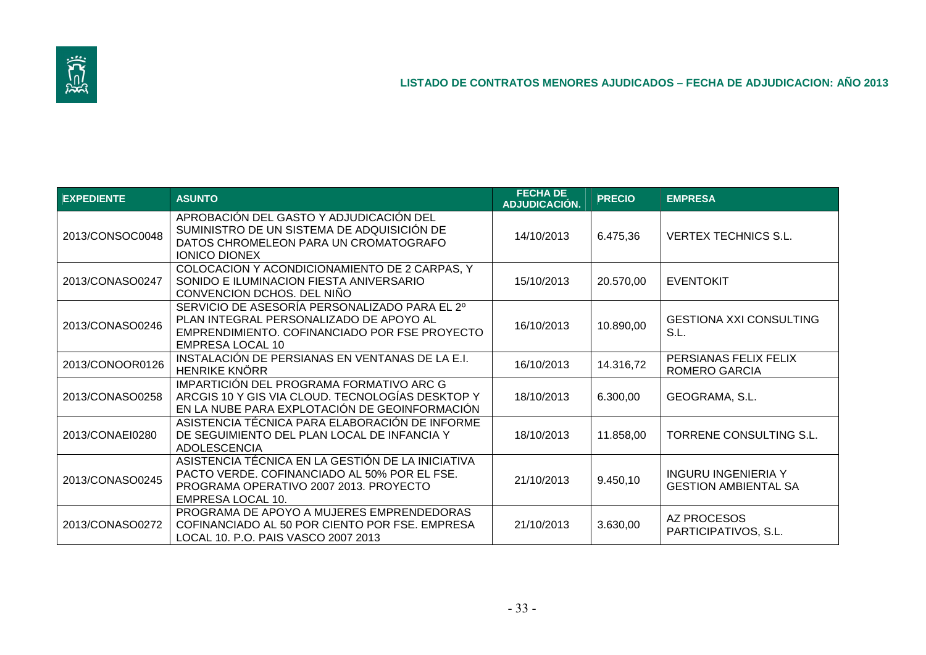

| <b>EXPEDIENTE</b> | <b>ASUNTO</b>                                                                                                                                                        | <b>FECHA DE</b><br>ADJUDICACIÓN. | <b>PRECIO</b> | <b>EMPRESA</b>                                            |
|-------------------|----------------------------------------------------------------------------------------------------------------------------------------------------------------------|----------------------------------|---------------|-----------------------------------------------------------|
| 2013/CONSOC0048   | APROBACIÓN DEL GASTO Y ADJUDICACIÓN DEL<br>SUMINISTRO DE UN SISTEMA DE ADQUISICIÓN DE<br>DATOS CHROMELEON PARA UN CROMATOGRAFO<br><b>IONICO DIONEX</b>               | 14/10/2013                       | 6.475,36      | <b>VERTEX TECHNICS S.L.</b>                               |
| 2013/CONASO0247   | COLOCACION Y ACONDICIONAMIENTO DE 2 CARPAS, Y<br>SONIDO E ILUMINACION FIESTA ANIVERSARIO<br>CONVENCION DCHOS. DEL NIÑO                                               | 15/10/2013                       | 20.570,00     | <b>EVENTOKIT</b>                                          |
| 2013/CONASO0246   | SERVICIO DE ASESORÍA PERSONALIZADO PARA EL 2º<br>PLAN INTEGRAL PERSONALIZADO DE APOYO AL<br>EMPRENDIMIENTO. COFINANCIADO POR FSE PROYECTO<br><b>EMPRESA LOCAL 10</b> | 16/10/2013                       | 10.890,00     | <b>GESTIONA XXI CONSULTING</b><br>S.L.                    |
| 2013/CONOOR0126   | INSTALACIÓN DE PERSIANAS EN VENTANAS DE LA E.I.<br><b>HENRIKE KNÖRR</b>                                                                                              | 16/10/2013                       | 14.316,72     | PERSIANAS FELIX FELIX<br><b>ROMERO GARCIA</b>             |
| 2013/CONASO0258   | IMPARTICIÓN DEL PROGRAMA FORMATIVO ARC G<br>ARCGIS 10 Y GIS VIA CLOUD. TECNOLOGÍAS DESKTOP Y<br>EN LA NUBE PARA EXPLOTACIÓN DE GEOINFORMACIÓN                        | 18/10/2013                       | 6.300,00      | GEOGRAMA, S.L.                                            |
| 2013/CONAEI0280   | ASISTENCIA TÉCNICA PARA ELABORACIÓN DE INFORME<br>DE SEGUIMIENTO DEL PLAN LOCAL DE INFANCIA Y<br><b>ADOLESCENCIA</b>                                                 | 18/10/2013                       | 11.858,00     | TORRENE CONSULTING S.L.                                   |
| 2013/CONASO0245   | ASISTENCIA TÉCNICA EN LA GESTIÓN DE LA INICIATIVA<br>PACTO VERDE. COFINANCIADO AL 50% POR EL FSE.<br>PROGRAMA OPERATIVO 2007 2013. PROYECTO<br>EMPRESA LOCAL 10.     | 21/10/2013                       | 9.450,10      | <b>INGURU INGENIERIA Y</b><br><b>GESTION AMBIENTAL SA</b> |
| 2013/CONASO0272   | PROGRAMA DE APOYO A MUJERES EMPRENDEDORAS<br>COFINANCIADO AL 50 POR CIENTO POR FSE. EMPRESA<br>LOCAL 10. P.O. PAIS VASCO 2007 2013                                   | 21/10/2013                       | 3.630,00      | AZ PROCESOS<br>PARTICIPATIVOS, S.L.                       |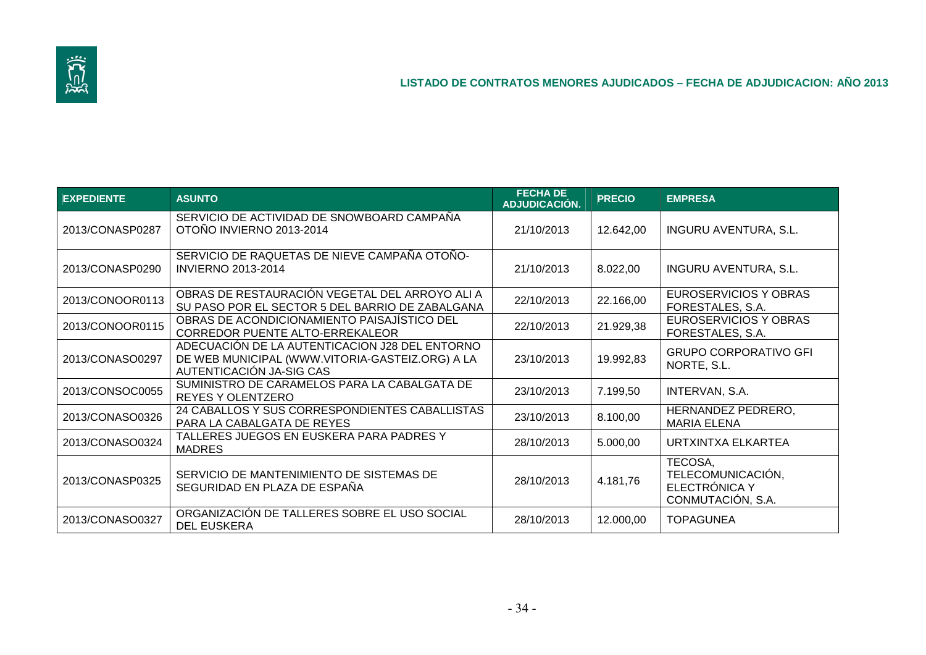

| <b>EXPEDIENTE</b> | <b>ASUNTO</b>                                                                                                                 | <b>FECHA DE</b><br>ADJUDICACIÓN. | <b>PRECIO</b> | <b>EMPRESA</b>                                                     |
|-------------------|-------------------------------------------------------------------------------------------------------------------------------|----------------------------------|---------------|--------------------------------------------------------------------|
| 2013/CONASP0287   | SERVICIO DE ACTIVIDAD DE SNOWBOARD CAMPAÑA<br>OTOÑO INVIERNO 2013-2014                                                        | 21/10/2013                       | 12.642,00     | <b>INGURU AVENTURA, S.L.</b>                                       |
| 2013/CONASP0290   | SERVICIO DE RAQUETAS DE NIEVE CAMPAÑA OTOÑO-<br><b>INVIERNO 2013-2014</b>                                                     | 21/10/2013                       | 8.022,00      | <b>INGURU AVENTURA, S.L.</b>                                       |
| 2013/CONOOR0113   | OBRAS DE RESTAURACIÓN VEGETAL DEL ARROYO ALI A<br>SU PASO POR EL SECTOR 5 DEL BARRIO DE ZABALGANA                             | 22/10/2013                       | 22.166,00     | EUROSERVICIOS Y OBRAS<br>FORESTALES, S.A.                          |
| 2013/CONOOR0115   | OBRAS DE ACONDICIONAMIENTO PAISAJÍSTICO DEL<br>CORREDOR PUENTE ALTO-ERREKALEOR                                                | 22/10/2013                       | 21.929,38     | EUROSERVICIOS Y OBRAS<br>FORESTALES, S.A.                          |
| 2013/CONASO0297   | ADECUACIÓN DE LA AUTENTICACION J28 DEL ENTORNO<br>DE WEB MUNICIPAL (WWW.VITORIA-GASTEIZ.ORG) A LA<br>AUTENTICACIÓN JA-SIG CAS | 23/10/2013                       | 19.992,83     | <b>GRUPO CORPORATIVO GFI</b><br>NORTE, S.L.                        |
| 2013/CONSOC0055   | SUMINISTRO DE CARAMELOS PARA LA CABALGATA DE<br><b>REYES Y OLENTZERO</b>                                                      | 23/10/2013                       | 7.199,50      | INTERVAN, S.A.                                                     |
| 2013/CONASO0326   | 24 CABALLOS Y SUS CORRESPONDIENTES CABALLISTAS<br>PARA LA CABALGATA DE REYES                                                  | 23/10/2013                       | 8.100,00      | HERNANDEZ PEDRERO,<br><b>MARIA ELENA</b>                           |
| 2013/CONASO0324   | TALLERES JUEGOS EN EUSKERA PARA PADRES Y<br><b>MADRES</b>                                                                     | 28/10/2013                       | 5.000,00      | URTXINTXA ELKARTEA                                                 |
| 2013/CONASP0325   | SERVICIO DE MANTENIMIENTO DE SISTEMAS DE<br>SEGURIDAD EN PLAZA DE ESPAÑA                                                      | 28/10/2013                       | 4.181,76      | TECOSA,<br>TELECOMUNICACIÓN,<br>ELECTRÓNICA Y<br>CONMUTACIÓN, S.A. |
| 2013/CONASO0327   | ORGANIZACIÓN DE TALLERES SOBRE EL USO SOCIAL<br><b>DEL EUSKERA</b>                                                            | 28/10/2013                       | 12.000,00     | <b>TOPAGUNEA</b>                                                   |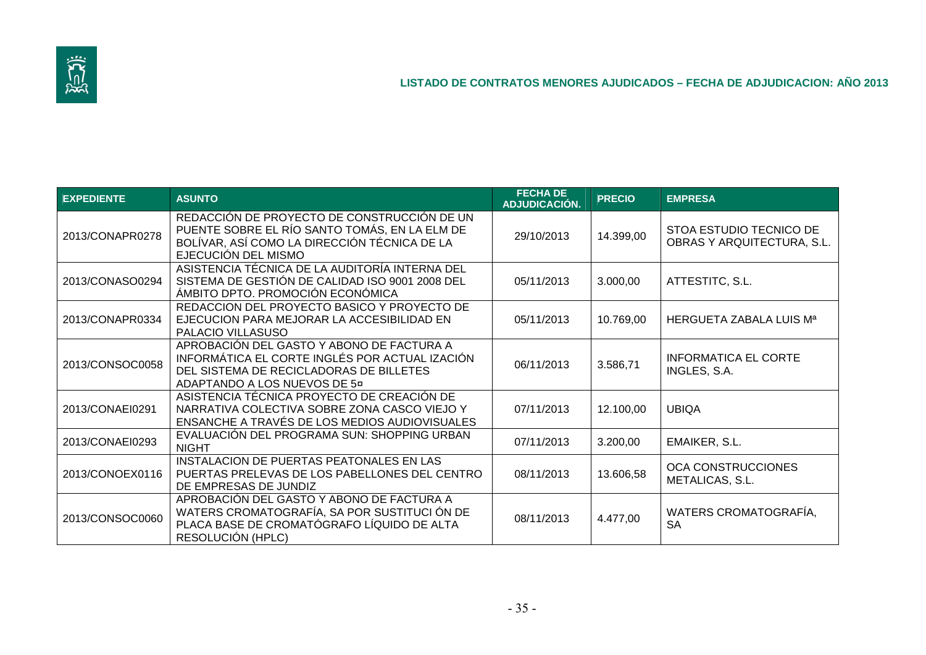

| <b>EXPEDIENTE</b> | <b>ASUNTO</b>                                                                                                                                                          | <b>FECHA DE</b><br>ADJUDICACIÓN. | <b>PRECIO</b> | <b>EMPRESA</b>                                        |
|-------------------|------------------------------------------------------------------------------------------------------------------------------------------------------------------------|----------------------------------|---------------|-------------------------------------------------------|
| 2013/CONAPR0278   | REDACCIÓN DE PROYECTO DE CONSTRUCCIÓN DE UN<br>PUENTE SOBRE EL RÍO SANTO TOMÁS, EN LA ELM DE<br>BOLÍVAR, ASÍ COMO LA DIRECCIÓN TÉCNICA DE LA<br>EJECUCIÓN DEL MISMO    | 29/10/2013                       | 14.399,00     | STOA ESTUDIO TECNICO DE<br>OBRAS Y ARQUITECTURA, S.L. |
| 2013/CONASO0294   | ASISTENCIA TÉCNICA DE LA AUDITORÍA INTERNA DEL<br>SISTEMA DE GESTIÓN DE CALIDAD ISO 9001 2008 DEL<br>ÁMBITO DPTO. PROMOCIÓN ECONÓMICA                                  | 05/11/2013                       | 3.000,00      | ATTESTITC, S.L.                                       |
| 2013/CONAPR0334   | REDACCION DEL PROYECTO BASICO Y PROYECTO DE<br>EJECUCION PARA MEJORAR LA ACCESIBILIDAD EN<br>PALACIO VILLASUSO                                                         | 05/11/2013                       | 10.769,00     | HERGUETA ZABALA LUIS Mª                               |
| 2013/CONSOC0058   | APROBACIÓN DEL GASTO Y ABONO DE FACTURA A<br>INFORMÁTICA EL CORTE INGLÉS POR ACTUAL IZACIÓN<br>DEL SISTEMA DE RECICLADORAS DE BILLETES<br>ADAPTANDO A LOS NUEVOS DE 5¤ | 06/11/2013                       | 3.586,71      | <b>INFORMATICA EL CORTE</b><br>INGLES, S.A.           |
| 2013/CONAEI0291   | ASISTENCIA TÉCNICA PROYECTO DE CREACIÓN DE<br>NARRATIVA COLECTIVA SOBRE ZONA CASCO VIEJO Y<br>ENSANCHE A TRAVÉS DE LOS MEDIOS AUDIOVISUALES                            | 07/11/2013                       | 12.100,00     | <b>UBIQA</b>                                          |
| 2013/CONAEI0293   | EVALUACIÓN DEL PROGRAMA SUN: SHOPPING URBAN<br><b>NIGHT</b>                                                                                                            | 07/11/2013                       | 3.200,00      | EMAIKER, S.L.                                         |
| 2013/CONOEX0116   | INSTALACION DE PUERTAS PEATONALES EN LAS<br>PUERTAS PRELEVAS DE LOS PABELLONES DEL CENTRO<br>DE EMPRESAS DE JUNDIZ                                                     | 08/11/2013                       | 13.606,58     | OCA CONSTRUCCIONES<br>METALICAS, S.L.                 |
| 2013/CONSOC0060   | APROBACIÓN DEL GASTO Y ABONO DE FACTURA A<br>WATERS CROMATOGRAFÍA, SA POR SUSTITUCIÓN DE<br>PLACA BASE DE CROMATÓGRAFO LÍQUIDO DE ALTA<br>RESOLUCIÓN (HPLC)            | 08/11/2013                       | 4.477,00      | WATERS CROMATOGRAFÍA,<br><b>SA</b>                    |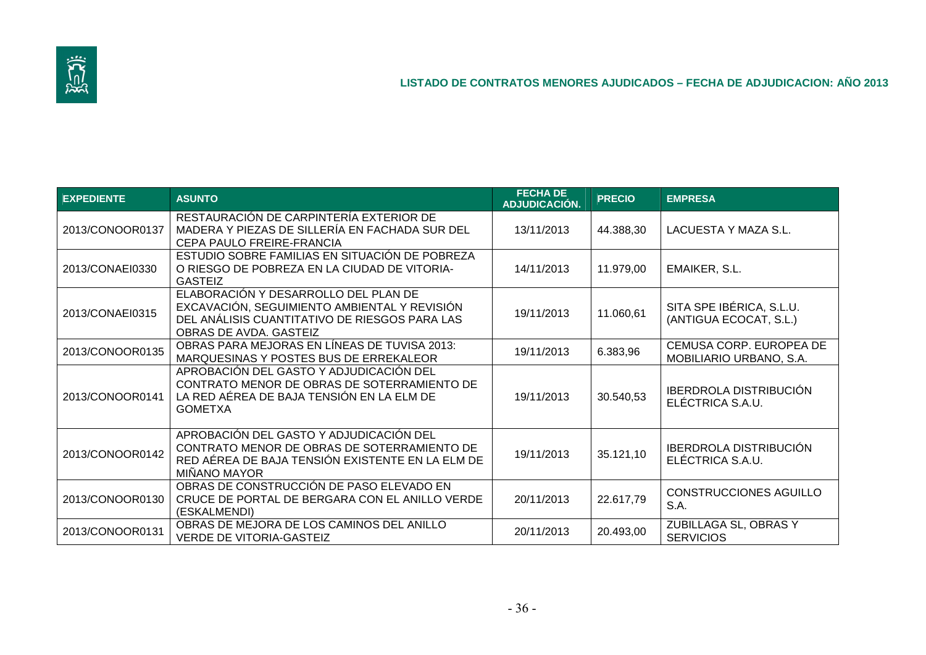

| <b>EXPEDIENTE</b> | <b>ASUNTO</b>                                                                                                                                                   | <b>FECHA DE</b><br>ADJUDICACIÓN. | <b>PRECIO</b> | <b>EMPRESA</b>                                     |
|-------------------|-----------------------------------------------------------------------------------------------------------------------------------------------------------------|----------------------------------|---------------|----------------------------------------------------|
| 2013/CONOOR0137   | RESTAURACIÓN DE CARPINTERÍA EXTERIOR DE<br>MADERA Y PIEZAS DE SILLERÍA EN FACHADA SUR DEL<br>CEPA PAULO FREIRE-FRANCIA                                          | 13/11/2013                       | 44.388,30     | LACUESTA Y MAZA S.L.                               |
| 2013/CONAEI0330   | ESTUDIO SOBRE FAMILIAS EN SITUACIÓN DE POBREZA<br>O RIESGO DE POBREZA EN LA CIUDAD DE VITORIA-<br><b>GASTEIZ</b>                                                | 14/11/2013                       | 11.979,00     | EMAIKER, S.L.                                      |
| 2013/CONAEI0315   | ELABORACIÓN Y DESARROLLO DEL PLAN DE<br>EXCAVACIÓN, SEGUIMIENTO AMBIENTAL Y REVISIÓN<br>DEL ANÁLISIS CUANTITATIVO DE RIESGOS PARA LAS<br>OBRAS DE AVDA, GASTEIZ | 19/11/2013                       | 11.060,61     | SITA SPE IBÉRICA, S.L.U.<br>(ANTIGUA ECOCAT, S.L.) |
| 2013/CONOOR0135   | OBRAS PARA MEJORAS EN LÍNEAS DE TUVISA 2013:<br>MARQUESINAS Y POSTES BUS DE ERREKALEOR                                                                          | 19/11/2013                       | 6.383,96      | CEMUSA CORP. EUROPEA DE<br>MOBILIARIO URBANO, S.A. |
| 2013/CONOOR0141   | APROBACIÓN DEL GASTO Y ADJUDICACIÓN DEL<br>CONTRATO MENOR DE OBRAS DE SOTERRAMIENTO DE<br>LA RED AÉREA DE BAJA TENSIÓN EN LA ELM DE<br><b>GOMETXA</b>           | 19/11/2013                       | 30.540,53     | <b>IBERDROLA DISTRIBUCIÓN</b><br>ELÉCTRICA S.A.U.  |
| 2013/CONOOR0142   | APROBACIÓN DEL GASTO Y ADJUDICACIÓN DEL<br>CONTRATO MENOR DE OBRAS DE SOTERRAMIENTO DE<br>RED AÉREA DE BAJA TENSIÓN EXISTENTE EN LA ELM DE<br>MIÑANO MAYOR      | 19/11/2013                       | 35.121,10     | <b>IBERDROLA DISTRIBUCIÓN</b><br>ELÉCTRICA S.A.U.  |
| 2013/CONOOR0130   | OBRAS DE CONSTRUCCIÓN DE PASO ELEVADO EN<br>CRUCE DE PORTAL DE BERGARA CON EL ANILLO VERDE<br>(ESKALMENDI)                                                      | 20/11/2013                       | 22.617,79     | <b>CONSTRUCCIONES AGUILLO</b><br>S.A.              |
| 2013/CONOOR0131   | OBRAS DE MEJORA DE LOS CAMINOS DEL ANILLO<br><b>VERDE DE VITORIA-GASTEIZ</b>                                                                                    | 20/11/2013                       | 20.493,00     | ZUBILLAGA SL, OBRAS Y<br><b>SERVICIOS</b>          |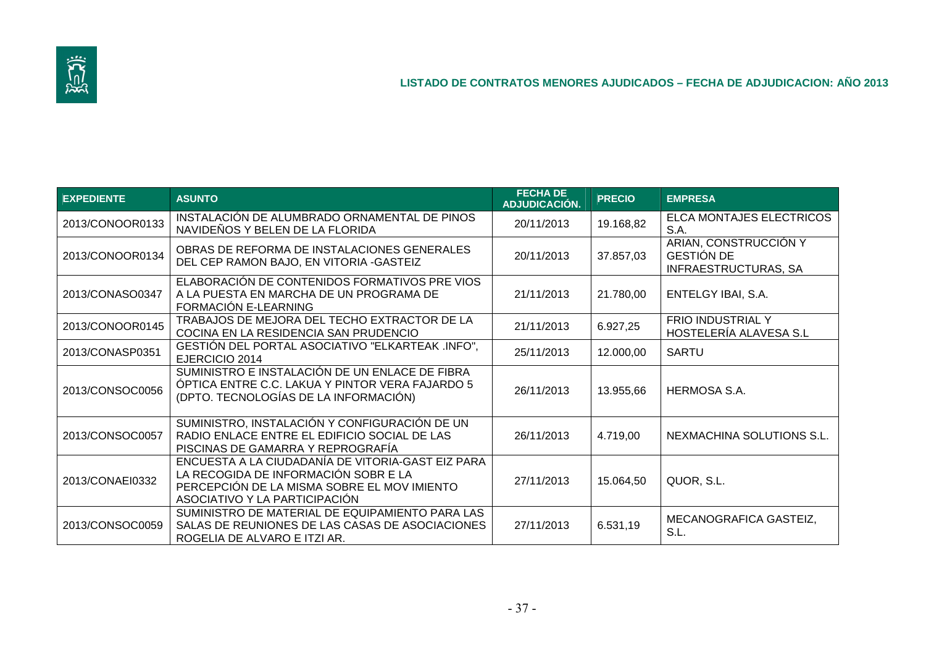

| <b>EXPEDIENTE</b> | <b>ASUNTO</b>                                                                                                                                                             | <b>FECHA DE</b><br>ADJUDICACIÓN. | <b>PRECIO</b> | <b>EMPRESA</b>                                                            |
|-------------------|---------------------------------------------------------------------------------------------------------------------------------------------------------------------------|----------------------------------|---------------|---------------------------------------------------------------------------|
| 2013/CONOOR0133   | INSTALACIÓN DE ALUMBRADO ORNAMENTAL DE PINOS<br>NAVIDEÑOS Y BELEN DE LA FLORIDA                                                                                           | 20/11/2013                       | 19.168,82     | ELCA MONTAJES ELECTRICOS<br>S.A.                                          |
| 2013/CONOOR0134   | OBRAS DE REFORMA DE INSTALACIONES GENERALES<br>DEL CEP RAMON BAJO, EN VITORIA - GASTEIZ                                                                                   | 20/11/2013                       | 37.857,03     | ARIAN, CONSTRUCCIÓN Y<br><b>GESTIÓN DE</b><br><b>INFRAESTRUCTURAS, SA</b> |
| 2013/CONASO0347   | ELABORACIÓN DE CONTENIDOS FORMATIVOS PRE VIOS<br>A LA PUESTA EN MARCHA DE UN PROGRAMA DE<br>FORMACIÓN E-LEARNING                                                          | 21/11/2013                       | 21.780,00     | ENTELGY IBAI, S.A.                                                        |
| 2013/CONOOR0145   | TRABAJOS DE MEJORA DEL TECHO EXTRACTOR DE LA<br>COCINA EN LA RESIDENCIA SAN PRUDENCIO                                                                                     | 21/11/2013                       | 6.927,25      | FRIO INDUSTRIAL Y<br>HOSTELERÍA ALAVESA S.L                               |
| 2013/CONASP0351   | GESTIÓN DEL PORTAL ASOCIATIVO "ELKARTEAK.INFO",<br>EJERCICIO 2014                                                                                                         | 25/11/2013                       | 12.000,00     | <b>SARTU</b>                                                              |
| 2013/CONSOC0056   | SUMINISTRO E INSTALACIÓN DE UN ENLACE DE FIBRA<br>ÓPTICA ENTRE C.C. LAKUA Y PINTOR VERA FAJARDO 5<br>(DPTO. TECNOLOGÍAS DE LA INFORMACIÓN)                                | 26/11/2013                       | 13.955,66     | HERMOSA S.A.                                                              |
| 2013/CONSOC0057   | SUMINISTRO, INSTALACIÓN Y CONFIGURACIÓN DE UN<br>RADIO ENLACE ENTRE EL EDIFICIO SOCIAL DE LAS<br>PISCINAS DE GAMARRA Y REPROGRAFÍA                                        | 26/11/2013                       | 4.719,00      | NEXMACHINA SOLUTIONS S.L.                                                 |
| 2013/CONAEI0332   | ENCUESTA A LA CIUDADANÍA DE VITORIA-GAST EIZ PARA<br>LA RECOGIDA DE INFORMACIÓN SOBR E LA<br>PERCEPCIÓN DE LA MISMA SOBRE EL MOV IMIENTO<br>ASOCIATIVO Y LA PARTICIPACION | 27/11/2013                       | 15.064,50     | QUOR, S.L.                                                                |
| 2013/CONSOC0059   | SUMINISTRO DE MATERIAL DE EQUIPAMIENTO PARA LAS<br>SALAS DE REUNIONES DE LAS CASAS DE ASOCIACIONES<br>ROGELIA DE ALVARO E ITZI AR.                                        | 27/11/2013                       | 6.531,19      | MECANOGRAFICA GASTEIZ,<br>S.L.                                            |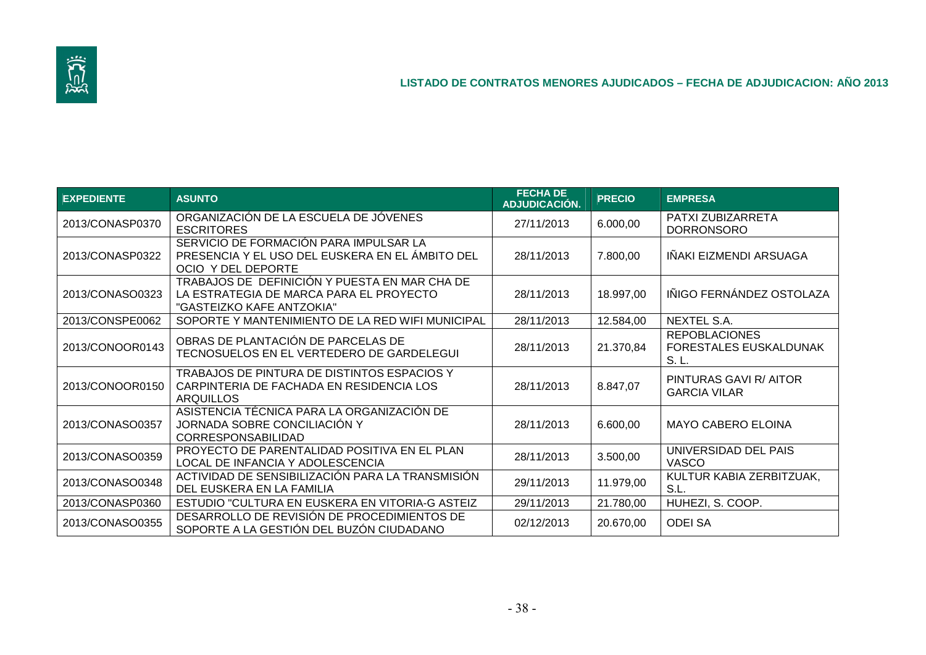

| <b>EXPEDIENTE</b> | <b>ASUNTO</b>                                                                                                         | <b>FECHA DE</b><br><b>ADJUDICACIÓN.</b> | <b>PRECIO</b> | <b>EMPRESA</b>                                          |
|-------------------|-----------------------------------------------------------------------------------------------------------------------|-----------------------------------------|---------------|---------------------------------------------------------|
| 2013/CONASP0370   | ORGANIZACIÓN DE LA ESCUELA DE JÓVENES<br><b>ESCRITORES</b>                                                            | 27/11/2013                              | 6.000,00      | PATXI ZUBIZARRETA<br><b>DORRONSORO</b>                  |
| 2013/CONASP0322   | SERVICIO DE FORMACIÓN PARA IMPULSAR LA<br>PRESENCIA Y EL USO DEL EUSKERA EN EL ÁMBITO DEL<br>OCIO Y DEL DEPORTE       | 28/11/2013                              | 7.800,00      | IÑAKI EIZMENDI ARSUAGA                                  |
| 2013/CONASO0323   | TRABAJOS DE DEFINICIÓN Y PUESTA EN MAR CHA DE<br>LA ESTRATEGIA DE MARCA PARA EL PROYECTO<br>"GASTEIZKO KAFE ANTZOKIA" | 28/11/2013                              | 18.997,00     | IÑIGO FERNÁNDEZ OSTOLAZA                                |
| 2013/CONSPE0062   | SOPORTE Y MANTENIMIENTO DE LA RED WIFI MUNICIPAL                                                                      | 28/11/2013                              | 12.584,00     | NEXTEL S.A.                                             |
| 2013/CONOOR0143   | OBRAS DE PLANTACIÓN DE PARCELAS DE<br>TECNOSUELOS EN EL VERTEDERO DE GARDELEGUI                                       | 28/11/2013                              | 21.370,84     | <b>REPOBLACIONES</b><br>FORESTALES EUSKALDUNAK<br>S. L. |
| 2013/CONOOR0150   | TRABAJOS DE PINTURA DE DISTINTOS ESPACIOS Y<br>CARPINTERIA DE FACHADA EN RESIDENCIA LOS<br><b>ARQUILLOS</b>           | 28/11/2013                              | 8.847,07      | PINTURAS GAVI R/ AITOR<br><b>GARCIA VILAR</b>           |
| 2013/CONASO0357   | ASISTENCIA TÉCNICA PARA LA ORGANIZACIÓN DE<br>JORNADA SOBRE CONCILIACIÓN Y<br><b>CORRESPONSABILIDAD</b>               | 28/11/2013                              | 6.600,00      | <b>MAYO CABERO ELOINA</b>                               |
| 2013/CONASO0359   | PROYECTO DE PARENTALIDAD POSITIVA EN EL PLAN<br>LOCAL DE INFANCIA Y ADOLESCENCIA                                      | 28/11/2013                              | 3.500,00      | UNIVERSIDAD DEL PAIS<br><b>VASCO</b>                    |
| 2013/CONASO0348   | ACTIVIDAD DE SENSIBILIZACIÓN PARA LA TRANSMISIÓN<br>DEL EUSKERA EN LA FAMILIA                                         | 29/11/2013                              | 11.979,00     | KULTUR KABIA ZERBITZUAK,<br>S.L.                        |
| 2013/CONASP0360   | ESTUDIO "CULTURA EN EUSKERA EN VITORIA-G ASTEIZ                                                                       | 29/11/2013                              | 21.780,00     | HUHEZI, S. COOP.                                        |
| 2013/CONASO0355   | DESARROLLO DE REVISIÓN DE PROCEDIMIENTOS DE<br>SOPORTE A LA GESTIÓN DEL BUZÓN CIUDADANO                               | 02/12/2013                              | 20.670,00     | <b>ODEI SA</b>                                          |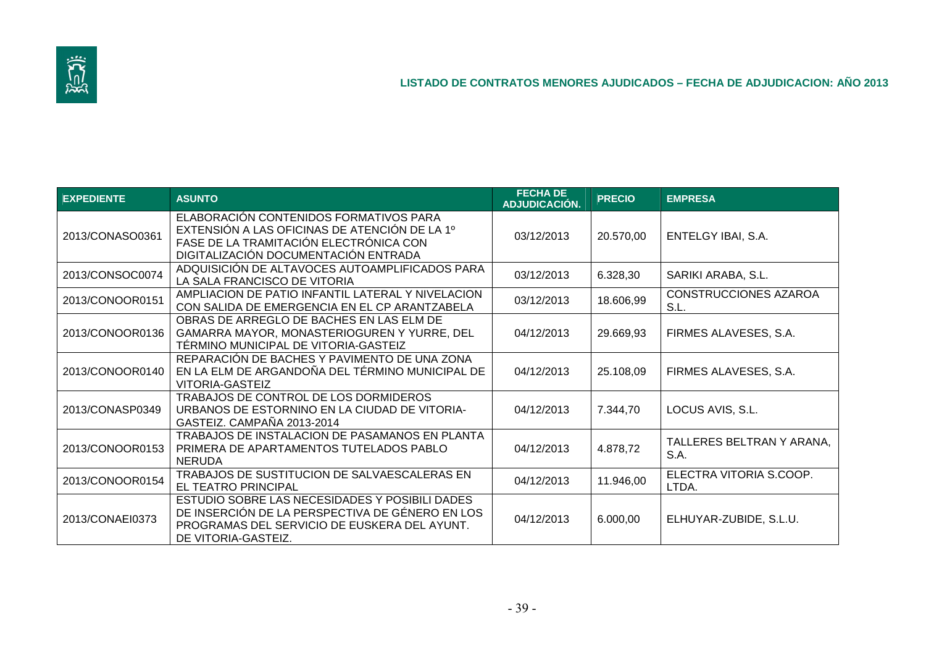

| <b>EXPEDIENTE</b> | <b>ASUNTO</b>                                                                                                                                                             | <b>FECHA DE</b><br><b>ADJUDICACIÓN.</b> | <b>PRECIO</b> | <b>EMPRESA</b>                       |
|-------------------|---------------------------------------------------------------------------------------------------------------------------------------------------------------------------|-----------------------------------------|---------------|--------------------------------------|
| 2013/CONASO0361   | ELABORACIÓN CONTENIDOS FORMATIVOS PARA<br>EXTENSIÓN A LAS OFICINAS DE ATENCIÓN DE LA 1º<br>FASE DE LA TRAMITACIÓN ELECTRÓNICA CON<br>DIGITALIZACIÓN DOCUMENTACIÓN ENTRADA | 03/12/2013                              | 20.570,00     | ENTELGY IBAI, S.A.                   |
| 2013/CONSOC0074   | ADQUISICIÓN DE ALTAVOCES AUTOAMPLIFICADOS PARA<br>LA SALA FRANCISCO DE VITORIA                                                                                            | 03/12/2013                              | 6.328,30      | SARIKI ARABA, S.L.                   |
| 2013/CONOOR0151   | AMPLIACION DE PATIO INFANTIL LATERAL Y NIVELACION<br>CON SALIDA DE EMERGENCIA EN EL CP ARANTZABELA                                                                        | 03/12/2013                              | 18.606,99     | <b>CONSTRUCCIONES AZAROA</b><br>S.L. |
| 2013/CONOOR0136   | OBRAS DE ARREGLO DE BACHES EN LAS ELM DE<br>GAMARRA MAYOR, MONASTERIOGUREN Y YURRE, DEL<br>TÉRMINO MUNICIPAL DE VITORIA-GASTEIZ                                           | 04/12/2013                              | 29.669,93     | FIRMES ALAVESES, S.A.                |
| 2013/CONOOR0140   | REPARACIÓN DE BACHES Y PAVIMENTO DE UNA ZONA<br>EN LA ELM DE ARGANDOÑA DEL TÉRMINO MUNICIPAL DE<br><b>VITORIA-GASTEIZ</b>                                                 | 04/12/2013                              | 25.108,09     | FIRMES ALAVESES, S.A.                |
| 2013/CONASP0349   | TRABAJOS DE CONTROL DE LOS DORMIDEROS<br>URBANOS DE ESTORNINO EN LA CIUDAD DE VITORIA-<br>GASTEIZ. CAMPAÑA 2013-2014                                                      | 04/12/2013                              | 7.344,70      | LOCUS AVIS, S.L.                     |
| 2013/CONOOR0153   | TRABAJOS DE INSTALACION DE PASAMANOS EN PLANTA<br>PRIMERA DE APARTAMENTOS TUTELADOS PABLO<br><b>NERUDA</b>                                                                | 04/12/2013                              | 4.878,72      | TALLERES BELTRAN Y ARANA,<br>S.A.    |
| 2013/CONOOR0154   | TRABAJOS DE SUSTITUCION DE SALVAESCALERAS EN<br><b>EL TEATRO PRINCIPAL</b>                                                                                                | 04/12/2013                              | 11.946,00     | ELECTRA VITORIA S.COOP.<br>LTDA.     |
| 2013/CONAEI0373   | ESTUDIO SOBRE LAS NECESIDADES Y POSIBILI DADES<br>DE INSERCIÓN DE LA PERSPECTIVA DE GÉNERO EN LOS<br>PROGRAMAS DEL SERVICIO DE EUSKERA DEL AYUNT.<br>DE VITORIA-GASTEIZ.  | 04/12/2013                              | 6.000,00      | ELHUYAR-ZUBIDE, S.L.U.               |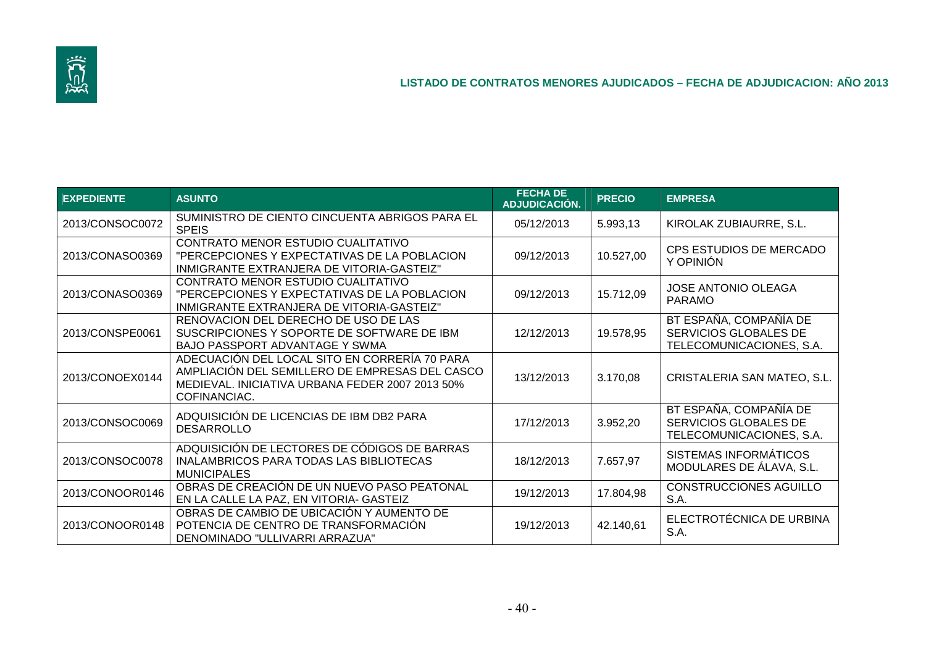

| <b>EXPEDIENTE</b> | <b>ASUNTO</b>                                                                                                                                                      | <b>FECHA DE</b><br><b>ADJUDICACIÓN.</b> | <b>PRECIO</b> | <b>EMPRESA</b>                                                              |
|-------------------|--------------------------------------------------------------------------------------------------------------------------------------------------------------------|-----------------------------------------|---------------|-----------------------------------------------------------------------------|
| 2013/CONSOC0072   | SUMINISTRO DE CIENTO CINCUENTA ABRIGOS PARA EL<br><b>SPEIS</b>                                                                                                     | 05/12/2013                              | 5.993,13      | KIROLAK ZUBIAURRE, S.L.                                                     |
| 2013/CONASO0369   | CONTRATO MENOR ESTUDIO CUALITATIVO<br>"PERCEPCIONES Y EXPECTATIVAS DE LA POBLACION<br>INMIGRANTE EXTRANJERA DE VITORIA-GASTEIZ"                                    | 09/12/2013                              | 10.527,00     | CPS ESTUDIOS DE MERCADO<br>Y OPINIÓN                                        |
| 2013/CONASO0369   | CONTRATO MENOR ESTUDIO CUALITATIVO<br>"PERCEPCIONES Y EXPECTATIVAS DE LA POBLACION<br>INMIGRANTE EXTRANJERA DE VITORIA-GASTEIZ"                                    | 09/12/2013                              | 15.712,09     | <b>JOSE ANTONIO OLEAGA</b><br><b>PARAMO</b>                                 |
| 2013/CONSPE0061   | RENOVACION DEL DERECHO DE USO DE LAS<br>SUSCRIPCIONES Y SOPORTE DE SOFTWARE DE IBM<br><b>BAJO PASSPORT ADVANTAGE Y SWMA</b>                                        | 12/12/2013                              | 19.578,95     | BT ESPAÑA, COMPAÑÍA DE<br>SERVICIOS GLOBALES DE<br>TELECOMUNICACIONES, S.A. |
| 2013/CONOEX0144   | ADECUACIÓN DEL LOCAL SITO EN CORRERÍA 70 PARA<br>AMPLIACIÓN DEL SEMILLERO DE EMPRESAS DEL CASCO<br>MEDIEVAL. INICIATIVA URBANA FEDER 2007 2013 50%<br>COFINANCIAC. | 13/12/2013                              | 3.170,08      | CRISTALERIA SAN MATEO, S.L.                                                 |
| 2013/CONSOC0069   | ADQUISICIÓN DE LICENCIAS DE IBM DB2 PARA<br><b>DESARROLLO</b>                                                                                                      | 17/12/2013                              | 3.952,20      | BT ESPAÑA, COMPAÑÍA DE<br>SERVICIOS GLOBALES DE<br>TELECOMUNICACIONES, S.A. |
| 2013/CONSOC0078   | ADQUISICIÓN DE LECTORES DE CÓDIGOS DE BARRAS<br>INALAMBRICOS PARA TODAS LAS BIBLIOTECAS<br><b>MUNICIPALES</b>                                                      | 18/12/2013                              | 7.657,97      | SISTEMAS INFORMÁTICOS<br>MODULARES DE ÁLAVA, S.L.                           |
| 2013/CONOOR0146   | OBRAS DE CREACIÓN DE UN NUEVO PASO PEATONAL<br>EN LA CALLE LA PAZ, EN VITORIA- GASTEIZ                                                                             | 19/12/2013                              | 17.804,98     | <b>CONSTRUCCIONES AGUILLO</b><br>S.A.                                       |
| 2013/CONOOR0148   | OBRAS DE CAMBIO DE UBICACIÓN Y AUMENTO DE<br>POTENCIA DE CENTRO DE TRANSFORMACIÓN<br>DENOMINADO "ULLIVARRI ARRAZUA"                                                | 19/12/2013                              | 42.140,61     | ELECTROTÉCNICA DE URBINA<br>S.A.                                            |